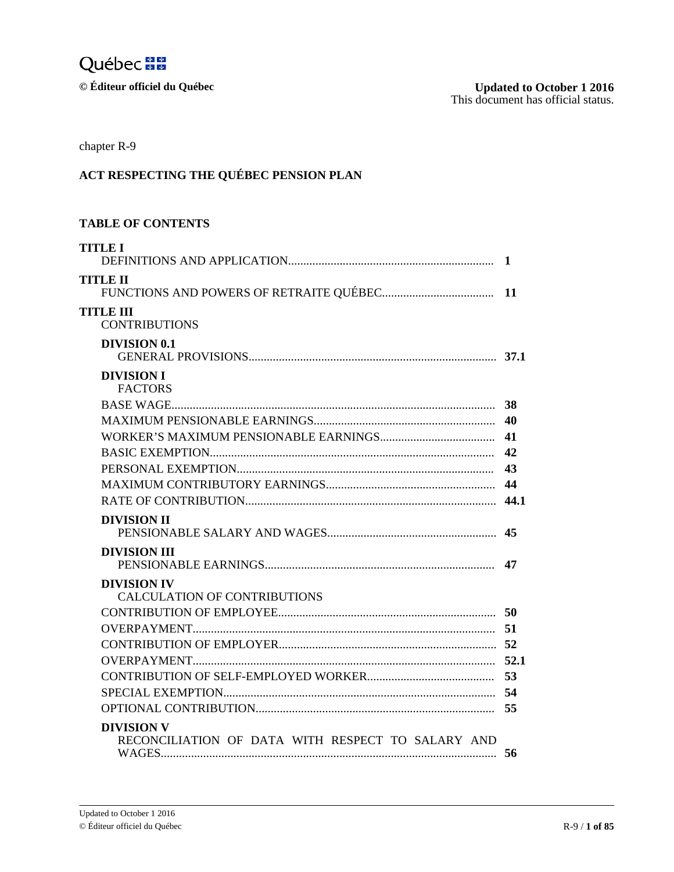

 $\odot$  Éditeur officiel du Québec

| chapter R-9                                                            |    |
|------------------------------------------------------------------------|----|
| ACT RESPECTING THE QUÉBEC PENSION PLAN                                 |    |
| <b>TABLE OF CONTENTS</b>                                               |    |
| <b>TITLE I</b>                                                         |    |
| TITLE II                                                               |    |
| <b>TITLE III</b><br><b>CONTRIBUTIONS</b>                               |    |
| <b>DIVISION 0.1</b>                                                    |    |
| <b>DIVISION I</b><br><b>FACTORS</b>                                    |    |
|                                                                        |    |
|                                                                        |    |
|                                                                        |    |
|                                                                        |    |
|                                                                        |    |
|                                                                        |    |
|                                                                        |    |
| <b>DIVISION II</b>                                                     |    |
| <b>DIVISION III</b>                                                    |    |
| <b>DIVISION IV</b><br><b>CALCULATION OF CONTRIBUTIONS</b>              |    |
|                                                                        |    |
|                                                                        |    |
|                                                                        |    |
|                                                                        |    |
|                                                                        | 53 |
|                                                                        |    |
|                                                                        |    |
| <b>DIVISION V</b><br>RECONCILIATION OF DATA WITH RESPECT TO SALARY AND | 56 |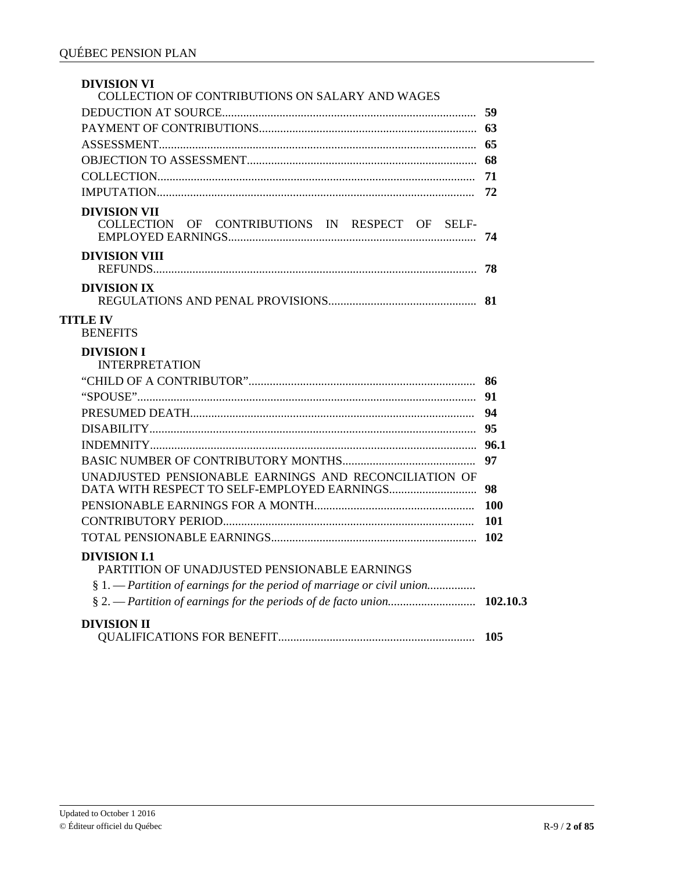| <b>DIVISION VI</b><br>COLLECTION OF CONTRIBUTIONS ON SALARY AND WAGES  |            |
|------------------------------------------------------------------------|------------|
|                                                                        |            |
|                                                                        |            |
|                                                                        |            |
|                                                                        |            |
|                                                                        | -71        |
|                                                                        | 72         |
| <b>DIVISION VII</b><br>COLLECTION OF CONTRIBUTIONS IN RESPECT OF SELF- | 74         |
| <b>DIVISION VIII</b>                                                   | 78         |
| <b>DIVISION IX</b>                                                     |            |
| <b>TITLE IV</b><br><b>BENEFITS</b>                                     |            |
| <b>DIVISION I</b><br><b>INTERPRETATION</b>                             |            |
|                                                                        |            |
|                                                                        | 91         |
|                                                                        | 94         |
|                                                                        | 95         |
|                                                                        | 96.1       |
|                                                                        | 97         |
| UNADJUSTED PENSIONABLE EARNINGS AND RECONCILIATION OF                  | 98         |
|                                                                        | <b>100</b> |
|                                                                        | 101        |
|                                                                        |            |
| <b>DIVISION I.1</b><br>PARTITION OF UNADJUSTED PENSIONABLE EARNINGS    |            |
|                                                                        |            |
|                                                                        | 102.10.3   |
| <b>DIVISION II</b>                                                     | 105        |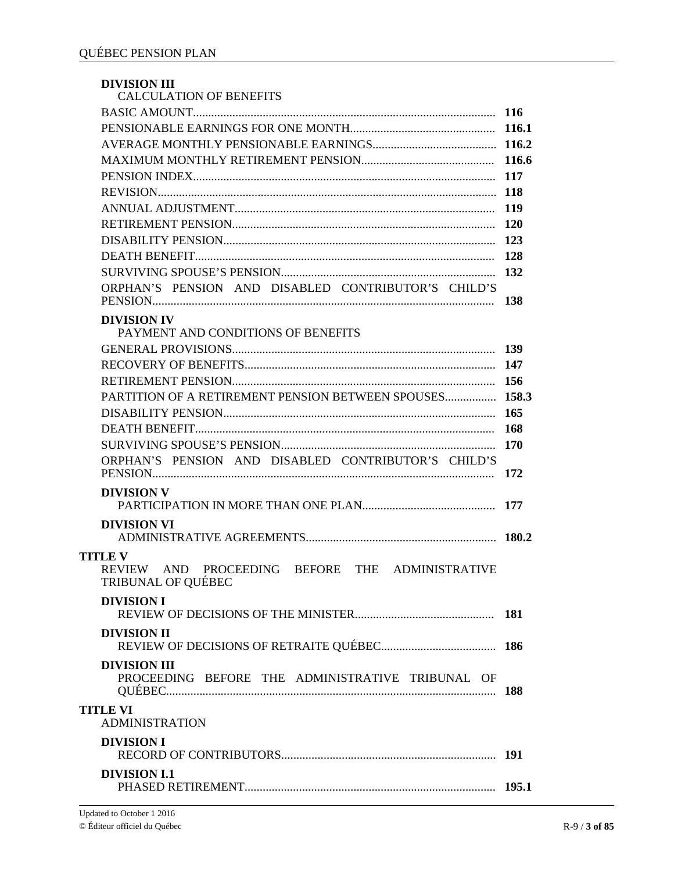| <b>DIVISION III</b><br><b>CALCULATION OF BENEFITS</b>                                          |       |
|------------------------------------------------------------------------------------------------|-------|
|                                                                                                |       |
|                                                                                                |       |
|                                                                                                |       |
|                                                                                                |       |
|                                                                                                |       |
|                                                                                                |       |
|                                                                                                |       |
|                                                                                                |       |
|                                                                                                |       |
|                                                                                                |       |
|                                                                                                |       |
|                                                                                                |       |
| ORPHAN'S PENSION AND DISABLED CONTRIBUTOR'S CHILD'S                                            |       |
| <b>DIVISION IV</b><br>PAYMENT AND CONDITIONS OF BENEFITS                                       |       |
|                                                                                                |       |
|                                                                                                |       |
|                                                                                                |       |
| PARTITION OF A RETIREMENT PENSION BETWEEN SPOUSES 158.3                                        |       |
|                                                                                                |       |
|                                                                                                |       |
|                                                                                                |       |
| ORPHAN'S PENSION AND DISABLED CONTRIBUTOR'S CHILD'S                                            | - 172 |
| <b>DIVISION V</b>                                                                              |       |
| <b>DIVISION VI</b>                                                                             |       |
|                                                                                                |       |
| <b>TITLE V</b><br>REVIEW AND PROCEEDING BEFORE THE ADMINISTRATIVE<br><b>TRIBUNAL OF QUÉBEC</b> |       |
| <b>DIVISION I</b>                                                                              |       |
| <b>DIVISION II</b>                                                                             |       |
| <b>DIVISION III</b>                                                                            |       |
| PROCEEDING BEFORE THE ADMINISTRATIVE TRIBUNAL OF                                               |       |
| <b>TITLE VI</b><br><b>ADMINISTRATION</b>                                                       |       |
| <b>DIVISION I</b>                                                                              |       |
| <b>DIVISION I.1</b>                                                                            |       |
|                                                                                                |       |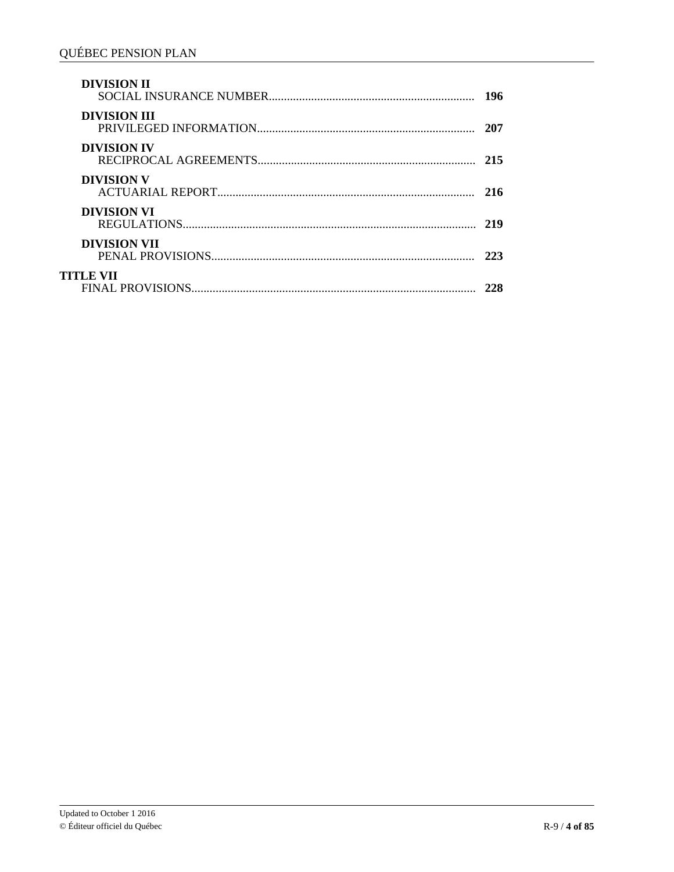| <b>DIVISION II</b>  | 196 |
|---------------------|-----|
| <b>DIVISION III</b> | 207 |
| <b>DIVISION IV</b>  | 215 |
| <b>DIVISION V</b>   | 216 |
| <b>DIVISION VI</b>  | 219 |
| <b>DIVISION VII</b> | 223 |
| TITLE VII           |     |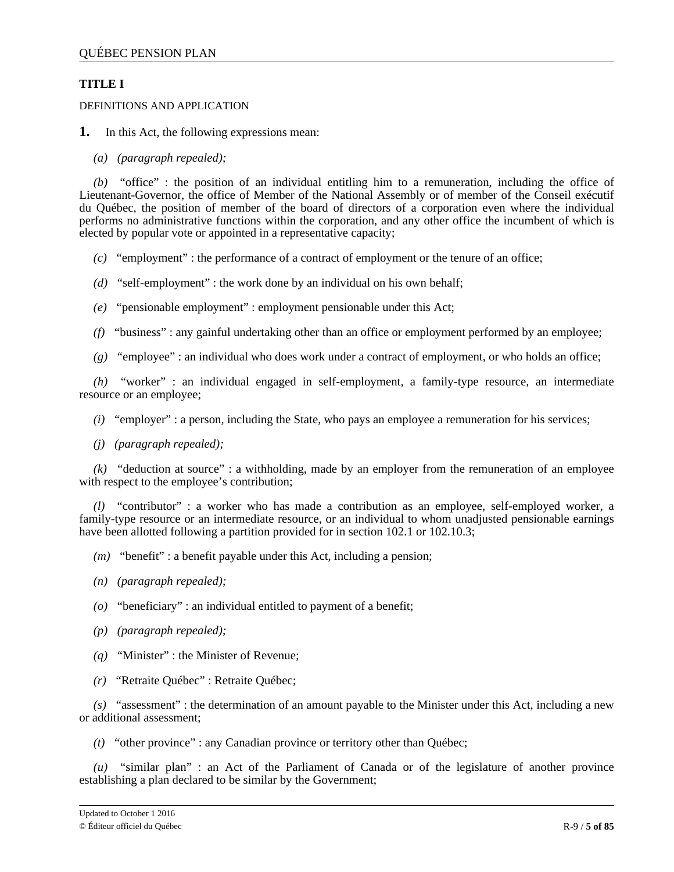# <span id="page-4-0"></span>**TITLE I**

DEFINITIONS AND APPLICATION

- **1.** In this Act, the following expressions mean:
	- *(a) (paragraph repealed);*

*(b)* "office" : the position of an individual entitling him to a remuneration, including the office of Lieutenant-Governor, the office of Member of the National Assembly or of member of the Conseil exécutif du Québec, the position of member of the board of directors of a corporation even where the individual performs no administrative functions within the corporation, and any other office the incumbent of which is elected by popular vote or appointed in a representative capacity;

- *(c)* "employment" : the performance of a contract of employment or the tenure of an office;
- *(d)* "self-employment" : the work done by an individual on his own behalf;
- *(e)* "pensionable employment" : employment pensionable under this Act;
- *(f)* "business" : any gainful undertaking other than an office or employment performed by an employee;
- *(g)* "employee" : an individual who does work under a contract of employment, or who holds an office;

*(h)* "worker" : an individual engaged in self-employment, a family-type resource, an intermediate resource or an employee;

- *(i)* "employer" : a person, including the State, who pays an employee a remuneration for his services;
- *(j) (paragraph repealed);*

*(k)* "deduction at source" : a withholding, made by an employer from the remuneration of an employee with respect to the employee's contribution;

*(l)* "contributor" : a worker who has made a contribution as an employee, self-employed worker, a family-type resource or an intermediate resource, or an individual to whom unadjusted pensionable earnings have been allotted following a partition provided for in section 102.1 or 102.10.3;

- *(m)* "benefit" : a benefit payable under this Act, including a pension;
- *(n) (paragraph repealed);*
- *(o)* "beneficiary" : an individual entitled to payment of a benefit;
- *(p) (paragraph repealed);*
- *(q)* "Minister" : the Minister of Revenue;
- *(r)* "Retraite Québec" : Retraite Québec;

*(s)* "assessment" : the determination of an amount payable to the Minister under this Act, including a new or additional assessment;

*(t)* "other province" : any Canadian province or territory other than Québec;

*(u)* "similar plan" : an Act of the Parliament of Canada or of the legislature of another province establishing a plan declared to be similar by the Government;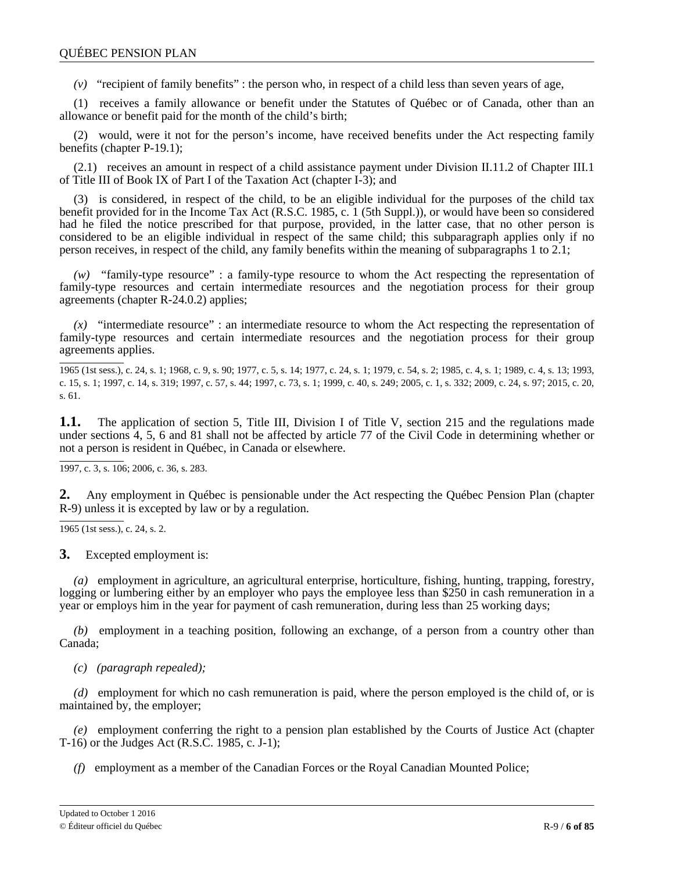*(v)* "recipient of family benefits" : the person who, in respect of a child less than seven years of age,

(1) receives a family allowance or benefit under the Statutes of Québec or of Canada, other than an allowance or benefit paid for the month of the child's birth;

(2) would, were it not for the person's income, have received benefits under the Act respecting family benefits (chapter P-19.1);

(2.1) receives an amount in respect of a child assistance payment under Division II.11.2 of Chapter III.1 of Title III of Book IX of Part I of the Taxation Act (chapter I-3); and

(3) is considered, in respect of the child, to be an eligible individual for the purposes of the child tax benefit provided for in the Income Tax Act (R.S.C. 1985, c. 1 (5th Suppl.)), or would have been so considered had he filed the notice prescribed for that purpose, provided, in the latter case, that no other person is considered to be an eligible individual in respect of the same child; this subparagraph applies only if no person receives, in respect of the child, any family benefits within the meaning of subparagraphs 1 to 2.1;

*(w)* "family-type resource" : a family-type resource to whom the Act respecting the representation of family-type resources and certain intermediate resources and the negotiation process for their group agreements (chapter R-24.0.2) applies;

*(x)* "intermediate resource" : an intermediate resource to whom the Act respecting the representation of family-type resources and certain intermediate resources and the negotiation process for their group agreements applies.

1965 (1st sess.), c. 24, s. 1; 1968, c. 9, s. 90; 1977, c. 5, s. 14; 1977, c. 24, s. 1; 1979, c. 54, s. 2; 1985, c. 4, s. 1; 1989, c. 4, s. 13; 1993, c. 15, s. 1; 1997, c. 14, s. 319; 1997, c. 57, s. 44; 1997, c. 73, s. 1; 1999, c. 40, s. 249; 2005, c. 1, s. 332; 2009, c. 24, s. 97; 2015, c. 20, s. 61.

**1.1.** The application of section 5, Title III, Division I of Title V, section 215 and the regulations made under sections 4, 5, 6 and 81 shall not be affected by article 77 of the Civil Code in determining whether or not a person is resident in Québec, in Canada or elsewhere.

1997, c. 3, s. 106; 2006, c. 36, s. 283.

**2.** Any employment in Québec is pensionable under the Act respecting the Québec Pension Plan (chapter R-9) unless it is excepted by law or by a regulation.

1965 (1st sess.), c. 24, s. 2.

**3.** Excepted employment is:

*(a)* employment in agriculture, an agricultural enterprise, horticulture, fishing, hunting, trapping, forestry, logging or lumbering either by an employer who pays the employee less than \$250 in cash remuneration in a year or employs him in the year for payment of cash remuneration, during less than 25 working days;

*(b)* employment in a teaching position, following an exchange, of a person from a country other than Canada;

*(c) (paragraph repealed);*

*(d)* employment for which no cash remuneration is paid, where the person employed is the child of, or is maintained by, the employer;

*(e)* employment conferring the right to a pension plan established by the Courts of Justice Act (chapter T-16) or the Judges Act (R.S.C. 1985, c. J-1);

*(f)* employment as a member of the Canadian Forces or the Royal Canadian Mounted Police;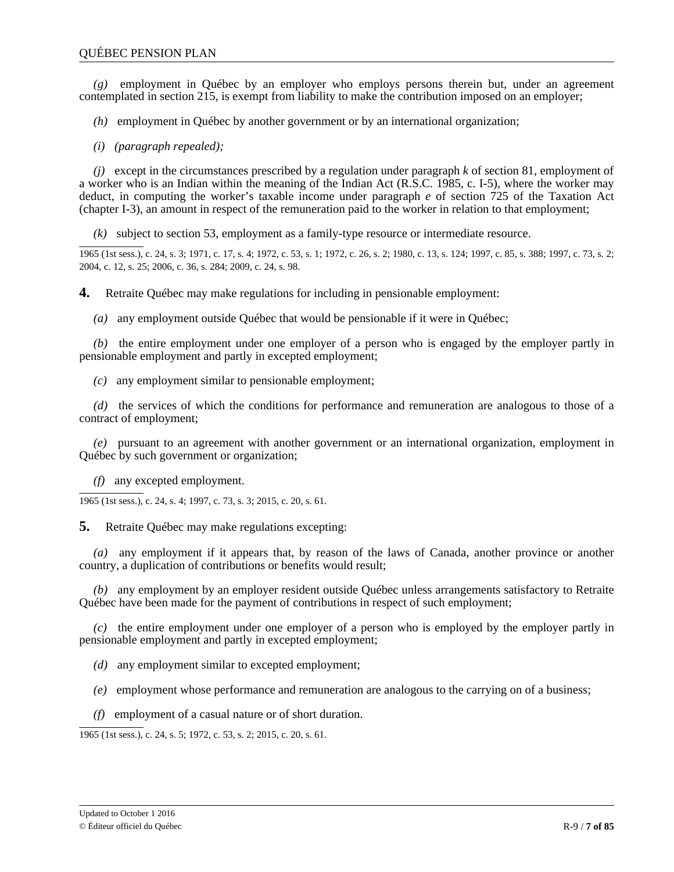*(g)* employment in Québec by an employer who employs persons therein but, under an agreement contemplated in section 215, is exempt from liability to make the contribution imposed on an employer;

*(h)* employment in Québec by another government or by an international organization;

*(i) (paragraph repealed);*

*(j)* except in the circumstances prescribed by a regulation under paragraph *k* of section 81, employment of a worker who is an Indian within the meaning of the Indian Act (R.S.C. 1985, c. I-5), where the worker may deduct, in computing the worker's taxable income under paragraph *e* of section 725 of the Taxation Act (chapter I-3), an amount in respect of the remuneration paid to the worker in relation to that employment;

*(k)* subject to section 53, employment as a family-type resource or intermediate resource.

1965 (1st sess.), c. 24, s. 3; 1971, c. 17, s. 4; 1972, c. 53, s. 1; 1972, c. 26, s. 2; 1980, c. 13, s. 124; 1997, c. 85, s. 388; 1997, c. 73, s. 2; 2004, c. 12, s. 25; 2006, c. 36, s. 284; 2009, c. 24, s. 98.

**4.** Retraite Québec may make regulations for including in pensionable employment:

*(a)* any employment outside Québec that would be pensionable if it were in Québec;

*(b)* the entire employment under one employer of a person who is engaged by the employer partly in pensionable employment and partly in excepted employment;

*(c)* any employment similar to pensionable employment;

*(d)* the services of which the conditions for performance and remuneration are analogous to those of a contract of employment;

*(e)* pursuant to an agreement with another government or an international organization, employment in Québec by such government or organization;

*(f)* any excepted employment.

1965 (1st sess.), c. 24, s. 4; 1997, c. 73, s. 3; 2015, c. 20, s. 61.

**5.** Retraite Québec may make regulations excepting:

*(a)* any employment if it appears that, by reason of the laws of Canada, another province or another country, a duplication of contributions or benefits would result;

*(b)* any employment by an employer resident outside Québec unless arrangements satisfactory to Retraite Québec have been made for the payment of contributions in respect of such employment;

*(c)* the entire employment under one employer of a person who is employed by the employer partly in pensionable employment and partly in excepted employment;

*(d)* any employment similar to excepted employment;

*(e)* employment whose performance and remuneration are analogous to the carrying on of a business;

*(f)* employment of a casual nature or of short duration.

1965 (1st sess.), c. 24, s. 5; 1972, c. 53, s. 2; 2015, c. 20, s. 61.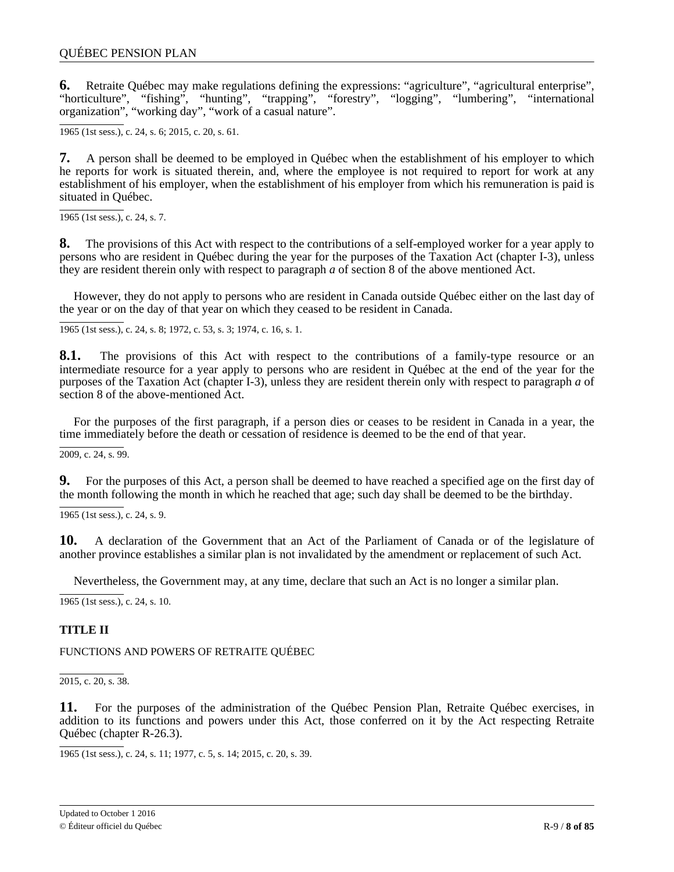<span id="page-7-0"></span>**6.** Retraite Québec may make regulations defining the expressions: "agriculture", "agricultural enterprise", "horticulture", "fishing", "hunting", "trapping", "forestry", "logging", "lumbering", "international organization", "working day", "work of a casual nature".

1965 (1st sess.), c. 24, s. 6; 2015, c. 20, s. 61.

**7.** A person shall be deemed to be employed in Québec when the establishment of his employer to which he reports for work is situated therein, and, where the employee is not required to report for work at any establishment of his employer, when the establishment of his employer from which his remuneration is paid is situated in Québec.

1965 (1st sess.), c. 24, s. 7.

**8.** The provisions of this Act with respect to the contributions of a self-employed worker for a year apply to persons who are resident in Québec during the year for the purposes of the Taxation Act (chapter I-3), unless they are resident therein only with respect to paragraph *a* of section 8 of the above mentioned Act.

However, they do not apply to persons who are resident in Canada outside Québec either on the last day of the year or on the day of that year on which they ceased to be resident in Canada.

1965 (1st sess.), c. 24, s. 8; 1972, c. 53, s. 3; 1974, c. 16, s. 1.

**8.1.** The provisions of this Act with respect to the contributions of a family-type resource or an intermediate resource for a year apply to persons who are resident in Québec at the end of the year for the purposes of the Taxation Act (chapter I-3), unless they are resident therein only with respect to paragraph *a* of section 8 of the above-mentioned Act.

For the purposes of the first paragraph, if a person dies or ceases to be resident in Canada in a year, the time immediately before the death or cessation of residence is deemed to be the end of that year.

2009, c. 24, s. 99.

**9.** For the purposes of this Act, a person shall be deemed to have reached a specified age on the first day of the month following the month in which he reached that age; such day shall be deemed to be the birthday.

1965 (1st sess.), c. 24, s. 9.

**10.** A declaration of the Government that an Act of the Parliament of Canada or of the legislature of another province establishes a similar plan is not invalidated by the amendment or replacement of such Act.

Nevertheless, the Government may, at any time, declare that such an Act is no longer a similar plan.

1965 (1st sess.), c. 24, s. 10.

# **TITLE II**

FUNCTIONS AND POWERS OF RETRAITE QUÉBEC

2015, c. 20, s. 38.

**11.** For the purposes of the administration of the Québec Pension Plan, Retraite Québec exercises, in addition to its functions and powers under this Act, those conferred on it by the Act respecting Retraite Québec (chapter R-26.3).

1965 (1st sess.), c. 24, s. 11; 1977, c. 5, s. 14; 2015, c. 20, s. 39.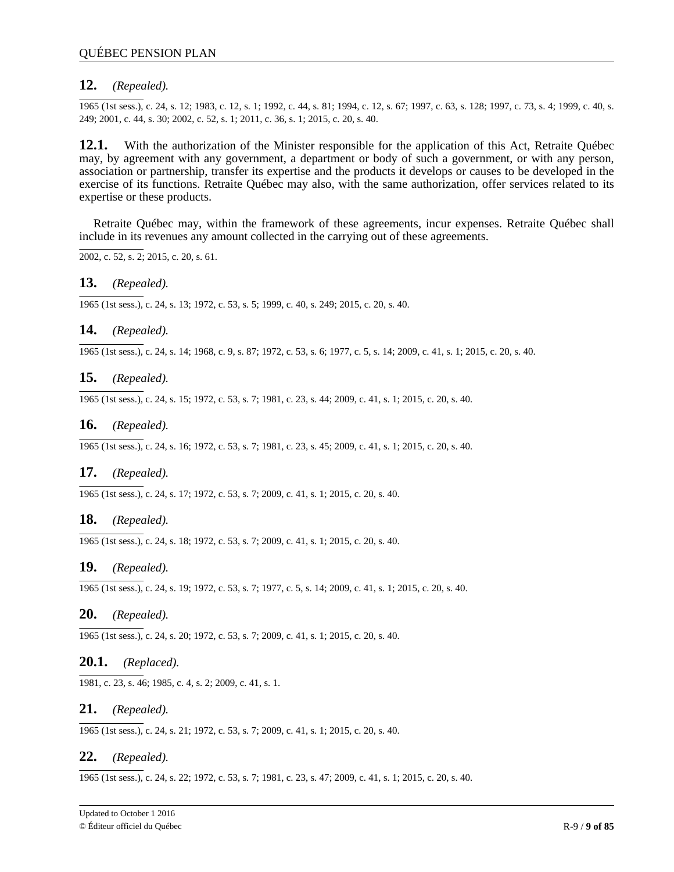# **12.** *(Repealed).*

1965 (1st sess.), c. 24, s. 12; 1983, c. 12, s. 1; 1992, c. 44, s. 81; 1994, c. 12, s. 67; 1997, c. 63, s. 128; 1997, c. 73, s. 4; 1999, c. 40, s. 249; 2001, c. 44, s. 30; 2002, c. 52, s. 1; 2011, c. 36, s. 1; 2015, c. 20, s. 40.

**12.1.** With the authorization of the Minister responsible for the application of this Act, Retraite Québec may, by agreement with any government, a department or body of such a government, or with any person, association or partnership, transfer its expertise and the products it develops or causes to be developed in the exercise of its functions. Retraite Québec may also, with the same authorization, offer services related to its expertise or these products.

Retraite Québec may, within the framework of these agreements, incur expenses. Retraite Québec shall include in its revenues any amount collected in the carrying out of these agreements.

 $2002, c. 52, s. 2$ ; 2015, c. 20, s. 61.

## **13.** *(Repealed).*

1965 (1st sess.), c. 24, s. 13; 1972, c. 53, s. 5; 1999, c. 40, s. 249; 2015, c. 20, s. 40.

## **14.** *(Repealed).*

1965 (1st sess.), c. 24, s. 14; 1968, c. 9, s. 87; 1972, c. 53, s. 6; 1977, c. 5, s. 14; 2009, c. 41, s. 1; 2015, c. 20, s. 40.

# **15.** *(Repealed).*

1965 (1st sess.), c. 24, s. 15; 1972, c. 53, s. 7; 1981, c. 23, s. 44; 2009, c. 41, s. 1; 2015, c. 20, s. 40.

## **16.** *(Repealed).*

1965 (1st sess.), c. 24, s. 16; 1972, c. 53, s. 7; 1981, c. 23, s. 45; 2009, c. 41, s. 1; 2015, c. 20, s. 40.

### **17.** *(Repealed).*

1965 (1st sess.), c. 24, s. 17; 1972, c. 53, s. 7; 2009, c. 41, s. 1; 2015, c. 20, s. 40.

### **18.** *(Repealed).*

1965 (1st sess.), c. 24, s. 18; 1972, c. 53, s. 7; 2009, c. 41, s. 1; 2015, c. 20, s. 40.

### **19.** *(Repealed).*

1965 (1st sess.), c. 24, s. 19; 1972, c. 53, s. 7; 1977, c. 5, s. 14; 2009, c. 41, s. 1; 2015, c. 20, s. 40.

### **20.** *(Repealed).*

1965 (1st sess.), c. 24, s. 20; 1972, c. 53, s. 7; 2009, c. 41, s. 1; 2015, c. 20, s. 40.

# **20.1.** *(Replaced).*

1981, c. 23, s. 46; 1985, c. 4, s. 2; 2009, c. 41, s. 1.

### **21.** *(Repealed).*

1965 (1st sess.), c. 24, s. 21; 1972, c. 53, s. 7; 2009, c. 41, s. 1; 2015, c. 20, s. 40.

### **22.** *(Repealed).*

1965 (1st sess.), c. 24, s. 22; 1972, c. 53, s. 7; 1981, c. 23, s. 47; 2009, c. 41, s. 1; 2015, c. 20, s. 40.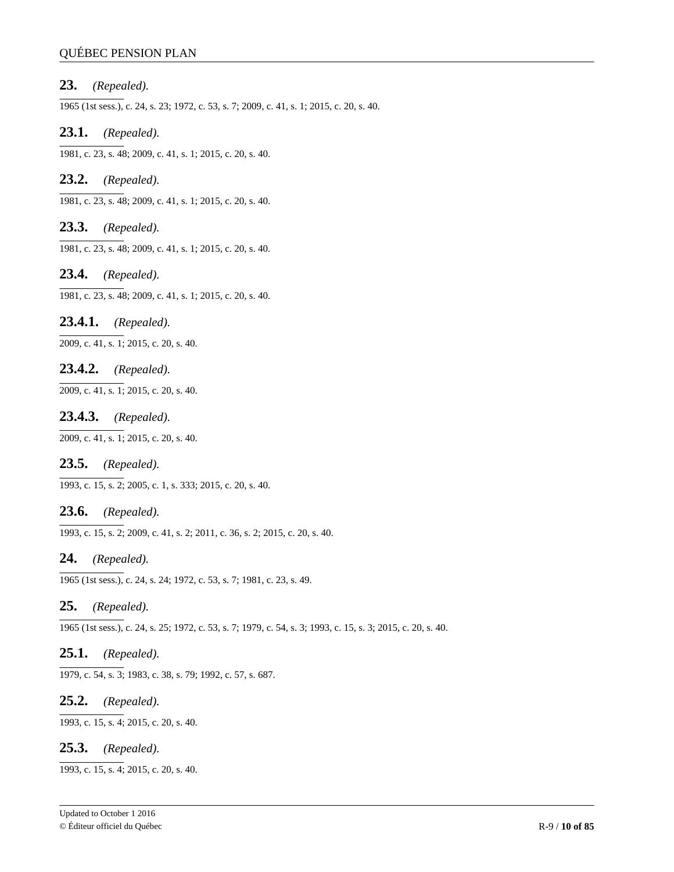## QUÉBEC PENSION PLAN

## **23.** *(Repealed).*

1965 (1st sess.), c. 24, s. 23; 1972, c. 53, s. 7; 2009, c. 41, s. 1; 2015, c. 20, s. 40.

## **23.1.** *(Repealed).*

1981, c. 23, s. 48; 2009, c. 41, s. 1; 2015, c. 20, s. 40.

# **23.2.** *(Repealed).*

1981, c. 23, s. 48; 2009, c. 41, s. 1; 2015, c. 20, s. 40.

# **23.3.** *(Repealed).*

1981, c. 23, s. 48; 2009, c. 41, s. 1; 2015, c. 20, s. 40.

## **23.4.** *(Repealed).*

1981, c. 23, s. 48; 2009, c. 41, s. 1; 2015, c. 20, s. 40.

# **23.4.1.** *(Repealed).*

2009, c. 41, s. 1; 2015, c. 20, s. 40.

## **23.4.2.** *(Repealed).*

2009, c. 41, s. 1; 2015, c. 20, s. 40.

### **23.4.3.** *(Repealed).*

 $2009, c. 41, s. 1$ ; 2015, c. 20, s. 40.

# **23.5.** *(Repealed).*

1993, c. 15, s. 2; 2005, c. 1, s. 333; 2015, c. 20, s. 40.

# **23.6.** *(Repealed).*

1993, c. 15, s. 2; 2009, c. 41, s. 2; 2011, c. 36, s. 2; 2015, c. 20, s. 40.

### **24.** *(Repealed).*

1965 (1st sess.), c. 24, s. 24; 1972, c. 53, s. 7; 1981, c. 23, s. 49.

# **25.** *(Repealed).*

1965 (1st sess.), c. 24, s. 25; 1972, c. 53, s. 7; 1979, c. 54, s. 3; 1993, c. 15, s. 3; 2015, c. 20, s. 40.

## **25.1.** *(Repealed).*

1979, c. 54, s. 3; 1983, c. 38, s. 79; 1992, c. 57, s. 687.

# **25.2.** *(Repealed).*

1993, c. 15, s. 4; 2015, c. 20, s. 40.

### **25.3.** *(Repealed).*

1993, c. 15, s. 4; 2015, c. 20, s. 40.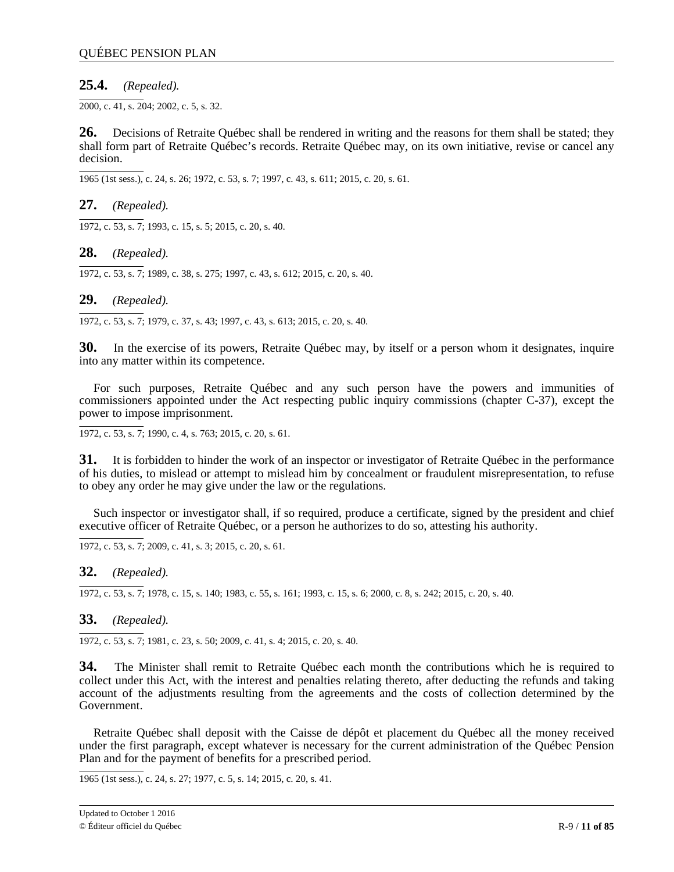# **25.4.** *(Repealed).*

2000, c. 41, s. 204; 2002, c. 5, s. 32.

**26.** Decisions of Retraite Québec shall be rendered in writing and the reasons for them shall be stated; they shall form part of Retraite Québec's records. Retraite Québec may, on its own initiative, revise or cancel any decision.

1965 (1st sess.), c. 24, s. 26; 1972, c. 53, s. 7; 1997, c. 43, s. 611; 2015, c. 20, s. 61.

**27.** *(Repealed).*

 $\overline{1972, c. 53, s. 7}$ ; 1993, c. 15, s. 5; 2015, c. 20, s. 40.

**28.** *(Repealed).*

1972, c. 53, s. 7; 1989, c. 38, s. 275; 1997, c. 43, s. 612; 2015, c. 20, s. 40.

**29.** *(Repealed).*

1972, c. 53, s. 7; 1979, c. 37, s. 43; 1997, c. 43, s. 613; 2015, c. 20, s. 40.

**30.** In the exercise of its powers, Retraite Québec may, by itself or a person whom it designates, inquire into any matter within its competence.

For such purposes, Retraite Québec and any such person have the powers and immunities of commissioners appointed under the Act respecting public inquiry commissions (chapter C-37), except the power to impose imprisonment.

1972, c. 53, s. 7; 1990, c. 4, s. 763; 2015, c. 20, s. 61.

**31.** It is forbidden to hinder the work of an inspector or investigator of Retraite Québec in the performance of his duties, to mislead or attempt to mislead him by concealment or fraudulent misrepresentation, to refuse to obey any order he may give under the law or the regulations.

Such inspector or investigator shall, if so required, produce a certificate, signed by the president and chief executive officer of Retraite Québec, or a person he authorizes to do so, attesting his authority.

 $\overline{1972, c. 53, s. 7}$ ; 2009, c. 41, s. 3; 2015, c. 20, s. 61.

**32.** *(Repealed).*

1972, c. 53, s. 7; 1978, c. 15, s. 140; 1983, c. 55, s. 161; 1993, c. 15, s. 6; 2000, c. 8, s. 242; 2015, c. 20, s. 40.

**33.** *(Repealed).*

1972, c. 53, s. 7; 1981, c. 23, s. 50; 2009, c. 41, s. 4; 2015, c. 20, s. 40.

**34.** The Minister shall remit to Retraite Québec each month the contributions which he is required to collect under this Act, with the interest and penalties relating thereto, after deducting the refunds and taking account of the adjustments resulting from the agreements and the costs of collection determined by the Government.

Retraite Québec shall deposit with the Caisse de dépôt et placement du Québec all the money received under the first paragraph, except whatever is necessary for the current administration of the Québec Pension Plan and for the payment of benefits for a prescribed period.

1965 (1st sess.), c. 24, s. 27; 1977, c. 5, s. 14; 2015, c. 20, s. 41.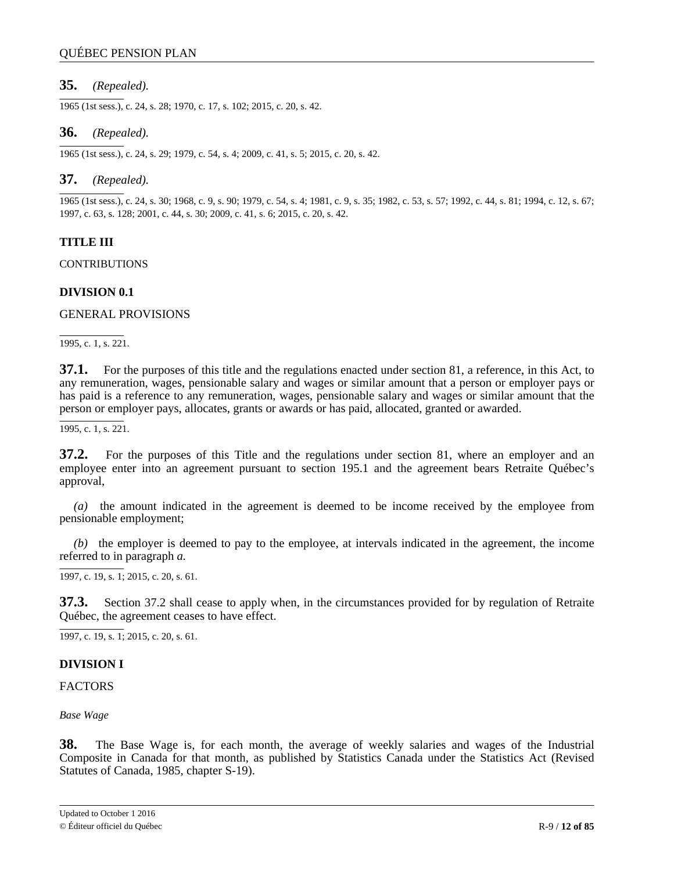# <span id="page-11-0"></span>**35.** *(Repealed).*

1965 (1st sess.), c. 24, s. 28; 1970, c. 17, s. 102; 2015, c. 20, s. 42.

# **36.** *(Repealed).*

1965 (1st sess.), c. 24, s. 29; 1979, c. 54, s. 4; 2009, c. 41, s. 5; 2015, c. 20, s. 42.

# **37.** *(Repealed).*

1965 (1st sess.), c. 24, s. 30; 1968, c. 9, s. 90; 1979, c. 54, s. 4; 1981, c. 9, s. 35; 1982, c. 53, s. 57; 1992, c. 44, s. 81; 1994, c. 12, s. 67; 1997, c. 63, s. 128; 2001, c. 44, s. 30; 2009, c. 41, s. 6; 2015, c. 20, s. 42.

# **TITLE III**

CONTRIBUTIONS

## **DIVISION 0.1**

GENERAL PROVISIONS

1995, c. 1, s. 221.

**37.1.** For the purposes of this title and the regulations enacted under section 81, a reference, in this Act, to any remuneration, wages, pensionable salary and wages or similar amount that a person or employer pays or has paid is a reference to any remuneration, wages, pensionable salary and wages or similar amount that the person or employer pays, allocates, grants or awards or has paid, allocated, granted or awarded.

1995, c. 1, s. 221.

**37.2.** For the purposes of this Title and the regulations under section 81, where an employer and an employee enter into an agreement pursuant to section 195.1 and the agreement bears Retraite Québec's approval,

*(a)* the amount indicated in the agreement is deemed to be income received by the employee from pensionable employment;

*(b)* the employer is deemed to pay to the employee, at intervals indicated in the agreement, the income referred to in paragraph *a.*

1997, c. 19, s. 1; 2015, c. 20, s. 61.

**37.3.** Section 37.2 shall cease to apply when, in the circumstances provided for by regulation of Retraite Québec, the agreement ceases to have effect.

1997, c. 19, s. 1; 2015, c. 20, s. 61.

### **DIVISION I**

**FACTORS** 

*Base Wage*

**38.** The Base Wage is, for each month, the average of weekly salaries and wages of the Industrial Composite in Canada for that month, as published by Statistics Canada under the Statistics Act (Revised Statutes of Canada, 1985, chapter S-19).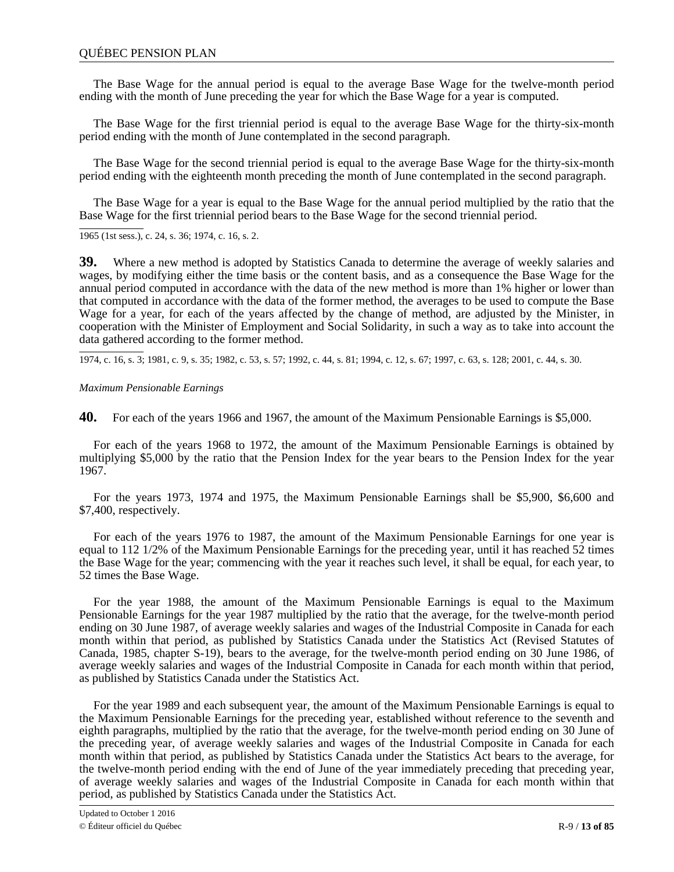# <span id="page-12-0"></span>QUÉBEC PENSION PLAN

The Base Wage for the annual period is equal to the average Base Wage for the twelve-month period ending with the month of June preceding the year for which the Base Wage for a year is computed.

The Base Wage for the first triennial period is equal to the average Base Wage for the thirty-six-month period ending with the month of June contemplated in the second paragraph.

The Base Wage for the second triennial period is equal to the average Base Wage for the thirty-six-month period ending with the eighteenth month preceding the month of June contemplated in the second paragraph.

The Base Wage for a year is equal to the Base Wage for the annual period multiplied by the ratio that the Base Wage for the first triennial period bears to the Base Wage for the second triennial period.

1965 (1st sess.), c. 24, s. 36; 1974, c. 16, s. 2.

**39.** Where a new method is adopted by Statistics Canada to determine the average of weekly salaries and wages, by modifying either the time basis or the content basis, and as a consequence the Base Wage for the annual period computed in accordance with the data of the new method is more than 1% higher or lower than that computed in accordance with the data of the former method, the averages to be used to compute the Base Wage for a year, for each of the years affected by the change of method, are adjusted by the Minister, in cooperation with the Minister of Employment and Social Solidarity, in such a way as to take into account the data gathered according to the former method.

1974, c. 16, s. 3; 1981, c. 9, s. 35; 1982, c. 53, s. 57; 1992, c. 44, s. 81; 1994, c. 12, s. 67; 1997, c. 63, s. 128; 2001, c. 44, s. 30.

### *Maximum Pensionable Earnings*

**40.** For each of the years 1966 and 1967, the amount of the Maximum Pensionable Earnings is \$5,000.

For each of the years 1968 to 1972, the amount of the Maximum Pensionable Earnings is obtained by multiplying \$5,000 by the ratio that the Pension Index for the year bears to the Pension Index for the year 1967.

For the years 1973, 1974 and 1975, the Maximum Pensionable Earnings shall be \$5,900, \$6,600 and \$7,400, respectively.

For each of the years 1976 to 1987, the amount of the Maximum Pensionable Earnings for one year is equal to 112 1/2% of the Maximum Pensionable Earnings for the preceding year, until it has reached 52 times the Base Wage for the year; commencing with the year it reaches such level, it shall be equal, for each year, to 52 times the Base Wage.

For the year 1988, the amount of the Maximum Pensionable Earnings is equal to the Maximum Pensionable Earnings for the year 1987 multiplied by the ratio that the average, for the twelve-month period ending on 30 June 1987, of average weekly salaries and wages of the Industrial Composite in Canada for each month within that period, as published by Statistics Canada under the Statistics Act (Revised Statutes of Canada, 1985, chapter S-19), bears to the average, for the twelve-month period ending on 30 June 1986, of average weekly salaries and wages of the Industrial Composite in Canada for each month within that period, as published by Statistics Canada under the Statistics Act.

For the year 1989 and each subsequent year, the amount of the Maximum Pensionable Earnings is equal to the Maximum Pensionable Earnings for the preceding year, established without reference to the seventh and eighth paragraphs, multiplied by the ratio that the average, for the twelve-month period ending on 30 June of the preceding year, of average weekly salaries and wages of the Industrial Composite in Canada for each month within that period, as published by Statistics Canada under the Statistics Act bears to the average, for the twelve-month period ending with the end of June of the year immediately preceding that preceding year, of average weekly salaries and wages of the Industrial Composite in Canada for each month within that period, as published by Statistics Canada under the Statistics Act.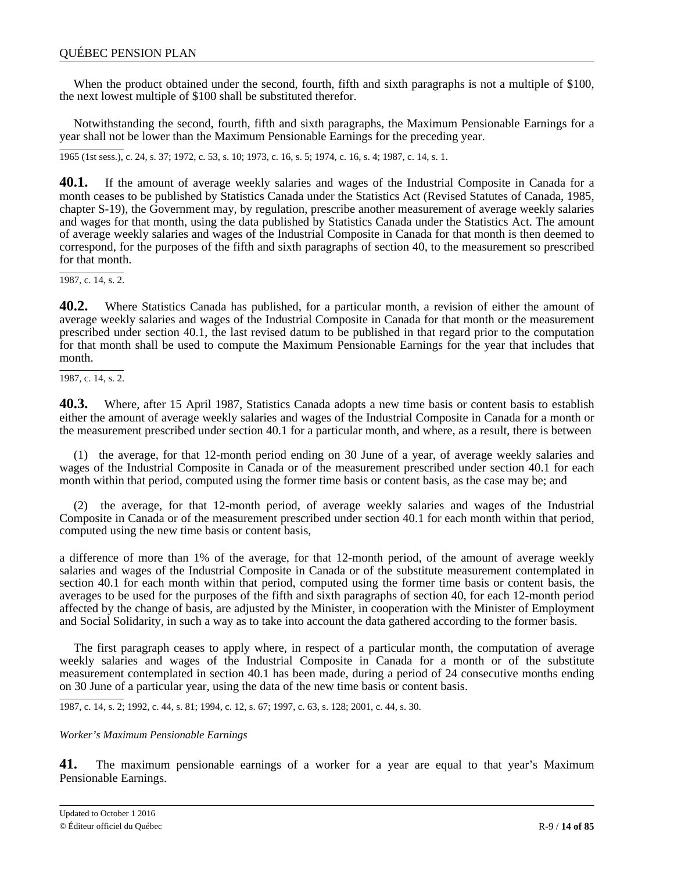<span id="page-13-0"></span>When the product obtained under the second, fourth, fifth and sixth paragraphs is not a multiple of \$100, the next lowest multiple of \$100 shall be substituted therefor.

Notwithstanding the second, fourth, fifth and sixth paragraphs, the Maximum Pensionable Earnings for a year shall not be lower than the Maximum Pensionable Earnings for the preceding year.

1965 (1st sess.), c. 24, s. 37; 1972, c. 53, s. 10; 1973, c. 16, s. 5; 1974, c. 16, s. 4; 1987, c. 14, s. 1.

**40.1.** If the amount of average weekly salaries and wages of the Industrial Composite in Canada for a month ceases to be published by Statistics Canada under the Statistics Act (Revised Statutes of Canada, 1985, chapter S-19), the Government may, by regulation, prescribe another measurement of average weekly salaries and wages for that month, using the data published by Statistics Canada under the Statistics Act. The amount of average weekly salaries and wages of the Industrial Composite in Canada for that month is then deemed to correspond, for the purposes of the fifth and sixth paragraphs of section 40, to the measurement so prescribed for that month.

 $\overline{1987, c. 14, s. 2}.$ 

**40.2.** Where Statistics Canada has published, for a particular month, a revision of either the amount of average weekly salaries and wages of the Industrial Composite in Canada for that month or the measurement prescribed under section 40.1, the last revised datum to be published in that regard prior to the computation for that month shall be used to compute the Maximum Pensionable Earnings for the year that includes that month.

1987, c. 14, s. 2.

**40.3.** Where, after 15 April 1987, Statistics Canada adopts a new time basis or content basis to establish either the amount of average weekly salaries and wages of the Industrial Composite in Canada for a month or the measurement prescribed under section 40.1 for a particular month, and where, as a result, there is between

(1) the average, for that 12-month period ending on 30 June of a year, of average weekly salaries and wages of the Industrial Composite in Canada or of the measurement prescribed under section 40.1 for each month within that period, computed using the former time basis or content basis, as the case may be; and

(2) the average, for that 12-month period, of average weekly salaries and wages of the Industrial Composite in Canada or of the measurement prescribed under section 40.1 for each month within that period, computed using the new time basis or content basis,

a difference of more than 1% of the average, for that 12-month period, of the amount of average weekly salaries and wages of the Industrial Composite in Canada or of the substitute measurement contemplated in section 40.1 for each month within that period, computed using the former time basis or content basis, the averages to be used for the purposes of the fifth and sixth paragraphs of section 40, for each 12-month period affected by the change of basis, are adjusted by the Minister, in cooperation with the Minister of Employment and Social Solidarity, in such a way as to take into account the data gathered according to the former basis.

The first paragraph ceases to apply where, in respect of a particular month, the computation of average weekly salaries and wages of the Industrial Composite in Canada for a month or of the substitute measurement contemplated in section 40.1 has been made, during a period of 24 consecutive months ending on 30 June of a particular year, using the data of the new time basis or content basis.

1987, c. 14, s. 2; 1992, c. 44, s. 81; 1994, c. 12, s. 67; 1997, c. 63, s. 128; 2001, c. 44, s. 30.

*Worker's Maximum Pensionable Earnings*

**41.** The maximum pensionable earnings of a worker for a year are equal to that year's Maximum Pensionable Earnings.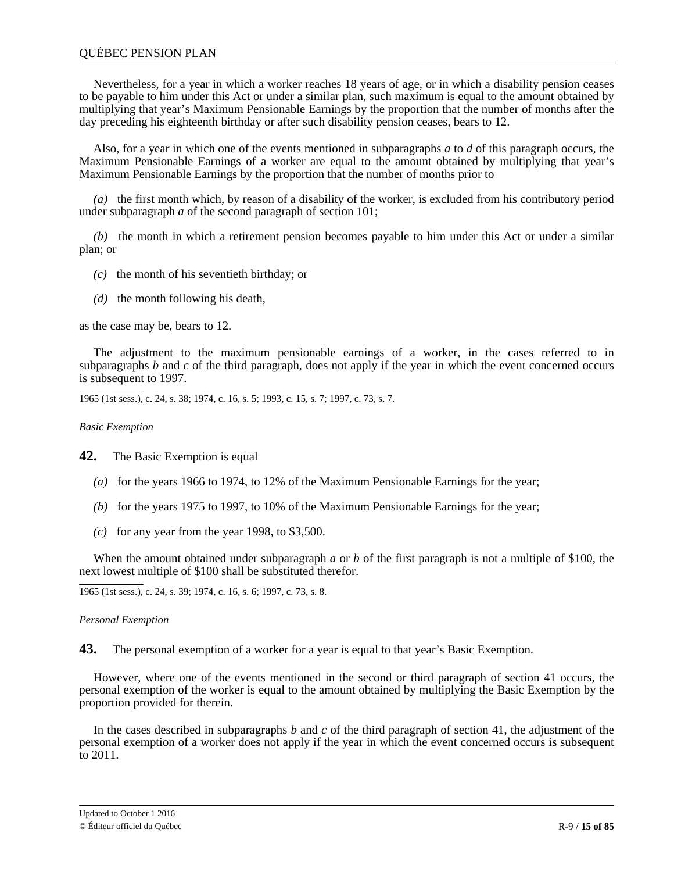## <span id="page-14-0"></span>QUÉBEC PENSION PLAN

Nevertheless, for a year in which a worker reaches 18 years of age, or in which a disability pension ceases to be payable to him under this Act or under a similar plan, such maximum is equal to the amount obtained by multiplying that year's Maximum Pensionable Earnings by the proportion that the number of months after the day preceding his eighteenth birthday or after such disability pension ceases, bears to 12.

Also, for a year in which one of the events mentioned in subparagraphs *a* to *d* of this paragraph occurs, the Maximum Pensionable Earnings of a worker are equal to the amount obtained by multiplying that year's Maximum Pensionable Earnings by the proportion that the number of months prior to

*(a)* the first month which, by reason of a disability of the worker, is excluded from his contributory period under subparagraph *a* of the second paragraph of section 101;

*(b)* the month in which a retirement pension becomes payable to him under this Act or under a similar plan; or

- *(c)* the month of his seventieth birthday; or
- *(d)* the month following his death,

as the case may be, bears to 12.

The adjustment to the maximum pensionable earnings of a worker, in the cases referred to in subparagraphs *b* and *c* of the third paragraph, does not apply if the year in which the event concerned occurs is subsequent to 1997.

1965 (1st sess.), c. 24, s. 38; 1974, c. 16, s. 5; 1993, c. 15, s. 7; 1997, c. 73, s. 7.

*Basic Exemption*

**42.** The Basic Exemption is equal

- *(a)* for the years 1966 to 1974, to 12% of the Maximum Pensionable Earnings for the year;
- *(b)* for the years 1975 to 1997, to 10% of the Maximum Pensionable Earnings for the year;
- $(c)$  for any year from the year 1998, to \$3,500.

When the amount obtained under subparagraph *a* or *b* of the first paragraph is not a multiple of \$100, the next lowest multiple of \$100 shall be substituted therefor.

1965 (1st sess.), c. 24, s. 39; 1974, c. 16, s. 6; 1997, c. 73, s. 8.

*Personal Exemption*

**43.** The personal exemption of a worker for a year is equal to that year's Basic Exemption.

However, where one of the events mentioned in the second or third paragraph of section 41 occurs, the personal exemption of the worker is equal to the amount obtained by multiplying the Basic Exemption by the proportion provided for therein.

In the cases described in subparagraphs *b* and *c* of the third paragraph of section 41, the adjustment of the personal exemption of a worker does not apply if the year in which the event concerned occurs is subsequent to 2011.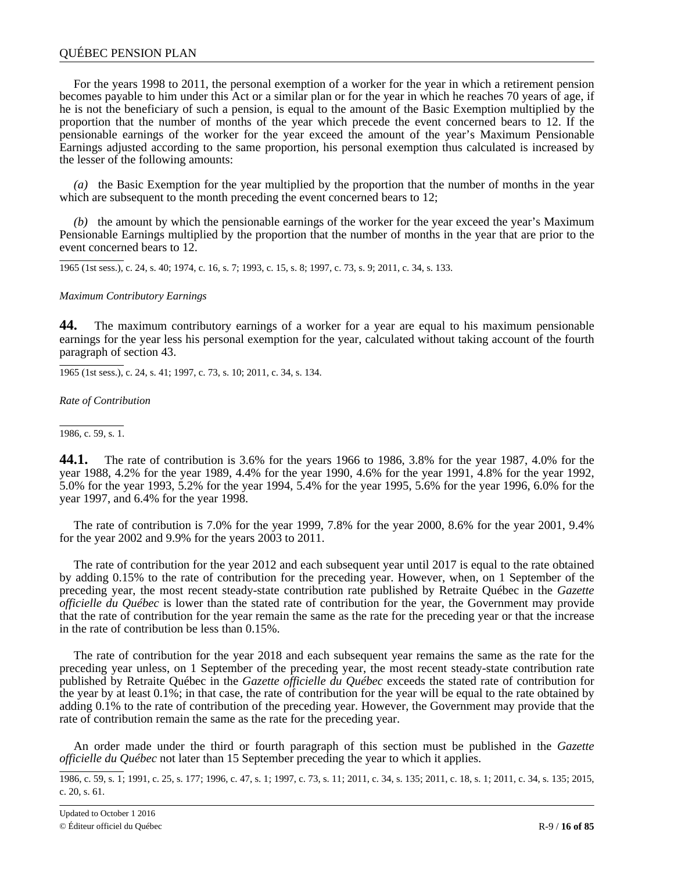## <span id="page-15-0"></span>QUÉBEC PENSION PLAN

For the years 1998 to 2011, the personal exemption of a worker for the year in which a retirement pension becomes payable to him under this Act or a similar plan or for the year in which he reaches 70 years of age, if he is not the beneficiary of such a pension, is equal to the amount of the Basic Exemption multiplied by the proportion that the number of months of the year which precede the event concerned bears to 12. If the pensionable earnings of the worker for the year exceed the amount of the year's Maximum Pensionable Earnings adjusted according to the same proportion, his personal exemption thus calculated is increased by the lesser of the following amounts:

*(a)* the Basic Exemption for the year multiplied by the proportion that the number of months in the year which are subsequent to the month preceding the event concerned bears to 12;

*(b)* the amount by which the pensionable earnings of the worker for the year exceed the year's Maximum Pensionable Earnings multiplied by the proportion that the number of months in the year that are prior to the event concerned bears to 12.

1965 (1st sess.), c. 24, s. 40; 1974, c. 16, s. 7; 1993, c. 15, s. 8; 1997, c. 73, s. 9; 2011, c. 34, s. 133.

#### *Maximum Contributory Earnings*

**44.** The maximum contributory earnings of a worker for a year are equal to his maximum pensionable earnings for the year less his personal exemption for the year, calculated without taking account of the fourth paragraph of section 43.

1965 (1st sess.), c. 24, s. 41; 1997, c. 73, s. 10; 2011, c. 34, s. 134.

*Rate of Contribution*

1986, c. 59, s. 1.

**44.1.** The rate of contribution is 3.6% for the years 1966 to 1986, 3.8% for the year 1987, 4.0% for the year 1988, 4.2% for the year 1989, 4.4% for the year 1990, 4.6% for the year 1991, 4.8% for the year 1992, 5.0% for the year 1993, 5.2% for the year 1994, 5.4% for the year 1995, 5.6% for the year 1996, 6.0% for the year 1997, and 6.4% for the year 1998.

The rate of contribution is 7.0% for the year 1999, 7.8% for the year 2000, 8.6% for the year 2001, 9.4% for the year 2002 and 9.9% for the years 2003 to 2011.

The rate of contribution for the year 2012 and each subsequent year until 2017 is equal to the rate obtained by adding 0.15% to the rate of contribution for the preceding year. However, when, on 1 September of the preceding year, the most recent steady-state contribution rate published by Retraite Québec in the *Gazette officielle du Québec* is lower than the stated rate of contribution for the year, the Government may provide that the rate of contribution for the year remain the same as the rate for the preceding year or that the increase in the rate of contribution be less than 0.15%.

The rate of contribution for the year 2018 and each subsequent year remains the same as the rate for the preceding year unless, on 1 September of the preceding year, the most recent steady-state contribution rate published by Retraite Québec in the *Gazette officielle du Québec* exceeds the stated rate of contribution for the year by at least 0.1%; in that case, the rate of contribution for the year will be equal to the rate obtained by adding 0.1% to the rate of contribution of the preceding year. However, the Government may provide that the rate of contribution remain the same as the rate for the preceding year.

An order made under the third or fourth paragraph of this section must be published in the *Gazette officielle du Québec* not later than 15 September preceding the year to which it applies.

<sup>1986,</sup> c. 59, s. 1; 1991, c. 25, s. 177; 1996, c. 47, s. 1; 1997, c. 73, s. 11; 2011, c. 34, s. 135; 2011, c. 18, s. 1; 2011, c. 34, s. 135; 2015, c. 20, s. 61.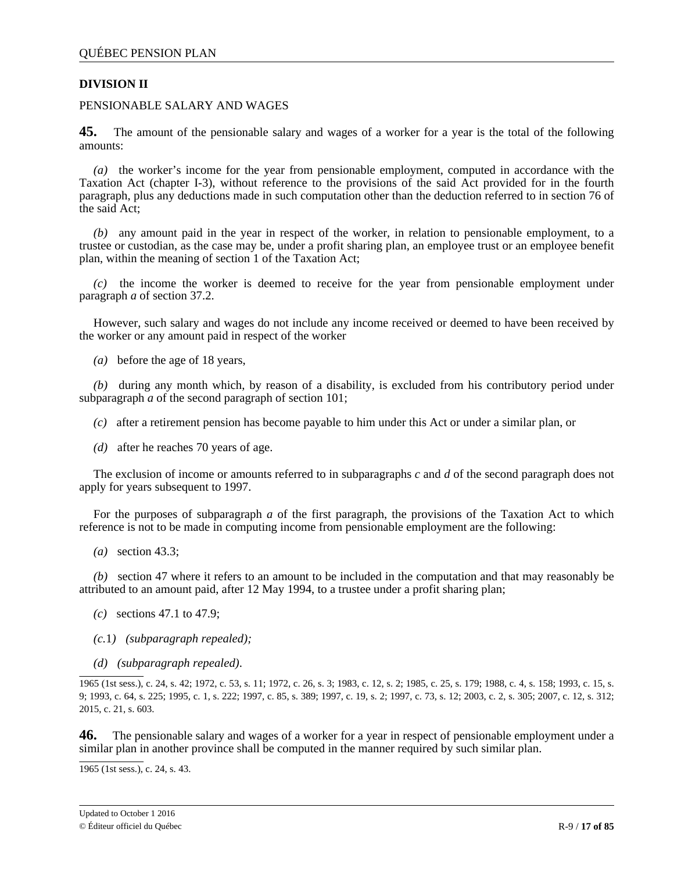# <span id="page-16-0"></span>**DIVISION II**

# PENSIONABLE SALARY AND WAGES

**45.** The amount of the pensionable salary and wages of a worker for a year is the total of the following amounts:

*(a)* the worker's income for the year from pensionable employment, computed in accordance with the Taxation Act (chapter I-3), without reference to the provisions of the said Act provided for in the fourth paragraph, plus any deductions made in such computation other than the deduction referred to in section 76 of the said Act;

*(b)* any amount paid in the year in respect of the worker, in relation to pensionable employment, to a trustee or custodian, as the case may be, under a profit sharing plan, an employee trust or an employee benefit plan, within the meaning of section 1 of the Taxation Act;

*(c)* the income the worker is deemed to receive for the year from pensionable employment under paragraph *a* of section 37.2.

However, such salary and wages do not include any income received or deemed to have been received by the worker or any amount paid in respect of the worker

*(a)* before the age of 18 years,

*(b)* during any month which, by reason of a disability, is excluded from his contributory period under subparagraph *a* of the second paragraph of section 101;

- *(c)* after a retirement pension has become payable to him under this Act or under a similar plan, or
- *(d)* after he reaches 70 years of age.

The exclusion of income or amounts referred to in subparagraphs *c* and *d* of the second paragraph does not apply for years subsequent to 1997.

For the purposes of subparagraph *a* of the first paragraph, the provisions of the Taxation Act to which reference is not to be made in computing income from pensionable employment are the following:

*(a)* section 43.3;

*(b)* section 47 where it refers to an amount to be included in the computation and that may reasonably be attributed to an amount paid, after 12 May 1994, to a trustee under a profit sharing plan;

- *(c)* sections 47.1 to 47.9;
- *(c.*1*) (subparagraph repealed);*
- *(d) (subparagraph repealed)*.

1965 (1st sess.), c. 24, s. 42; 1972, c. 53, s. 11; 1972, c. 26, s. 3; 1983, c. 12, s. 2; 1985, c. 25, s. 179; 1988, c. 4, s. 158; 1993, c. 15, s. 9; 1993, c. 64, s. 225; 1995, c. 1, s. 222; 1997, c. 85, s. 389; 1997, c. 19, s. 2; 1997, c. 73, s. 12; 2003, c. 2, s. 305; 2007, c. 12, s. 312; 2015, c. 21, s. 603.

**46.** The pensionable salary and wages of a worker for a year in respect of pensionable employment under a similar plan in another province shall be computed in the manner required by such similar plan.

1965 (1st sess.), c. 24, s. 43.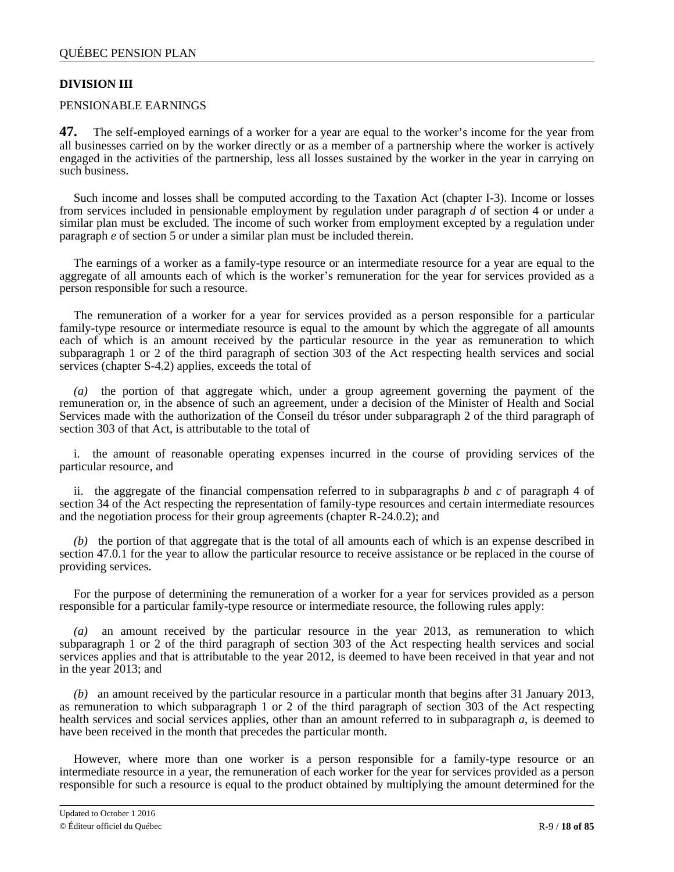# <span id="page-17-0"></span>**DIVISION III**

# PENSIONABLE EARNINGS

**47.** The self-employed earnings of a worker for a year are equal to the worker's income for the year from all businesses carried on by the worker directly or as a member of a partnership where the worker is actively engaged in the activities of the partnership, less all losses sustained by the worker in the year in carrying on such business.

Such income and losses shall be computed according to the Taxation Act (chapter I-3). Income or losses from services included in pensionable employment by regulation under paragraph *d* of section 4 or under a similar plan must be excluded. The income of such worker from employment excepted by a regulation under paragraph *e* of section 5 or under a similar plan must be included therein.

The earnings of a worker as a family-type resource or an intermediate resource for a year are equal to the aggregate of all amounts each of which is the worker's remuneration for the year for services provided as a person responsible for such a resource.

The remuneration of a worker for a year for services provided as a person responsible for a particular family-type resource or intermediate resource is equal to the amount by which the aggregate of all amounts each of which is an amount received by the particular resource in the year as remuneration to which subparagraph 1 or 2 of the third paragraph of section 303 of the Act respecting health services and social services (chapter S-4.2) applies, exceeds the total of

*(a)* the portion of that aggregate which, under a group agreement governing the payment of the remuneration or, in the absence of such an agreement, under a decision of the Minister of Health and Social Services made with the authorization of the Conseil du trésor under subparagraph 2 of the third paragraph of section 303 of that Act, is attributable to the total of

i. the amount of reasonable operating expenses incurred in the course of providing services of the particular resource, and

ii. the aggregate of the financial compensation referred to in subparagraphs *b* and *c* of paragraph 4 of section 34 of the Act respecting the representation of family-type resources and certain intermediate resources and the negotiation process for their group agreements (chapter R-24.0.2); and

*(b)* the portion of that aggregate that is the total of all amounts each of which is an expense described in section 47.0.1 for the year to allow the particular resource to receive assistance or be replaced in the course of providing services.

For the purpose of determining the remuneration of a worker for a year for services provided as a person responsible for a particular family-type resource or intermediate resource, the following rules apply:

*(a)* an amount received by the particular resource in the year 2013, as remuneration to which subparagraph 1 or 2 of the third paragraph of section 303 of the Act respecting health services and social services applies and that is attributable to the year 2012, is deemed to have been received in that year and not in the year 2013; and

*(b)* an amount received by the particular resource in a particular month that begins after 31 January 2013, as remuneration to which subparagraph 1 or 2 of the third paragraph of section 303 of the Act respecting health services and social services applies, other than an amount referred to in subparagraph *a*, is deemed to have been received in the month that precedes the particular month.

However, where more than one worker is a person responsible for a family-type resource or an intermediate resource in a year, the remuneration of each worker for the year for services provided as a person responsible for such a resource is equal to the product obtained by multiplying the amount determined for the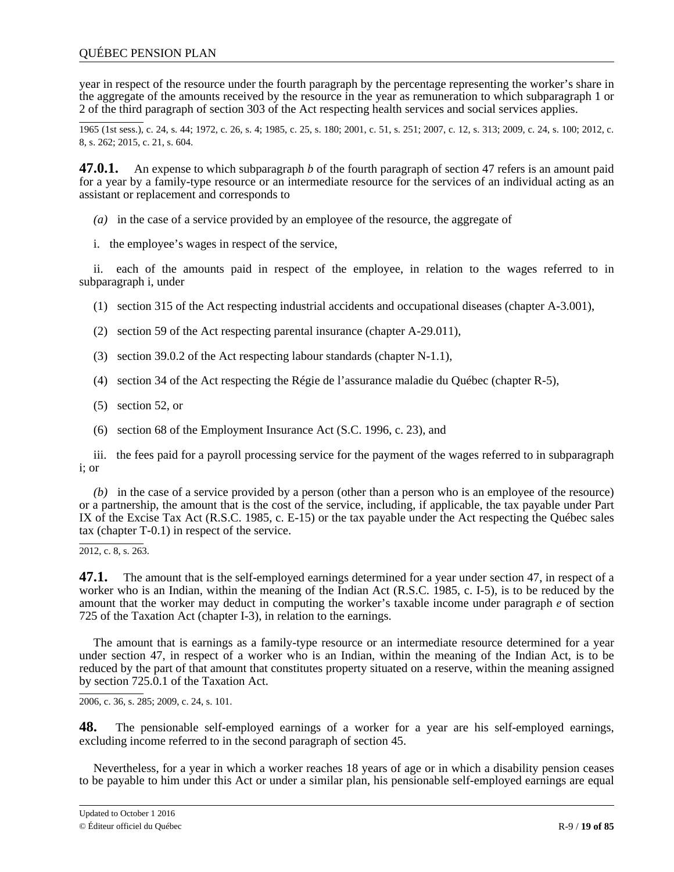year in respect of the resource under the fourth paragraph by the percentage representing the worker's share in the aggregate of the amounts received by the resource in the year as remuneration to which subparagraph 1 or 2 of the third paragraph of section 303 of the Act respecting health services and social services applies.

1965 (1st sess.), c. 24, s. 44; 1972, c. 26, s. 4; 1985, c. 25, s. 180; 2001, c. 51, s. 251; 2007, c. 12, s. 313; 2009, c. 24, s. 100; 2012, c. 8, s. 262; 2015, c. 21, s. 604.

**47.0.1.** An expense to which subparagraph *b* of the fourth paragraph of section 47 refers is an amount paid for a year by a family-type resource or an intermediate resource for the services of an individual acting as an assistant or replacement and corresponds to

- *(a)* in the case of a service provided by an employee of the resource, the aggregate of
- i. the employee's wages in respect of the service,

ii. each of the amounts paid in respect of the employee, in relation to the wages referred to in subparagraph i, under

- (1) section 315 of the Act respecting industrial accidents and occupational diseases (chapter A-3.001),
- (2) section 59 of the Act respecting parental insurance (chapter A-29.011),
- (3) section 39.0.2 of the Act respecting labour standards (chapter N-1.1),
- (4) section 34 of the Act respecting the Régie de l'assurance maladie du Québec (chapter R-5),
- (5) section 52, or
- (6) section 68 of the Employment Insurance Act (S.C. 1996, c. 23), and

iii. the fees paid for a payroll processing service for the payment of the wages referred to in subparagraph i; or

*(b)* in the case of a service provided by a person (other than a person who is an employee of the resource) or a partnership, the amount that is the cost of the service, including, if applicable, the tax payable under Part IX of the Excise Tax Act (R.S.C. 1985, c. E-15) or the tax payable under the Act respecting the Québec sales tax (chapter T-0.1) in respect of the service.

2012, c. 8, s. 263.

**47.1.** The amount that is the self-employed earnings determined for a year under section 47, in respect of a worker who is an Indian, within the meaning of the Indian Act (R.S.C. 1985, c. I-5), is to be reduced by the amount that the worker may deduct in computing the worker's taxable income under paragraph *e* of section 725 of the Taxation Act (chapter I-3), in relation to the earnings.

The amount that is earnings as a family-type resource or an intermediate resource determined for a year under section 47, in respect of a worker who is an Indian, within the meaning of the Indian Act, is to be reduced by the part of that amount that constitutes property situated on a reserve, within the meaning assigned by section 725.0.1 of the Taxation Act.

2006, c. 36, s. 285; 2009, c. 24, s. 101.

**48.** The pensionable self-employed earnings of a worker for a year are his self-employed earnings, excluding income referred to in the second paragraph of section 45.

Nevertheless, for a year in which a worker reaches 18 years of age or in which a disability pension ceases to be payable to him under this Act or under a similar plan, his pensionable self-employed earnings are equal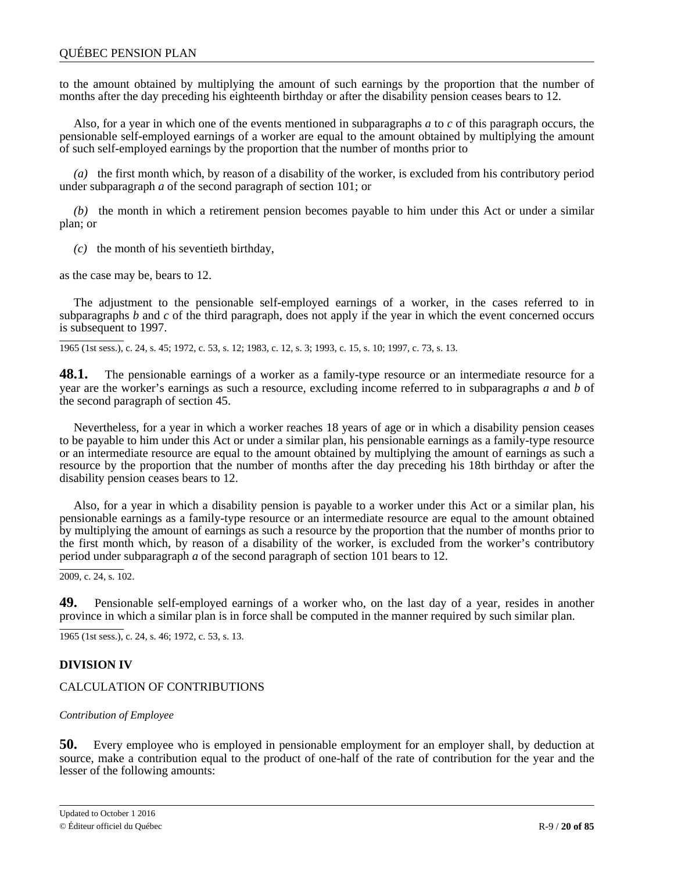<span id="page-19-0"></span>to the amount obtained by multiplying the amount of such earnings by the proportion that the number of months after the day preceding his eighteenth birthday or after the disability pension ceases bears to 12.

Also, for a year in which one of the events mentioned in subparagraphs *a* to *c* of this paragraph occurs, the pensionable self-employed earnings of a worker are equal to the amount obtained by multiplying the amount of such self-employed earnings by the proportion that the number of months prior to

*(a)* the first month which, by reason of a disability of the worker, is excluded from his contributory period under subparagraph *a* of the second paragraph of section 101; or

*(b)* the month in which a retirement pension becomes payable to him under this Act or under a similar plan; or

*(c)* the month of his seventieth birthday,

as the case may be, bears to 12.

The adjustment to the pensionable self-employed earnings of a worker, in the cases referred to in subparagraphs *b* and *c* of the third paragraph, does not apply if the year in which the event concerned occurs is subsequent to 1997.

1965 (1st sess.), c. 24, s. 45; 1972, c. 53, s. 12; 1983, c. 12, s. 3; 1993, c. 15, s. 10; 1997, c. 73, s. 13.

**48.1.** The pensionable earnings of a worker as a family-type resource or an intermediate resource for a year are the worker's earnings as such a resource, excluding income referred to in subparagraphs *a* and *b* of the second paragraph of section 45.

Nevertheless, for a year in which a worker reaches 18 years of age or in which a disability pension ceases to be payable to him under this Act or under a similar plan, his pensionable earnings as a family-type resource or an intermediate resource are equal to the amount obtained by multiplying the amount of earnings as such a resource by the proportion that the number of months after the day preceding his 18th birthday or after the disability pension ceases bears to 12.

Also, for a year in which a disability pension is payable to a worker under this Act or a similar plan, his pensionable earnings as a family-type resource or an intermediate resource are equal to the amount obtained by multiplying the amount of earnings as such a resource by the proportion that the number of months prior to the first month which, by reason of a disability of the worker, is excluded from the worker's contributory period under subparagraph *a* of the second paragraph of section 101 bears to 12.

 $\overline{2009}$ , c. 24, s. 102.

**49.** Pensionable self-employed earnings of a worker who, on the last day of a year, resides in another province in which a similar plan is in force shall be computed in the manner required by such similar plan.

1965 (1st sess.), c. 24, s. 46; 1972, c. 53, s. 13.

# **DIVISION IV**

# CALCULATION OF CONTRIBUTIONS

### *Contribution of Employee*

**50.** Every employee who is employed in pensionable employment for an employer shall, by deduction at source, make a contribution equal to the product of one-half of the rate of contribution for the year and the lesser of the following amounts: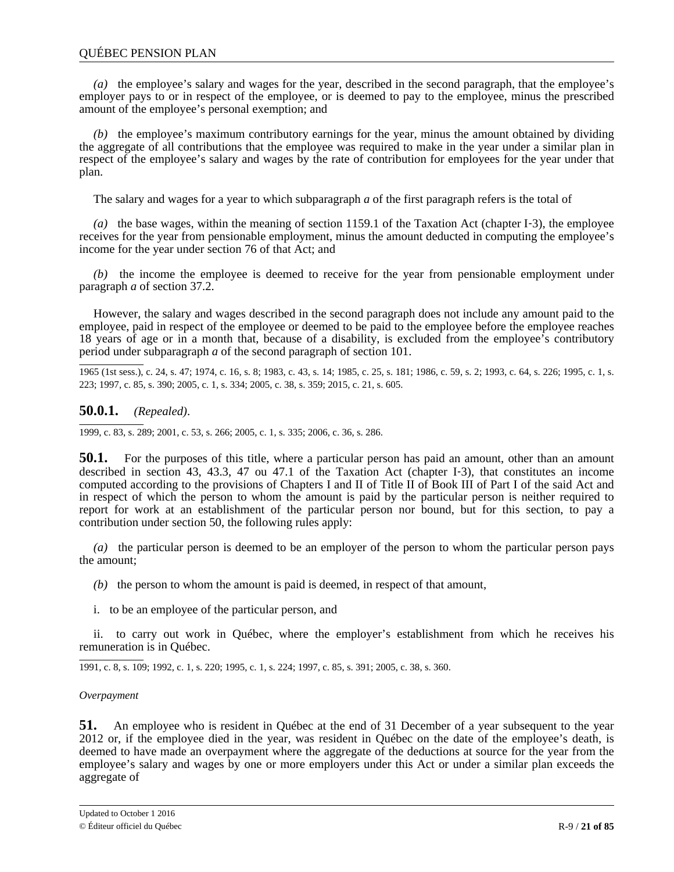<span id="page-20-0"></span>*(a)* the employee's salary and wages for the year, described in the second paragraph, that the employee's employer pays to or in respect of the employee, or is deemed to pay to the employee, minus the prescribed amount of the employee's personal exemption; and

*(b)* the employee's maximum contributory earnings for the year, minus the amount obtained by dividing the aggregate of all contributions that the employee was required to make in the year under a similar plan in respect of the employee's salary and wages by the rate of contribution for employees for the year under that plan.

The salary and wages for a year to which subparagraph *a* of the first paragraph refers is the total of

*(a)* the base wages, within the meaning of section 1159.1 of the Taxation Act (chapter I‐3), the employee receives for the year from pensionable employment, minus the amount deducted in computing the employee's income for the year under section 76 of that Act; and

*(b)* the income the employee is deemed to receive for the year from pensionable employment under paragraph *a* of section 37.2.

However, the salary and wages described in the second paragraph does not include any amount paid to the employee, paid in respect of the employee or deemed to be paid to the employee before the employee reaches 18 years of age or in a month that, because of a disability, is excluded from the employee's contributory period under subparagraph *a* of the second paragraph of section 101.

1965 (1st sess.), c. 24, s. 47; 1974, c. 16, s. 8; 1983, c. 43, s. 14; 1985, c. 25, s. 181; 1986, c. 59, s. 2; 1993, c. 64, s. 226; 1995, c. 1, s. 223; 1997, c. 85, s. 390; 2005, c. 1, s. 334; 2005, c. 38, s. 359; 2015, c. 21, s. 605.

# **50.0.1.** *(Repealed)*.

1999, c. 83, s. 289; 2001, c. 53, s. 266; 2005, c. 1, s. 335; 2006, c. 36, s. 286.

**50.1.** For the purposes of this title, where a particular person has paid an amount, other than an amount described in section 43, 43.3, 47 ou 47.1 of the Taxation Act (chapter I‐3), that constitutes an income computed according to the provisions of Chapters I and II of Title II of Book III of Part I of the said Act and in respect of which the person to whom the amount is paid by the particular person is neither required to report for work at an establishment of the particular person nor bound, but for this section, to pay a contribution under section 50, the following rules apply:

*(a)* the particular person is deemed to be an employer of the person to whom the particular person pays the amount;

*(b)* the person to whom the amount is paid is deemed, in respect of that amount,

i. to be an employee of the particular person, and

ii. to carry out work in Québec, where the employer's establishment from which he receives his remuneration is in Québec.

1991, c. 8, s. 109; 1992, c. 1, s. 220; 1995, c. 1, s. 224; 1997, c. 85, s. 391; 2005, c. 38, s. 360.

### *Overpayment*

**51.** An employee who is resident in Québec at the end of 31 December of a year subsequent to the year 2012 or, if the employee died in the year, was resident in Québec on the date of the employee's death, is deemed to have made an overpayment where the aggregate of the deductions at source for the year from the employee's salary and wages by one or more employers under this Act or under a similar plan exceeds the aggregate of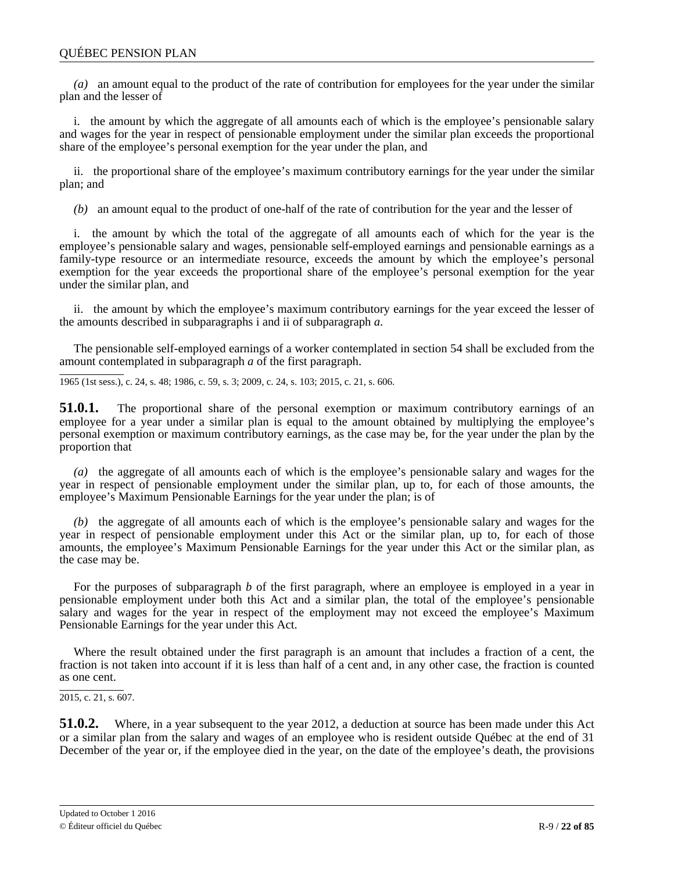*(a)* an amount equal to the product of the rate of contribution for employees for the year under the similar plan and the lesser of

i. the amount by which the aggregate of all amounts each of which is the employee's pensionable salary and wages for the year in respect of pensionable employment under the similar plan exceeds the proportional share of the employee's personal exemption for the year under the plan, and

ii. the proportional share of the employee's maximum contributory earnings for the year under the similar plan; and

*(b)* an amount equal to the product of one-half of the rate of contribution for the year and the lesser of

i. the amount by which the total of the aggregate of all amounts each of which for the year is the employee's pensionable salary and wages, pensionable self-employed earnings and pensionable earnings as a family-type resource or an intermediate resource, exceeds the amount by which the employee's personal exemption for the year exceeds the proportional share of the employee's personal exemption for the year under the similar plan, and

ii. the amount by which the employee's maximum contributory earnings for the year exceed the lesser of the amounts described in subparagraphs i and ii of subparagraph *a*.

The pensionable self-employed earnings of a worker contemplated in section 54 shall be excluded from the amount contemplated in subparagraph *a* of the first paragraph.

1965 (1st sess.), c. 24, s. 48; 1986, c. 59, s. 3; 2009, c. 24, s. 103; 2015, c. 21, s. 606.

**51.0.1.** The proportional share of the personal exemption or maximum contributory earnings of an employee for a year under a similar plan is equal to the amount obtained by multiplying the employee's personal exemption or maximum contributory earnings, as the case may be, for the year under the plan by the proportion that

*(a)* the aggregate of all amounts each of which is the employee's pensionable salary and wages for the year in respect of pensionable employment under the similar plan, up to, for each of those amounts, the employee's Maximum Pensionable Earnings for the year under the plan; is of

*(b)* the aggregate of all amounts each of which is the employee's pensionable salary and wages for the year in respect of pensionable employment under this Act or the similar plan, up to, for each of those amounts, the employee's Maximum Pensionable Earnings for the year under this Act or the similar plan, as the case may be.

For the purposes of subparagraph *b* of the first paragraph, where an employee is employed in a year in pensionable employment under both this Act and a similar plan, the total of the employee's pensionable salary and wages for the year in respect of the employment may not exceed the employee's Maximum Pensionable Earnings for the year under this Act.

Where the result obtained under the first paragraph is an amount that includes a fraction of a cent, the fraction is not taken into account if it is less than half of a cent and, in any other case, the fraction is counted as one cent.

 $2015$ , c. 21, s. 607.

**51.0.2.** Where, in a year subsequent to the year 2012, a deduction at source has been made under this Act or a similar plan from the salary and wages of an employee who is resident outside Québec at the end of 31 December of the year or, if the employee died in the year, on the date of the employee's death, the provisions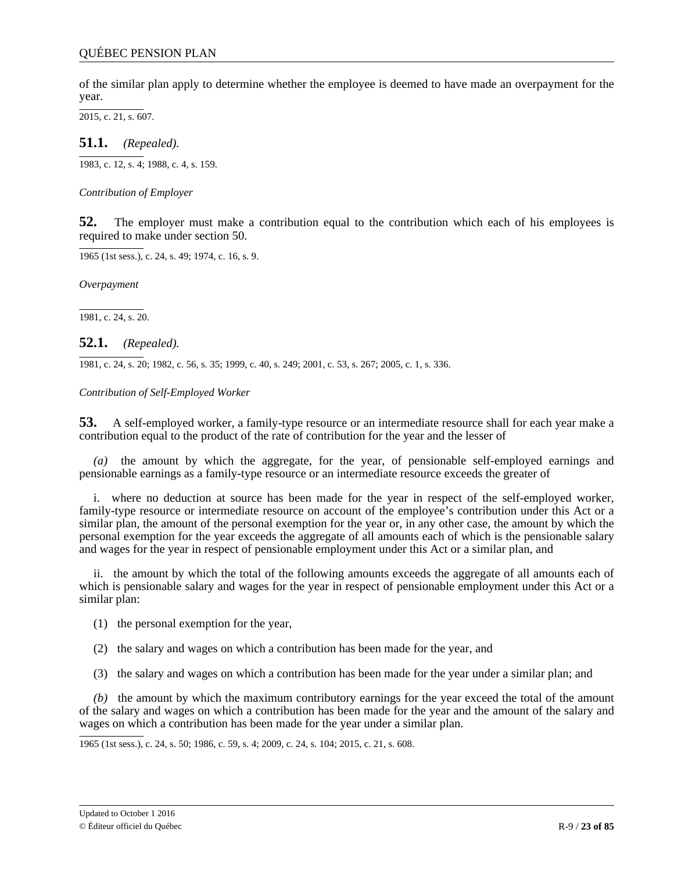<span id="page-22-0"></span>of the similar plan apply to determine whether the employee is deemed to have made an overpayment for the year.

2015, c. 21, s. 607.

**51.1.** *(Repealed).*

1983, c. 12, s. 4; 1988, c. 4, s. 159.

*Contribution of Employer*

**52.** The employer must make a contribution equal to the contribution which each of his employees is required to make under section 50.

1965 (1st sess.), c. 24, s. 49; 1974, c. 16, s. 9.

*Overpayment*

1981, c. 24, s. 20.

# **52.1.** *(Repealed).*

1981, c. 24, s. 20; 1982, c. 56, s. 35; 1999, c. 40, s. 249; 2001, c. 53, s. 267; 2005, c. 1, s. 336.

*Contribution of Self-Employed Worker*

**53.** A self-employed worker, a family-type resource or an intermediate resource shall for each year make a contribution equal to the product of the rate of contribution for the year and the lesser of

the amount by which the aggregate, for the year, of pensionable self-employed earnings and pensionable earnings as a family-type resource or an intermediate resource exceeds the greater of

i. where no deduction at source has been made for the year in respect of the self-employed worker, family-type resource or intermediate resource on account of the employee's contribution under this Act or a similar plan, the amount of the personal exemption for the year or, in any other case, the amount by which the personal exemption for the year exceeds the aggregate of all amounts each of which is the pensionable salary and wages for the year in respect of pensionable employment under this Act or a similar plan, and

ii. the amount by which the total of the following amounts exceeds the aggregate of all amounts each of which is pensionable salary and wages for the year in respect of pensionable employment under this Act or a similar plan:

(1) the personal exemption for the year,

(2) the salary and wages on which a contribution has been made for the year, and

(3) the salary and wages on which a contribution has been made for the year under a similar plan; and

*(b)* the amount by which the maximum contributory earnings for the year exceed the total of the amount of the salary and wages on which a contribution has been made for the year and the amount of the salary and wages on which a contribution has been made for the year under a similar plan.

1965 (1st sess.), c. 24, s. 50; 1986, c. 59, s. 4; 2009, c. 24, s. 104; 2015, c. 21, s. 608.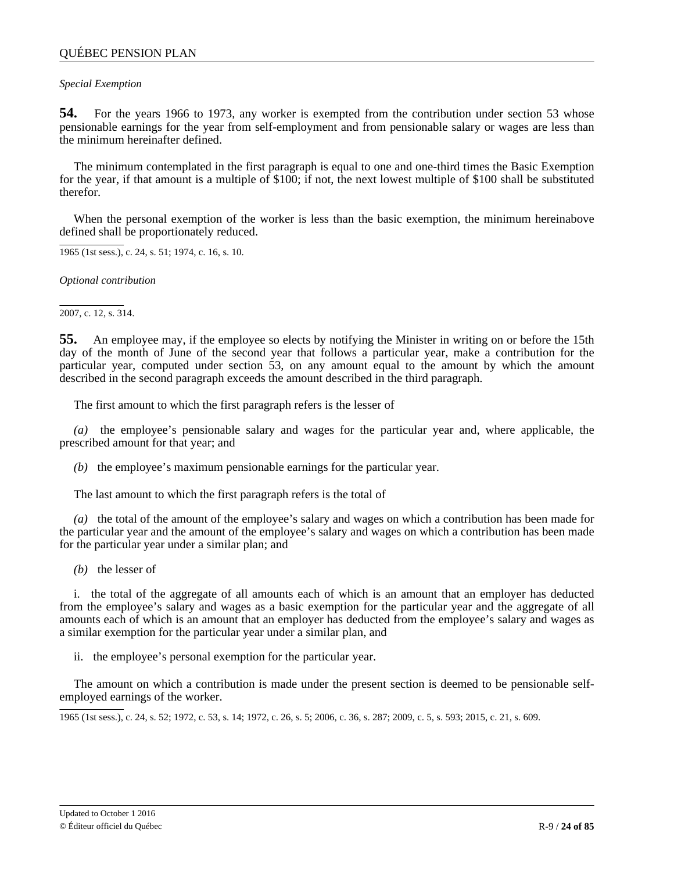### <span id="page-23-0"></span>*Special Exemption*

**54.** For the years 1966 to 1973, any worker is exempted from the contribution under section 53 whose pensionable earnings for the year from self-employment and from pensionable salary or wages are less than the minimum hereinafter defined.

The minimum contemplated in the first paragraph is equal to one and one-third times the Basic Exemption for the year, if that amount is a multiple of \$100; if not, the next lowest multiple of \$100 shall be substituted therefor.

When the personal exemption of the worker is less than the basic exemption, the minimum hereinabove defined shall be proportionately reduced.

1965 (1st sess.), c. 24, s. 51; 1974, c. 16, s. 10.

*Optional contribution*

2007, c. 12, s. 314.

**55.** An employee may, if the employee so elects by notifying the Minister in writing on or before the 15th day of the month of June of the second year that follows a particular year, make a contribution for the particular year, computed under section 53, on any amount equal to the amount by which the amount described in the second paragraph exceeds the amount described in the third paragraph.

The first amount to which the first paragraph refers is the lesser of

*(a)* the employee's pensionable salary and wages for the particular year and, where applicable, the prescribed amount for that year; and

*(b)* the employee's maximum pensionable earnings for the particular year.

The last amount to which the first paragraph refers is the total of

*(a)* the total of the amount of the employee's salary and wages on which a contribution has been made for the particular year and the amount of the employee's salary and wages on which a contribution has been made for the particular year under a similar plan; and

*(b)* the lesser of

i. the total of the aggregate of all amounts each of which is an amount that an employer has deducted from the employee's salary and wages as a basic exemption for the particular year and the aggregate of all amounts each of which is an amount that an employer has deducted from the employee's salary and wages as a similar exemption for the particular year under a similar plan, and

ii. the employee's personal exemption for the particular year.

The amount on which a contribution is made under the present section is deemed to be pensionable selfemployed earnings of the worker.

1965 (1st sess.), c. 24, s. 52; 1972, c. 53, s. 14; 1972, c. 26, s. 5; 2006, c. 36, s. 287; 2009, c. 5, s. 593; 2015, c. 21, s. 609.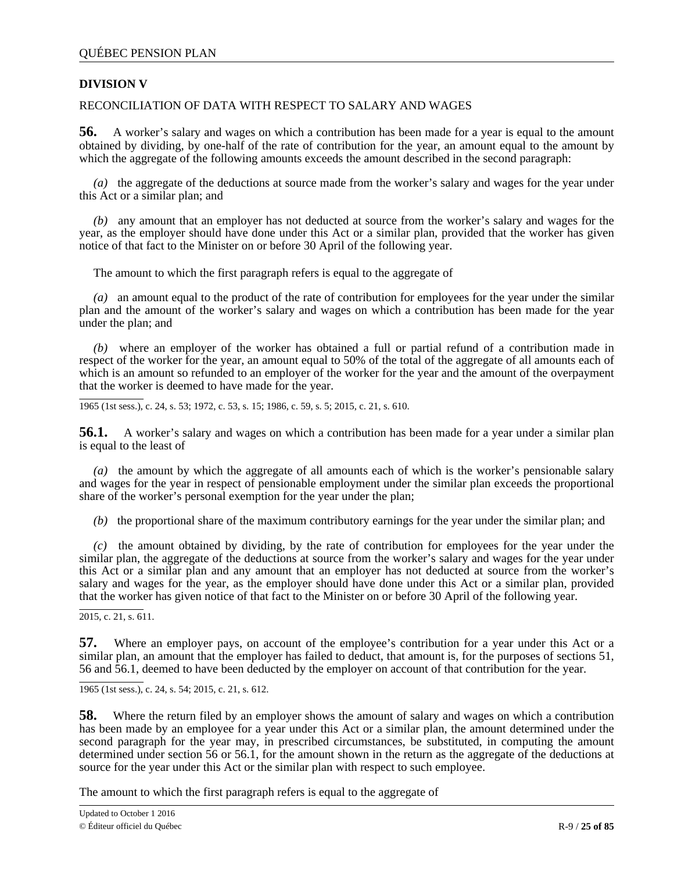# <span id="page-24-0"></span>**DIVISION V**

# RECONCILIATION OF DATA WITH RESPECT TO SALARY AND WAGES

**56.** A worker's salary and wages on which a contribution has been made for a year is equal to the amount obtained by dividing, by one-half of the rate of contribution for the year, an amount equal to the amount by which the aggregate of the following amounts exceeds the amount described in the second paragraph:

*(a)* the aggregate of the deductions at source made from the worker's salary and wages for the year under this Act or a similar plan; and

*(b)* any amount that an employer has not deducted at source from the worker's salary and wages for the year, as the employer should have done under this Act or a similar plan, provided that the worker has given notice of that fact to the Minister on or before 30 April of the following year.

The amount to which the first paragraph refers is equal to the aggregate of

*(a)* an amount equal to the product of the rate of contribution for employees for the year under the similar plan and the amount of the worker's salary and wages on which a contribution has been made for the year under the plan; and

*(b)* where an employer of the worker has obtained a full or partial refund of a contribution made in respect of the worker for the year, an amount equal to 50% of the total of the aggregate of all amounts each of which is an amount so refunded to an employer of the worker for the year and the amount of the overpayment that the worker is deemed to have made for the year.

1965 (1st sess.), c. 24, s. 53; 1972, c. 53, s. 15; 1986, c. 59, s. 5; 2015, c. 21, s. 610.

**56.1.** A worker's salary and wages on which a contribution has been made for a year under a similar plan is equal to the least of

*(a)* the amount by which the aggregate of all amounts each of which is the worker's pensionable salary and wages for the year in respect of pensionable employment under the similar plan exceeds the proportional share of the worker's personal exemption for the year under the plan;

*(b)* the proportional share of the maximum contributory earnings for the year under the similar plan; and

*(c)* the amount obtained by dividing, by the rate of contribution for employees for the year under the similar plan, the aggregate of the deductions at source from the worker's salary and wages for the year under this Act or a similar plan and any amount that an employer has not deducted at source from the worker's salary and wages for the year, as the employer should have done under this Act or a similar plan, provided that the worker has given notice of that fact to the Minister on or before 30 April of the following year.

2015, c. 21, s. 611.

**57.** Where an employer pays, on account of the employee's contribution for a year under this Act or a similar plan, an amount that the employer has failed to deduct, that amount is, for the purposes of sections 51, 56 and 56.1, deemed to have been deducted by the employer on account of that contribution for the year.

1965 (1st sess.), c. 24, s. 54; 2015, c. 21, s. 612.

**58.** Where the return filed by an employer shows the amount of salary and wages on which a contribution has been made by an employee for a year under this Act or a similar plan, the amount determined under the second paragraph for the year may, in prescribed circumstances, be substituted, in computing the amount determined under section 56 or 56.1, for the amount shown in the return as the aggregate of the deductions at source for the year under this Act or the similar plan with respect to such employee.

The amount to which the first paragraph refers is equal to the aggregate of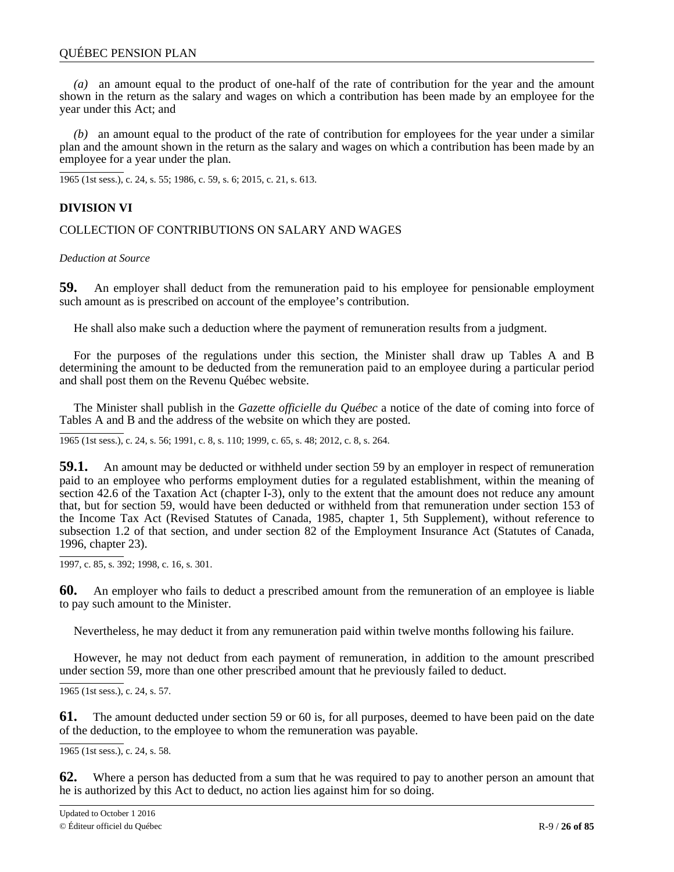<span id="page-25-0"></span>*(a)* an amount equal to the product of one-half of the rate of contribution for the year and the amount shown in the return as the salary and wages on which a contribution has been made by an employee for the year under this Act; and

*(b)* an amount equal to the product of the rate of contribution for employees for the year under a similar plan and the amount shown in the return as the salary and wages on which a contribution has been made by an employee for a year under the plan.

1965 (1st sess.), c. 24, s. 55; 1986, c. 59, s. 6; 2015, c. 21, s. 613.

## **DIVISION VI**

COLLECTION OF CONTRIBUTIONS ON SALARY AND WAGES

*Deduction at Source*

**59.** An employer shall deduct from the remuneration paid to his employee for pensionable employment such amount as is prescribed on account of the employee's contribution.

He shall also make such a deduction where the payment of remuneration results from a judgment.

For the purposes of the regulations under this section, the Minister shall draw up Tables A and B determining the amount to be deducted from the remuneration paid to an employee during a particular period and shall post them on the Revenu Québec website.

The Minister shall publish in the *Gazette officielle du Québec* a notice of the date of coming into force of Tables A and B and the address of the website on which they are posted.

1965 (1st sess.), c. 24, s. 56; 1991, c. 8, s. 110; 1999, c. 65, s. 48; 2012, c. 8, s. 264.

**59.1.** An amount may be deducted or withheld under section 59 by an employer in respect of remuneration paid to an employee who performs employment duties for a regulated establishment, within the meaning of section 42.6 of the Taxation Act (chapter I-3), only to the extent that the amount does not reduce any amount that, but for section 59, would have been deducted or withheld from that remuneration under section 153 of the Income Tax Act (Revised Statutes of Canada, 1985, chapter 1, 5th Supplement), without reference to subsection 1.2 of that section, and under section 82 of the Employment Insurance Act (Statutes of Canada, 1996, chapter 23).

1997, c. 85, s. 392; 1998, c. 16, s. 301.

**60.** An employer who fails to deduct a prescribed amount from the remuneration of an employee is liable to pay such amount to the Minister.

Nevertheless, he may deduct it from any remuneration paid within twelve months following his failure.

However, he may not deduct from each payment of remuneration, in addition to the amount prescribed under section 59, more than one other prescribed amount that he previously failed to deduct.

1965 (1st sess.), c. 24, s. 57.

**61.** The amount deducted under section 59 or 60 is, for all purposes, deemed to have been paid on the date of the deduction, to the employee to whom the remuneration was payable.

1965 (1st sess.), c. 24, s. 58.

**62.** Where a person has deducted from a sum that he was required to pay to another person an amount that he is authorized by this Act to deduct, no action lies against him for so doing.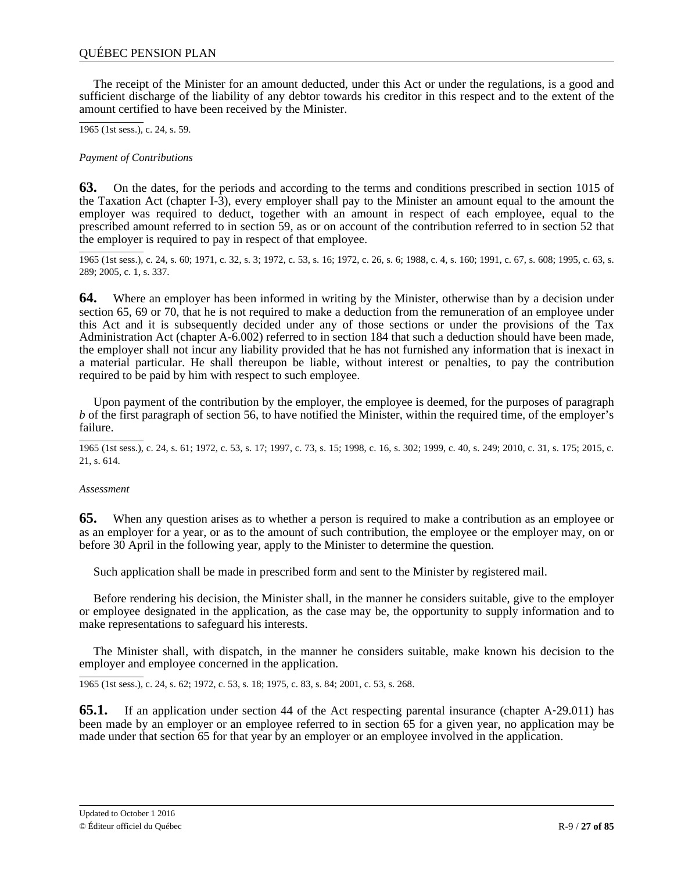<span id="page-26-0"></span>The receipt of the Minister for an amount deducted, under this Act or under the regulations, is a good and sufficient discharge of the liability of any debtor towards his creditor in this respect and to the extent of the amount certified to have been received by the Minister.

1965 (1st sess.), c. 24, s. 59.

*Payment of Contributions*

**63.** On the dates, for the periods and according to the terms and conditions prescribed in section 1015 of the Taxation Act (chapter I-3), every employer shall pay to the Minister an amount equal to the amount the employer was required to deduct, together with an amount in respect of each employee, equal to the prescribed amount referred to in section 59, as or on account of the contribution referred to in section 52 that the employer is required to pay in respect of that employee.

1965 (1st sess.), c. 24, s. 60; 1971, c. 32, s. 3; 1972, c. 53, s. 16; 1972, c. 26, s. 6; 1988, c. 4, s. 160; 1991, c. 67, s. 608; 1995, c. 63, s. 289; 2005, c. 1, s. 337.

**64.** Where an employer has been informed in writing by the Minister, otherwise than by a decision under section 65, 69 or 70, that he is not required to make a deduction from the remuneration of an employee under this Act and it is subsequently decided under any of those sections or under the provisions of the Tax Administration Act (chapter A-6.002) referred to in section 184 that such a deduction should have been made, the employer shall not incur any liability provided that he has not furnished any information that is inexact in a material particular. He shall thereupon be liable, without interest or penalties, to pay the contribution required to be paid by him with respect to such employee.

Upon payment of the contribution by the employer, the employee is deemed, for the purposes of paragraph *b* of the first paragraph of section 56, to have notified the Minister, within the required time, of the employer's failure.

1965 (1st sess.), c. 24, s. 61; 1972, c. 53, s. 17; 1997, c. 73, s. 15; 1998, c. 16, s. 302; 1999, c. 40, s. 249; 2010, c. 31, s. 175; 2015, c. 21, s. 614.

### *Assessment*

**65.** When any question arises as to whether a person is required to make a contribution as an employee or as an employer for a year, or as to the amount of such contribution, the employee or the employer may, on or before 30 April in the following year, apply to the Minister to determine the question.

Such application shall be made in prescribed form and sent to the Minister by registered mail.

Before rendering his decision, the Minister shall, in the manner he considers suitable, give to the employer or employee designated in the application, as the case may be, the opportunity to supply information and to make representations to safeguard his interests.

The Minister shall, with dispatch, in the manner he considers suitable, make known his decision to the employer and employee concerned in the application.

1965 (1st sess.), c. 24, s. 62; 1972, c. 53, s. 18; 1975, c. 83, s. 84; 2001, c. 53, s. 268.

**65.1.** If an application under section 44 of the Act respecting parental insurance (chapter A-29.011) has been made by an employer or an employee referred to in section 65 for a given year, no application may be made under that section 65 for that year by an employer or an employee involved in the application.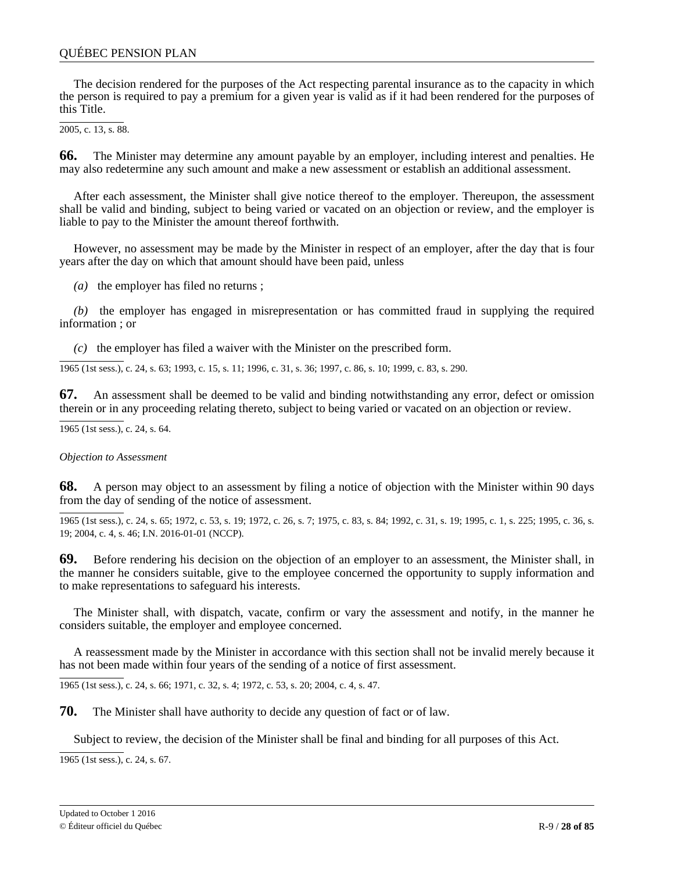## <span id="page-27-0"></span>QUÉBEC PENSION PLAN

The decision rendered for the purposes of the Act respecting parental insurance as to the capacity in which the person is required to pay a premium for a given year is valid as if it had been rendered for the purposes of this Title.

 $\overline{2005}$ , c. 13, s. 88.

**66.** The Minister may determine any amount payable by an employer, including interest and penalties. He may also redetermine any such amount and make a new assessment or establish an additional assessment.

After each assessment, the Minister shall give notice thereof to the employer. Thereupon, the assessment shall be valid and binding, subject to being varied or vacated on an objection or review, and the employer is liable to pay to the Minister the amount thereof forthwith.

However, no assessment may be made by the Minister in respect of an employer, after the day that is four years after the day on which that amount should have been paid, unless

*(a)* the employer has filed no returns ;

*(b)* the employer has engaged in misrepresentation or has committed fraud in supplying the required information ; or

*(c)* the employer has filed a waiver with the Minister on the prescribed form.

1965 (1st sess.), c. 24, s. 63; 1993, c. 15, s. 11; 1996, c. 31, s. 36; 1997, c. 86, s. 10; 1999, c. 83, s. 290.

**67.** An assessment shall be deemed to be valid and binding notwithstanding any error, defect or omission therein or in any proceeding relating thereto, subject to being varied or vacated on an objection or review.

1965 (1st sess.), c. 24, s. 64.

*Objection to Assessment*

**68.** A person may object to an assessment by filing a notice of objection with the Minister within 90 days from the day of sending of the notice of assessment.

1965 (1st sess.), c. 24, s. 65; 1972, c. 53, s. 19; 1972, c. 26, s. 7; 1975, c. 83, s. 84; 1992, c. 31, s. 19; 1995, c. 1, s. 225; 1995, c. 36, s. 19; 2004, c. 4, s. 46; I.N. 2016-01-01 (NCCP).

**69.** Before rendering his decision on the objection of an employer to an assessment, the Minister shall, in the manner he considers suitable, give to the employee concerned the opportunity to supply information and to make representations to safeguard his interests.

The Minister shall, with dispatch, vacate, confirm or vary the assessment and notify, in the manner he considers suitable, the employer and employee concerned.

A reassessment made by the Minister in accordance with this section shall not be invalid merely because it has not been made within four years of the sending of a notice of first assessment.

1965 (1st sess.), c. 24, s. 66; 1971, c. 32, s. 4; 1972, c. 53, s. 20; 2004, c. 4, s. 47.

**70.** The Minister shall have authority to decide any question of fact or of law.

Subject to review, the decision of the Minister shall be final and binding for all purposes of this Act.

1965 (1st sess.), c. 24, s. 67.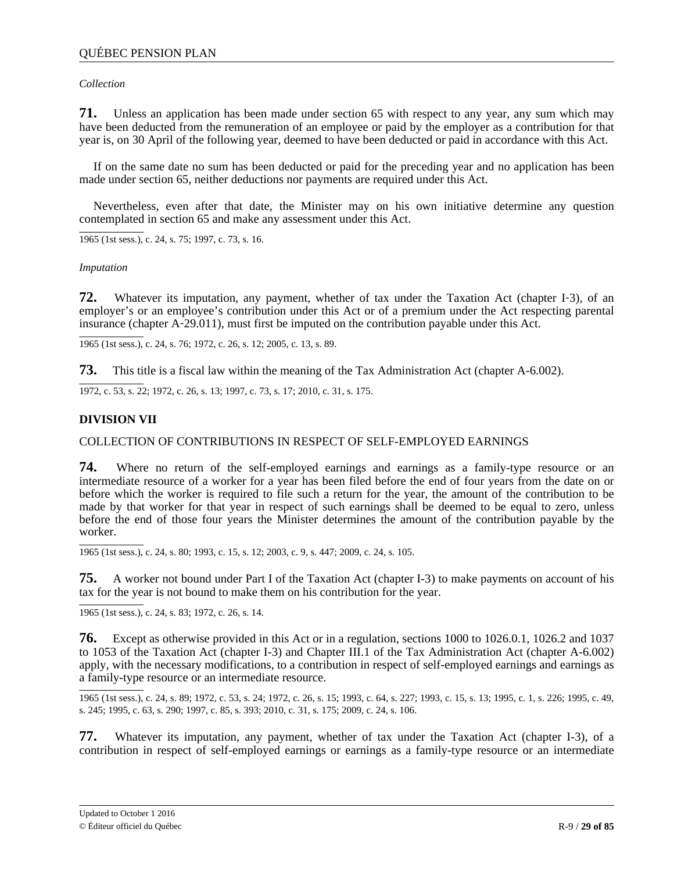## <span id="page-28-0"></span>*Collection*

**71.** Unless an application has been made under section 65 with respect to any year, any sum which may have been deducted from the remuneration of an employee or paid by the employer as a contribution for that year is, on 30 April of the following year, deemed to have been deducted or paid in accordance with this Act.

If on the same date no sum has been deducted or paid for the preceding year and no application has been made under section 65, neither deductions nor payments are required under this Act.

Nevertheless, even after that date, the Minister may on his own initiative determine any question contemplated in section 65 and make any assessment under this Act.

1965 (1st sess.), c. 24, s. 75; 1997, c. 73, s. 16.

### *Imputation*

**72.** Whatever its imputation, any payment, whether of tax under the Taxation Act (chapter I–3), of an employer's or an employee's contribution under this Act or of a premium under the Act respecting parental insurance (chapter A‐29.011), must first be imputed on the contribution payable under this Act.

1965 (1st sess.), c. 24, s. 76; 1972, c. 26, s. 12; 2005, c. 13, s. 89.

**73.** This title is a fiscal law within the meaning of the Tax Administration Act (chapter A-6.002).

1972, c. 53, s. 22; 1972, c. 26, s. 13; 1997, c. 73, s. 17; 2010, c. 31, s. 175.

## **DIVISION VII**

### COLLECTION OF CONTRIBUTIONS IN RESPECT OF SELF-EMPLOYED EARNINGS

**74.** Where no return of the self-employed earnings and earnings as a family-type resource or an intermediate resource of a worker for a year has been filed before the end of four years from the date on or before which the worker is required to file such a return for the year, the amount of the contribution to be made by that worker for that year in respect of such earnings shall be deemed to be equal to zero, unless before the end of those four years the Minister determines the amount of the contribution payable by the worker.

1965 (1st sess.), c. 24, s. 80; 1993, c. 15, s. 12; 2003, c. 9, s. 447; 2009, c. 24, s. 105.

**75.** A worker not bound under Part I of the Taxation Act (chapter I-3) to make payments on account of his tax for the year is not bound to make them on his contribution for the year.

1965 (1st sess.), c. 24, s. 83; 1972, c. 26, s. 14.

**76.** Except as otherwise provided in this Act or in a regulation, sections 1000 to 1026.0.1, 1026.2 and 1037 to 1053 of the Taxation Act (chapter I-3) and Chapter III.1 of the Tax Administration Act (chapter A-6.002) apply, with the necessary modifications, to a contribution in respect of self-employed earnings and earnings as a family-type resource or an intermediate resource.

1965 (1st sess.), c. 24, s. 89; 1972, c. 53, s. 24; 1972, c. 26, s. 15; 1993, c. 64, s. 227; 1993, c. 15, s. 13; 1995, c. 1, s. 226; 1995, c. 49, s. 245; 1995, c. 63, s. 290; 1997, c. 85, s. 393; 2010, c. 31, s. 175; 2009, c. 24, s. 106.

**77.** Whatever its imputation, any payment, whether of tax under the Taxation Act (chapter I-3), of a contribution in respect of self-employed earnings or earnings as a family-type resource or an intermediate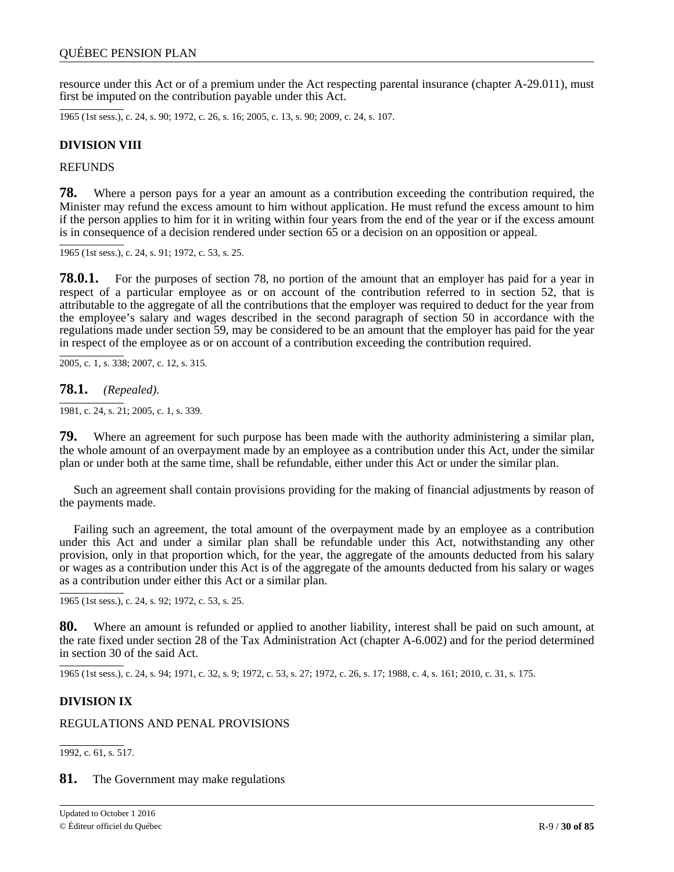<span id="page-29-0"></span>resource under this Act or of a premium under the Act respecting parental insurance (chapter A-29.011), must first be imputed on the contribution payable under this Act.

1965 (1st sess.), c. 24, s. 90; 1972, c. 26, s. 16; 2005, c. 13, s. 90; 2009, c. 24, s. 107.

## **DIVISION VIII**

**REFUNDS** 

**78.** Where a person pays for a year an amount as a contribution exceeding the contribution required, the Minister may refund the excess amount to him without application. He must refund the excess amount to him if the person applies to him for it in writing within four years from the end of the year or if the excess amount is in consequence of a decision rendered under section 65 or a decision on an opposition or appeal.

1965 (1st sess.), c. 24, s. 91; 1972, c. 53, s. 25.

**78.0.1.** For the purposes of section 78, no portion of the amount that an employer has paid for a year in respect of a particular employee as or on account of the contribution referred to in section 52, that is attributable to the aggregate of all the contributions that the employer was required to deduct for the year from the employee's salary and wages described in the second paragraph of section 50 in accordance with the regulations made under section 59, may be considered to be an amount that the employer has paid for the year in respect of the employee as or on account of a contribution exceeding the contribution required.

2005, c. 1, s. 338; 2007, c. 12, s. 315.

### **78.1.** *(Repealed).*

1981, c. 24, s. 21; 2005, c. 1, s. 339.

**79.** Where an agreement for such purpose has been made with the authority administering a similar plan, the whole amount of an overpayment made by an employee as a contribution under this Act, under the similar plan or under both at the same time, shall be refundable, either under this Act or under the similar plan.

Such an agreement shall contain provisions providing for the making of financial adjustments by reason of the payments made.

Failing such an agreement, the total amount of the overpayment made by an employee as a contribution under this Act and under a similar plan shall be refundable under this Act, notwithstanding any other provision, only in that proportion which, for the year, the aggregate of the amounts deducted from his salary or wages as a contribution under this Act is of the aggregate of the amounts deducted from his salary or wages as a contribution under either this Act or a similar plan.

1965 (1st sess.), c. 24, s. 92; 1972, c. 53, s. 25.

**80.** Where an amount is refunded or applied to another liability, interest shall be paid on such amount, at the rate fixed under section 28 of the Tax Administration Act (chapter A-6.002) and for the period determined in section 30 of the said Act.

1965 (1st sess.), c. 24, s. 94; 1971, c. 32, s. 9; 1972, c. 53, s. 27; 1972, c. 26, s. 17; 1988, c. 4, s. 161; 2010, c. 31, s. 175.

# **DIVISION IX**

### REGULATIONS AND PENAL PROVISIONS

1992, c. 61, s. 517.

### **81.** The Government may make regulations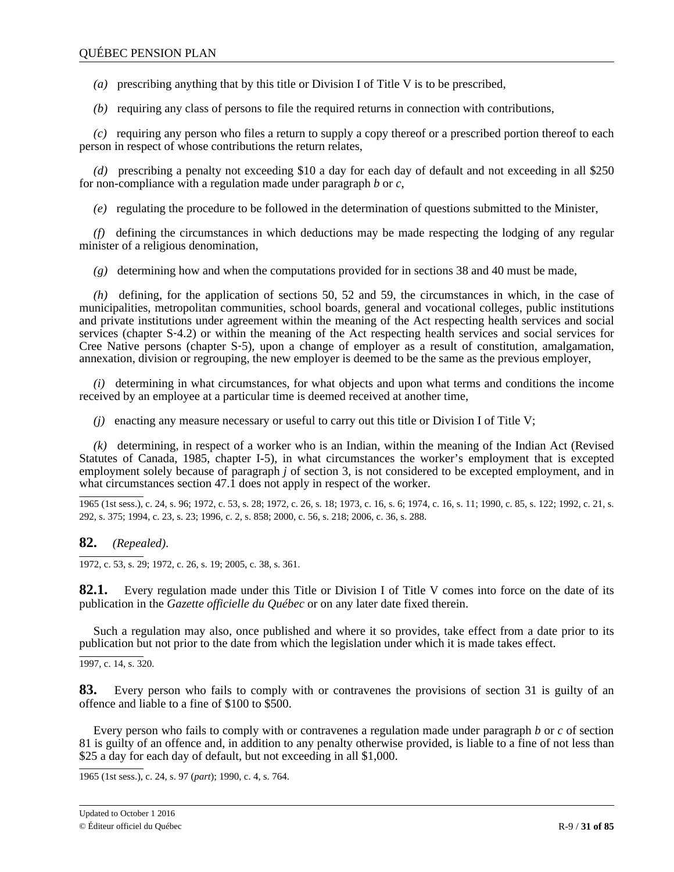*(a)* prescribing anything that by this title or Division I of Title V is to be prescribed,

*(b)* requiring any class of persons to file the required returns in connection with contributions,

*(c)* requiring any person who files a return to supply a copy thereof or a prescribed portion thereof to each person in respect of whose contributions the return relates,

*(d)* prescribing a penalty not exceeding \$10 a day for each day of default and not exceeding in all \$250 for non-compliance with a regulation made under paragraph *b* or *c*,

*(e)* regulating the procedure to be followed in the determination of questions submitted to the Minister,

*(f)* defining the circumstances in which deductions may be made respecting the lodging of any regular minister of a religious denomination,

*(g)* determining how and when the computations provided for in sections 38 and 40 must be made,

*(h)* defining, for the application of sections 50, 52 and 59, the circumstances in which, in the case of municipalities, metropolitan communities, school boards, general and vocational colleges, public institutions and private institutions under agreement within the meaning of the Act respecting health services and social services (chapter S-4.2) or within the meaning of the Act respecting health services and social services for Cree Native persons (chapter S‐5), upon a change of employer as a result of constitution, amalgamation, annexation, division or regrouping, the new employer is deemed to be the same as the previous employer,

*(i)* determining in what circumstances, for what objects and upon what terms and conditions the income received by an employee at a particular time is deemed received at another time,

*(j)* enacting any measure necessary or useful to carry out this title or Division I of Title V;

*(k)* determining, in respect of a worker who is an Indian, within the meaning of the Indian Act (Revised Statutes of Canada, 1985, chapter I-5), in what circumstances the worker's employment that is excepted employment solely because of paragraph *j* of section 3, is not considered to be excepted employment, and in what circumstances section 47.1 does not apply in respect of the worker.

1965 (1st sess.), c. 24, s. 96; 1972, c. 53, s. 28; 1972, c. 26, s. 18; 1973, c. 16, s. 6; 1974, c. 16, s. 11; 1990, c. 85, s. 122; 1992, c. 21, s. 292, s. 375; 1994, c. 23, s. 23; 1996, c. 2, s. 858; 2000, c. 56, s. 218; 2006, c. 36, s. 288.

**82.** *(Repealed)*.

1972, c. 53, s. 29; 1972, c. 26, s. 19; 2005, c. 38, s. 361.

**82.1.** Every regulation made under this Title or Division I of Title V comes into force on the date of its publication in the *Gazette officielle du Québec* or on any later date fixed therein.

Such a regulation may also, once published and where it so provides, take effect from a date prior to its publication but not prior to the date from which the legislation under which it is made takes effect.

1997, c. 14, s. 320.

**83.** Every person who fails to comply with or contravenes the provisions of section 31 is guilty of an offence and liable to a fine of \$100 to \$500.

Every person who fails to comply with or contravenes a regulation made under paragraph *b* or *c* of section 81 is guilty of an offence and, in addition to any penalty otherwise provided, is liable to a fine of not less than \$25 a day for each day of default, but not exceeding in all \$1,000.

1965 (1st sess.), c. 24, s. 97 (*part*); 1990, c. 4, s. 764.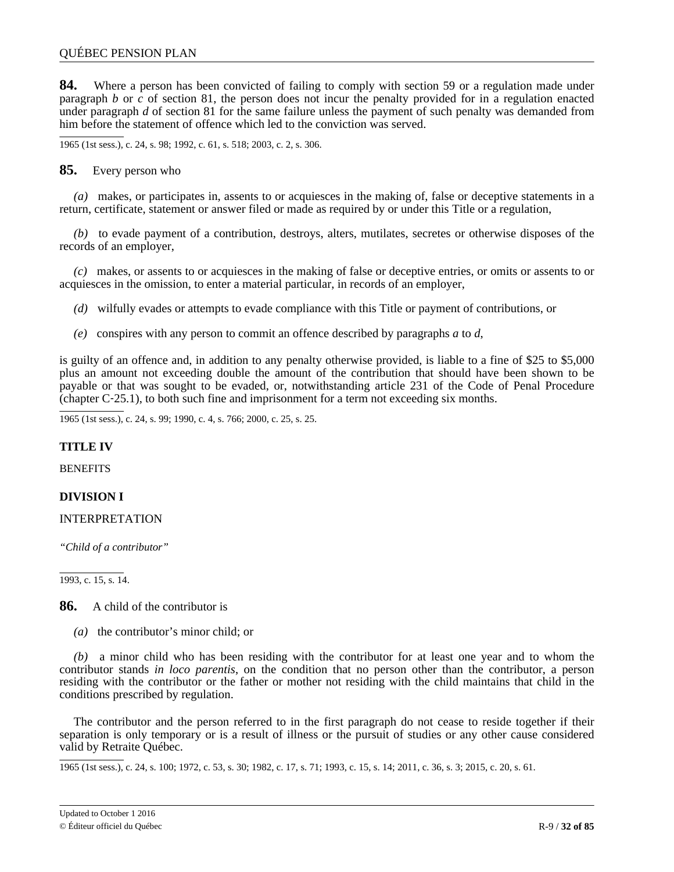<span id="page-31-0"></span>**84.** Where a person has been convicted of failing to comply with section 59 or a regulation made under paragraph *b* or *c* of section 81, the person does not incur the penalty provided for in a regulation enacted under paragraph *d* of section 81 for the same failure unless the payment of such penalty was demanded from him before the statement of offence which led to the conviction was served.

1965 (1st sess.), c. 24, s. 98; 1992, c. 61, s. 518; 2003, c. 2, s. 306.

**85.** Every person who

*(a)* makes, or participates in, assents to or acquiesces in the making of, false or deceptive statements in a return, certificate, statement or answer filed or made as required by or under this Title or a regulation,

*(b)* to evade payment of a contribution, destroys, alters, mutilates, secretes or otherwise disposes of the records of an employer,

*(c)* makes, or assents to or acquiesces in the making of false or deceptive entries, or omits or assents to or acquiesces in the omission, to enter a material particular, in records of an employer,

*(d)* wilfully evades or attempts to evade compliance with this Title or payment of contributions, or

*(e)* conspires with any person to commit an offence described by paragraphs *a* to *d*,

is guilty of an offence and, in addition to any penalty otherwise provided, is liable to a fine of \$25 to \$5,000 plus an amount not exceeding double the amount of the contribution that should have been shown to be payable or that was sought to be evaded, or, notwithstanding article 231 of the Code of Penal Procedure (chapter C‐25.1), to both such fine and imprisonment for a term not exceeding six months.

1965 (1st sess.), c. 24, s. 99; 1990, c. 4, s. 766; 2000, c. 25, s. 25.

### **TITLE IV**

**BENEFITS** 

# **DIVISION I**

### INTERPRETATION

*"Child of a contributor"*

1993, c. 15, s. 14.

**86.** A child of the contributor is

*(a)* the contributor's minor child; or

*(b)* a minor child who has been residing with the contributor for at least one year and to whom the contributor stands *in loco parentis*, on the condition that no person other than the contributor, a person residing with the contributor or the father or mother not residing with the child maintains that child in the conditions prescribed by regulation.

The contributor and the person referred to in the first paragraph do not cease to reside together if their separation is only temporary or is a result of illness or the pursuit of studies or any other cause considered valid by Retraite Québec.

1965 (1st sess.), c. 24, s. 100; 1972, c. 53, s. 30; 1982, c. 17, s. 71; 1993, c. 15, s. 14; 2011, c. 36, s. 3; 2015, c. 20, s. 61.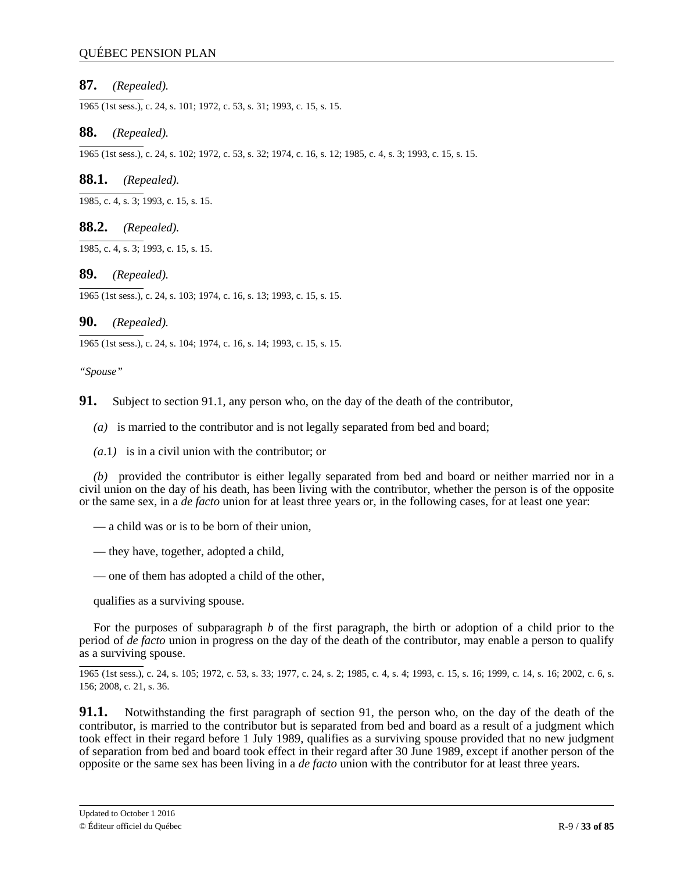# <span id="page-32-0"></span>**87.** *(Repealed).*

1965 (1st sess.), c. 24, s. 101; 1972, c. 53, s. 31; 1993, c. 15, s. 15.

## **88.** *(Repealed).*

1965 (1st sess.), c. 24, s. 102; 1972, c. 53, s. 32; 1974, c. 16, s. 12; 1985, c. 4, s. 3; 1993, c. 15, s. 15.

# **88.1.** *(Repealed).*

1985, c. 4, s. 3; 1993, c. 15, s. 15.

## **88.2.** *(Repealed).*

1985, c. 4, s. 3; 1993, c. 15, s. 15.

## **89.** *(Repealed).*

1965 (1st sess.), c. 24, s. 103; 1974, c. 16, s. 13; 1993, c. 15, s. 15.

## **90.** *(Repealed).*

1965 (1st sess.), c. 24, s. 104; 1974, c. 16, s. 14; 1993, c. 15, s. 15.

#### *"Spouse"*

**91.** Subject to section 91.1, any person who, on the day of the death of the contributor,

- *(a)* is married to the contributor and is not legally separated from bed and board;
- *(a*.1*)* is in a civil union with the contributor; or

*(b)* provided the contributor is either legally separated from bed and board or neither married nor in a civil union on the day of his death, has been living with the contributor, whether the person is of the opposite or the same sex, in a *de facto* union for at least three years or, in the following cases, for at least one year:

- a child was or is to be born of their union,
- they have, together, adopted a child,
- one of them has adopted a child of the other,

qualifies as a surviving spouse.

For the purposes of subparagraph *b* of the first paragraph, the birth or adoption of a child prior to the period of *de facto* union in progress on the day of the death of the contributor, may enable a person to qualify as a surviving spouse.

1965 (1st sess.), c. 24, s. 105; 1972, c. 53, s. 33; 1977, c. 24, s. 2; 1985, c. 4, s. 4; 1993, c. 15, s. 16; 1999, c. 14, s. 16; 2002, c. 6, s. 156; 2008, c. 21, s. 36.

**91.1.** Notwithstanding the first paragraph of section 91, the person who, on the day of the death of the contributor, is married to the contributor but is separated from bed and board as a result of a judgment which took effect in their regard before 1 July 1989, qualifies as a surviving spouse provided that no new judgment of separation from bed and board took effect in their regard after 30 June 1989, except if another person of the opposite or the same sex has been living in a *de facto* union with the contributor for at least three years.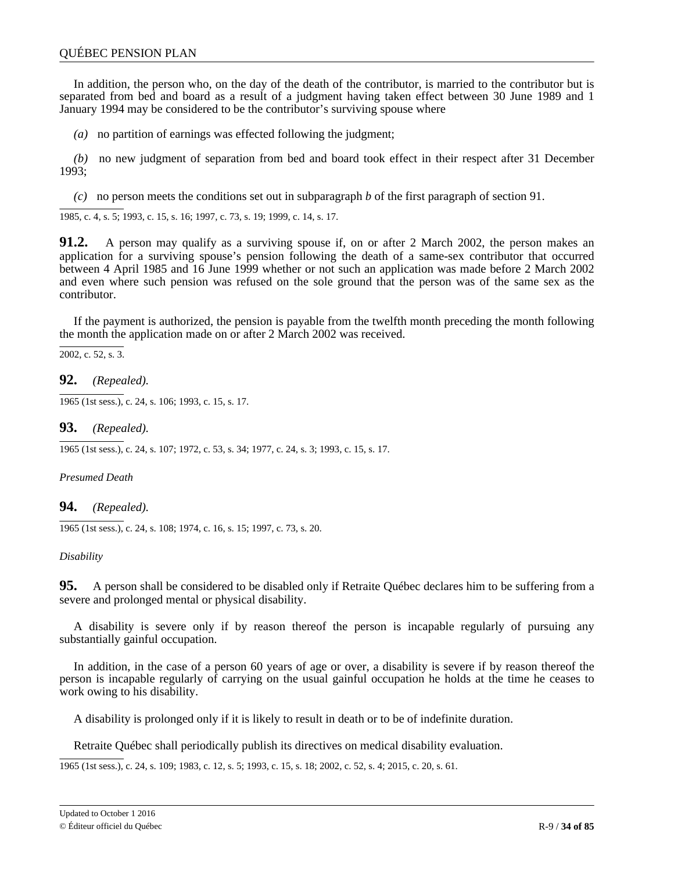<span id="page-33-0"></span>In addition, the person who, on the day of the death of the contributor, is married to the contributor but is separated from bed and board as a result of a judgment having taken effect between 30 June 1989 and 1 January 1994 may be considered to be the contributor's surviving spouse where

*(a)* no partition of earnings was effected following the judgment;

*(b)* no new judgment of separation from bed and board took effect in their respect after 31 December 1993;

*(c)* no person meets the conditions set out in subparagraph *b* of the first paragraph of section 91.

1985, c. 4, s. 5; 1993, c. 15, s. 16; 1997, c. 73, s. 19; 1999, c. 14, s. 17.

**91.2.** A person may qualify as a surviving spouse if, on or after 2 March 2002, the person makes an application for a surviving spouse's pension following the death of a same-sex contributor that occurred between 4 April 1985 and 16 June 1999 whether or not such an application was made before 2 March 2002 and even where such pension was refused on the sole ground that the person was of the same sex as the contributor.

If the payment is authorized, the pension is payable from the twelfth month preceding the month following the month the application made on or after 2 March 2002 was received.

 $\overline{2002}$ , c. 52, s. 3.

**92.** *(Repealed).*

1965 (1st sess.), c. 24, s. 106; 1993, c. 15, s. 17.

**93.** *(Repealed).*

1965 (1st sess.), c. 24, s. 107; 1972, c. 53, s. 34; 1977, c. 24, s. 3; 1993, c. 15, s. 17.

*Presumed Death*

**94.** *(Repealed).*

1965 (1st sess.), c. 24, s. 108; 1974, c. 16, s. 15; 1997, c. 73, s. 20.

### *Disability*

**95.** A person shall be considered to be disabled only if Retraite Québec declares him to be suffering from a severe and prolonged mental or physical disability.

A disability is severe only if by reason thereof the person is incapable regularly of pursuing any substantially gainful occupation.

In addition, in the case of a person 60 years of age or over, a disability is severe if by reason thereof the person is incapable regularly of carrying on the usual gainful occupation he holds at the time he ceases to work owing to his disability.

A disability is prolonged only if it is likely to result in death or to be of indefinite duration.

Retraite Québec shall periodically publish its directives on medical disability evaluation.

1965 (1st sess.), c. 24, s. 109; 1983, c. 12, s. 5; 1993, c. 15, s. 18; 2002, c. 52, s. 4; 2015, c. 20, s. 61.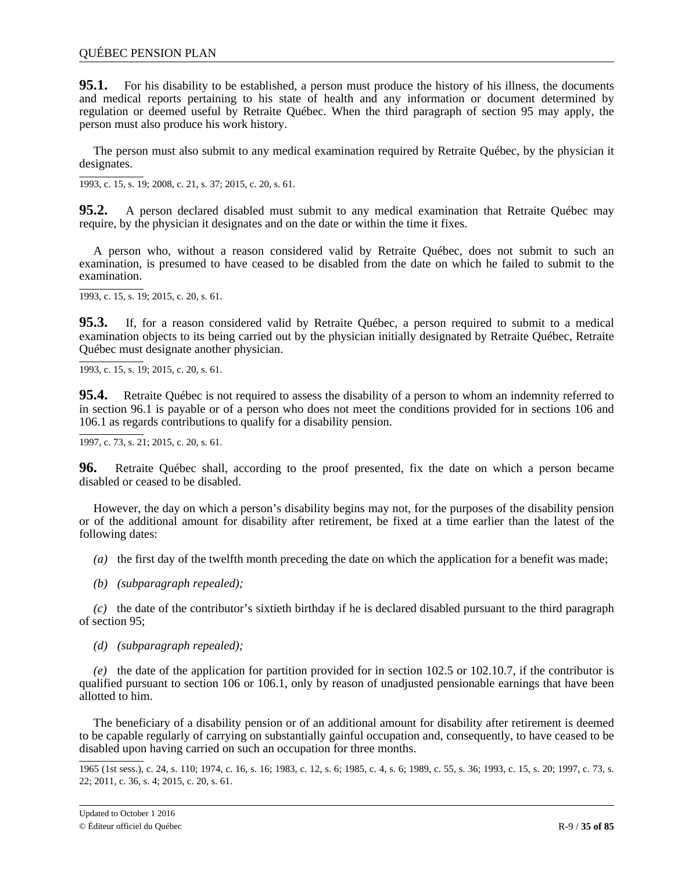**95.1.** For his disability to be established, a person must produce the history of his illness, the documents and medical reports pertaining to his state of health and any information or document determined by regulation or deemed useful by Retraite Québec. When the third paragraph of section 95 may apply, the person must also produce his work history.

The person must also submit to any medical examination required by Retraite Québec, by the physician it designates.

1993, c. 15, s. 19; 2008, c. 21, s. 37; 2015, c. 20, s. 61.

**95.2.** A person declared disabled must submit to any medical examination that Retraite Québec may require, by the physician it designates and on the date or within the time it fixes.

A person who, without a reason considered valid by Retraite Québec, does not submit to such an examination, is presumed to have ceased to be disabled from the date on which he failed to submit to the examination.

1993, c. 15, s. 19; 2015, c. 20, s. 61.

**95.3.** If, for a reason considered valid by Retraite Québec, a person required to submit to a medical examination objects to its being carried out by the physician initially designated by Retraite Québec, Retraite Québec must designate another physician.

1993, c. 15, s. 19; 2015, c. 20, s. 61.

**95.4.** Retraite Québec is not required to assess the disability of a person to whom an indemnity referred to in section 96.1 is payable or of a person who does not meet the conditions provided for in sections 106 and 106.1 as regards contributions to qualify for a disability pension.

1997, c. 73, s. 21; 2015, c. 20, s. 61.

**96.** Retraite Québec shall, according to the proof presented, fix the date on which a person became disabled or ceased to be disabled.

However, the day on which a person's disability begins may not, for the purposes of the disability pension or of the additional amount for disability after retirement, be fixed at a time earlier than the latest of the following dates:

*(a)* the first day of the twelfth month preceding the date on which the application for a benefit was made;

*(b) (subparagraph repealed);*

*(c)* the date of the contributor's sixtieth birthday if he is declared disabled pursuant to the third paragraph of section 95;

*(d) (subparagraph repealed);*

*(e)* the date of the application for partition provided for in section 102.5 or 102.10.7, if the contributor is qualified pursuant to section 106 or  $106.1$ , only by reason of unadjusted pensionable earnings that have been allotted to him.

The beneficiary of a disability pension or of an additional amount for disability after retirement is deemed to be capable regularly of carrying on substantially gainful occupation and, consequently, to have ceased to be disabled upon having carried on such an occupation for three months.

<sup>1965 (1</sup>st sess.), c. 24, s. 110; 1974, c. 16, s. 16; 1983, c. 12, s. 6; 1985, c. 4, s. 6; 1989, c. 55, s. 36; 1993, c. 15, s. 20; 1997, c. 73, s. 22; 2011, c. 36, s. 4; 2015, c. 20, s. 61.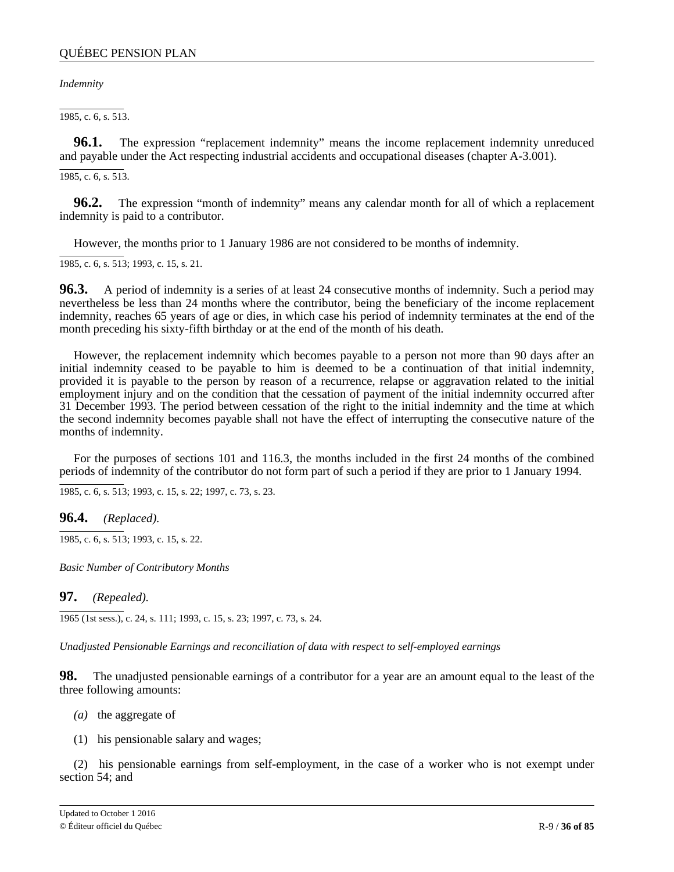<span id="page-35-0"></span>*Indemnity*

1985, c. 6, s. 513.

**96.1.** The expression "replacement indemnity" means the income replacement indemnity unreduced and payable under the Act respecting industrial accidents and occupational diseases (chapter A-3.001).

1985, c. 6, s. 513.

**96.2.** The expression "month of indemnity" means any calendar month for all of which a replacement indemnity is paid to a contributor.

However, the months prior to 1 January 1986 are not considered to be months of indemnity.

1985, c. 6, s. 513; 1993, c. 15, s. 21.

**96.3.** A period of indemnity is a series of at least 24 consecutive months of indemnity. Such a period may nevertheless be less than 24 months where the contributor, being the beneficiary of the income replacement indemnity, reaches 65 years of age or dies, in which case his period of indemnity terminates at the end of the month preceding his sixty-fifth birthday or at the end of the month of his death.

However, the replacement indemnity which becomes payable to a person not more than 90 days after an initial indemnity ceased to be payable to him is deemed to be a continuation of that initial indemnity, provided it is payable to the person by reason of a recurrence, relapse or aggravation related to the initial employment injury and on the condition that the cessation of payment of the initial indemnity occurred after 31 December 1993. The period between cessation of the right to the initial indemnity and the time at which the second indemnity becomes payable shall not have the effect of interrupting the consecutive nature of the months of indemnity.

For the purposes of sections 101 and 116.3, the months included in the first 24 months of the combined periods of indemnity of the contributor do not form part of such a period if they are prior to 1 January 1994.

1985, c. 6, s. 513; 1993, c. 15, s. 22; 1997, c. 73, s. 23.

**96.4.** *(Replaced).*

1985, c. 6, s. 513; 1993, c. 15, s. 22.

*Basic Number of Contributory Months*

**97.** *(Repealed).*

1965 (1st sess.), c. 24, s. 111; 1993, c. 15, s. 23; 1997, c. 73, s. 24.

*Unadjusted Pensionable Earnings and reconciliation of data with respect to self-employed earnings*

**98.** The unadjusted pensionable earnings of a contributor for a year are an amount equal to the least of the three following amounts:

- *(a)* the aggregate of
- (1) his pensionable salary and wages;

(2) his pensionable earnings from self-employment, in the case of a worker who is not exempt under section 54; and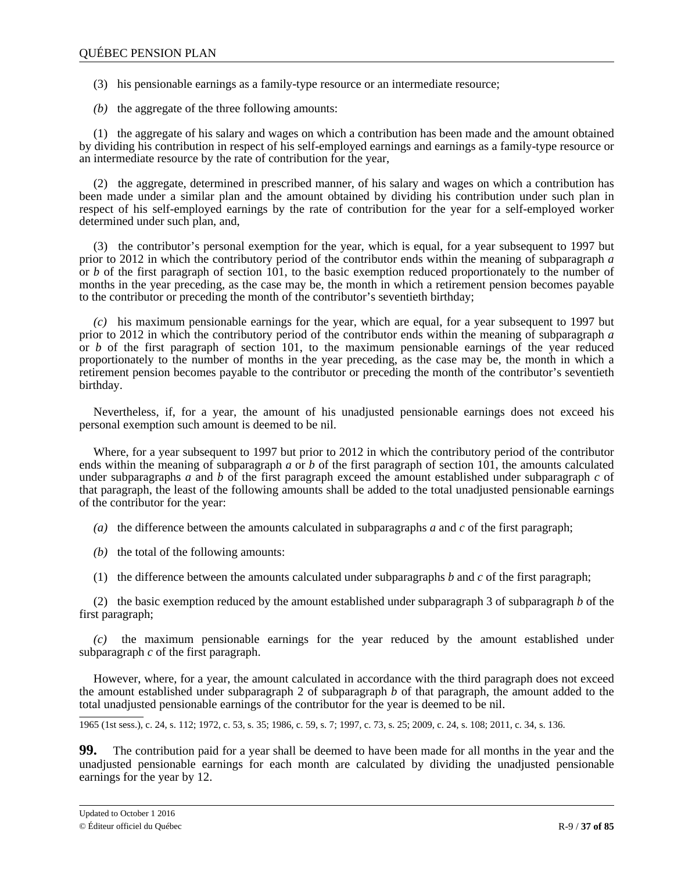(3) his pensionable earnings as a family-type resource or an intermediate resource;

*(b)* the aggregate of the three following amounts:

(1) the aggregate of his salary and wages on which a contribution has been made and the amount obtained by dividing his contribution in respect of his self-employed earnings and earnings as a family-type resource or an intermediate resource by the rate of contribution for the year,

(2) the aggregate, determined in prescribed manner, of his salary and wages on which a contribution has been made under a similar plan and the amount obtained by dividing his contribution under such plan in respect of his self-employed earnings by the rate of contribution for the year for a self-employed worker determined under such plan, and,

(3) the contributor's personal exemption for the year, which is equal, for a year subsequent to 1997 but prior to 2012 in which the contributory period of the contributor ends within the meaning of subparagraph *a* or *b* of the first paragraph of section 101, to the basic exemption reduced proportionately to the number of months in the year preceding, as the case may be, the month in which a retirement pension becomes payable to the contributor or preceding the month of the contributor's seventieth birthday;

*(c)* his maximum pensionable earnings for the year, which are equal, for a year subsequent to 1997 but prior to 2012 in which the contributory period of the contributor ends within the meaning of subparagraph *a* or *b* of the first paragraph of section 101, to the maximum pensionable earnings of the year reduced proportionately to the number of months in the year preceding, as the case may be, the month in which a retirement pension becomes payable to the contributor or preceding the month of the contributor's seventieth birthday.

Nevertheless, if, for a year, the amount of his unadjusted pensionable earnings does not exceed his personal exemption such amount is deemed to be nil.

Where, for a year subsequent to 1997 but prior to 2012 in which the contributory period of the contributor ends within the meaning of subparagraph *a* or *b* of the first paragraph of section 101, the amounts calculated under subparagraphs *a* and *b* of the first paragraph exceed the amount established under subparagraph *c* of that paragraph, the least of the following amounts shall be added to the total unadjusted pensionable earnings of the contributor for the year:

*(a)* the difference between the amounts calculated in subparagraphs *a* and *c* of the first paragraph;

- *(b)* the total of the following amounts:
- (1) the difference between the amounts calculated under subparagraphs *b* and *c* of the first paragraph;

(2) the basic exemption reduced by the amount established under subparagraph 3 of subparagraph *b* of the first paragraph;

*(c)* the maximum pensionable earnings for the year reduced by the amount established under subparagraph *c* of the first paragraph.

However, where, for a year, the amount calculated in accordance with the third paragraph does not exceed the amount established under subparagraph 2 of subparagraph *b* of that paragraph, the amount added to the total unadjusted pensionable earnings of the contributor for the year is deemed to be nil.

1965 (1st sess.), c. 24, s. 112; 1972, c. 53, s. 35; 1986, c. 59, s. 7; 1997, c. 73, s. 25; 2009, c. 24, s. 108; 2011, c. 34, s. 136.

**99.** The contribution paid for a year shall be deemed to have been made for all months in the year and the unadjusted pensionable earnings for each month are calculated by dividing the unadjusted pensionable earnings for the year by 12.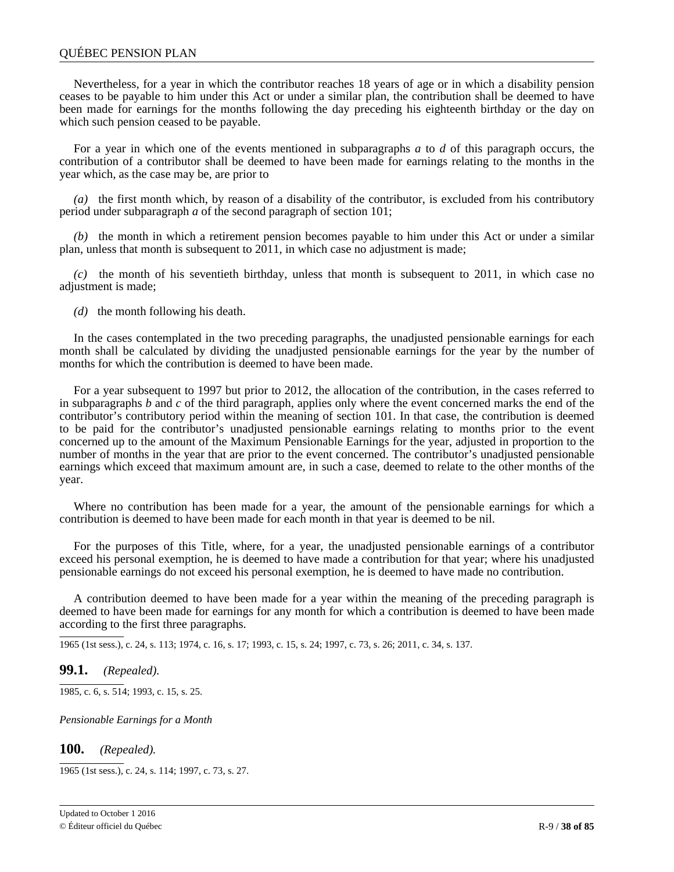### QUÉBEC PENSION PLAN

Nevertheless, for a year in which the contributor reaches 18 years of age or in which a disability pension ceases to be payable to him under this Act or under a similar plan, the contribution shall be deemed to have been made for earnings for the months following the day preceding his eighteenth birthday or the day on which such pension ceased to be payable.

For a year in which one of the events mentioned in subparagraphs *a* to *d* of this paragraph occurs, the contribution of a contributor shall be deemed to have been made for earnings relating to the months in the year which, as the case may be, are prior to

*(a)* the first month which, by reason of a disability of the contributor, is excluded from his contributory period under subparagraph *a* of the second paragraph of section 101;

*(b)* the month in which a retirement pension becomes payable to him under this Act or under a similar plan, unless that month is subsequent to 2011, in which case no adjustment is made;

*(c)* the month of his seventieth birthday, unless that month is subsequent to 2011, in which case no adjustment is made;

*(d)* the month following his death.

In the cases contemplated in the two preceding paragraphs, the unadjusted pensionable earnings for each month shall be calculated by dividing the unadjusted pensionable earnings for the year by the number of months for which the contribution is deemed to have been made.

For a year subsequent to 1997 but prior to 2012, the allocation of the contribution, in the cases referred to in subparagraphs *b* and *c* of the third paragraph, applies only where the event concerned marks the end of the contributor's contributory period within the meaning of section 101. In that case, the contribution is deemed to be paid for the contributor's unadjusted pensionable earnings relating to months prior to the event concerned up to the amount of the Maximum Pensionable Earnings for the year, adjusted in proportion to the number of months in the year that are prior to the event concerned. The contributor's unadjusted pensionable earnings which exceed that maximum amount are, in such a case, deemed to relate to the other months of the year.

Where no contribution has been made for a year, the amount of the pensionable earnings for which a contribution is deemed to have been made for each month in that year is deemed to be nil.

For the purposes of this Title, where, for a year, the unadjusted pensionable earnings of a contributor exceed his personal exemption, he is deemed to have made a contribution for that year; where his unadjusted pensionable earnings do not exceed his personal exemption, he is deemed to have made no contribution.

A contribution deemed to have been made for a year within the meaning of the preceding paragraph is deemed to have been made for earnings for any month for which a contribution is deemed to have been made according to the first three paragraphs.

1965 (1st sess.), c. 24, s. 113; 1974, c. 16, s. 17; 1993, c. 15, s. 24; 1997, c. 73, s. 26; 2011, c. 34, s. 137.

### **99.1.** *(Repealed).*

1985, c. 6, s. 514; 1993, c. 15, s. 25.

*Pensionable Earnings for a Month*

**100.** *(Repealed).*

1965 (1st sess.), c. 24, s. 114; 1997, c. 73, s. 27.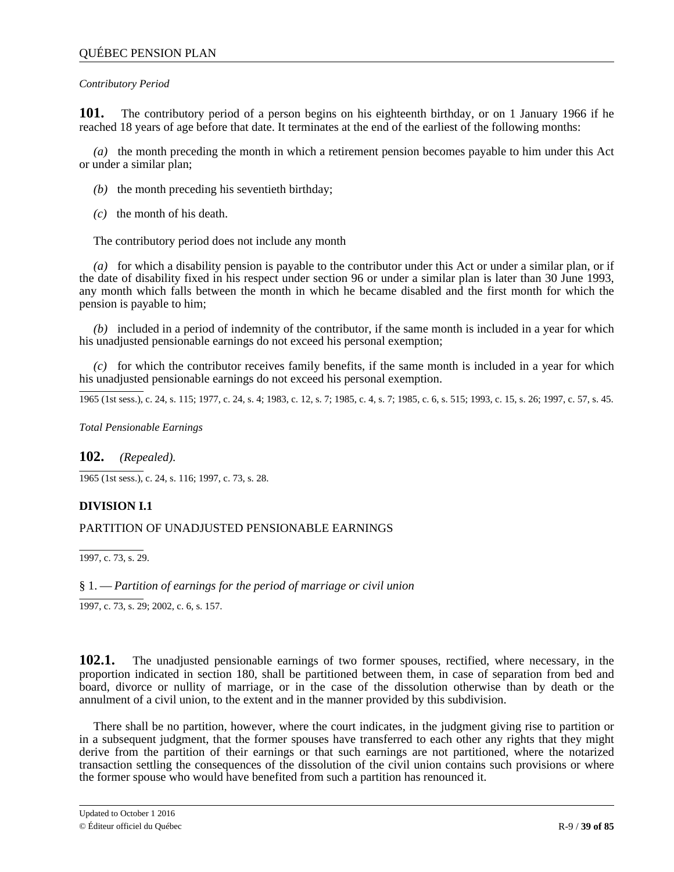### *Contributory Period*

**101.** The contributory period of a person begins on his eighteenth birthday, or on 1 January 1966 if he reached 18 years of age before that date. It terminates at the end of the earliest of the following months:

*(a)* the month preceding the month in which a retirement pension becomes payable to him under this Act or under a similar plan;

- *(b)* the month preceding his seventieth birthday;
- *(c)* the month of his death.

The contributory period does not include any month

*(a)* for which a disability pension is payable to the contributor under this Act or under a similar plan, or if the date of disability fixed in his respect under section 96 or under a similar plan is later than 30 June 1993, any month which falls between the month in which he became disabled and the first month for which the pension is payable to him;

*(b)* included in a period of indemnity of the contributor, if the same month is included in a year for which his unadjusted pensionable earnings do not exceed his personal exemption;

*(c)* for which the contributor receives family benefits, if the same month is included in a year for which his unadjusted pensionable earnings do not exceed his personal exemption.

1965 (1st sess.), c. 24, s. 115; 1977, c. 24, s. 4; 1983, c. 12, s. 7; 1985, c. 4, s. 7; 1985, c. 6, s. 515; 1993, c. 15, s. 26; 1997, c. 57, s. 45.

*Total Pensionable Earnings*

**102.** *(Repealed).*

 $\overline{1965}$  (1st sess.), c. 24, s. 116; 1997, c. 73, s. 28.

# **DIVISION I.1**

# PARTITION OF UNADJUSTED PENSIONABLE EARNINGS

 $\overline{1997, c. 73, s. 29}.$ 

# § 1. — *Partition of earnings for the period of marriage or civil union*

1997, c. 73, s. 29; 2002, c. 6, s. 157.

 $102.1.$ proportion indicated in section 180, shall be partitioned between them, in case of separation from bed and board, divorce or nullity of marriage, or in the case of the dissolution otherwise than by death or the annulment of a civil union, to the extent and in the manner provided by this subdivision. **102.1.** The unadjusted pensionable earnings of two former spouses, rectified, where necessary, in the

in a subsequent judgment, that the former spouses have transferred to each other any rights that they might derive from the partition of their earnings or that such earnings are not partitioned, where the notarized transaction settling the consequences of the dissolution of the civil union contains such provisions or where . the former spouse who would have benefited from such a partition has renounced it. There shall be no partition, however, where the court indicates, in the judgment giving rise to partition or

;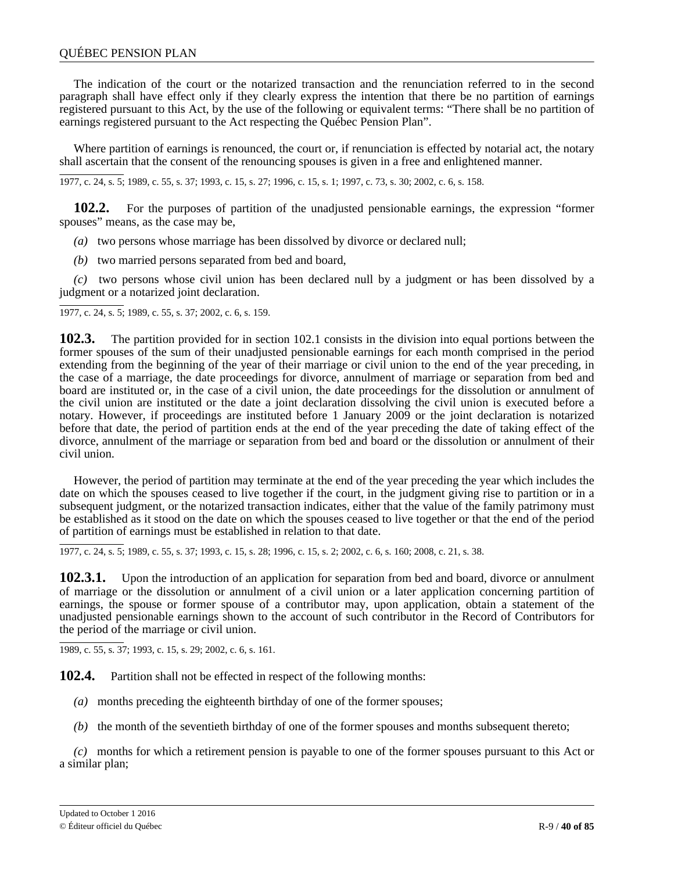### QUÉBEC PENSION PLAN

The indication of the court or the notarized transaction and the renunciation referred to in the second paragraph shall have effect only if they clearly express the intention that there be no partition of earnings registered pursuant to this Act, by the use of the following or equivalent terms: "There shall be no partition of earnings registered pursuant to the Act respecting the Québec Pension Plan".

Where partition of earnings is renounced, the court or, if renunciation is effected by notarial act, the notary shall ascertain that the consent of the renouncing spouses is given in a free and enlightened manner.

1977, c. 24, s. 5; 1989, c. 55, s. 37; 1993, c. 15, s. 27; 1996, c. 15, s. 1; 1997, c. 73, s. 30; 2002, c. 6, s. 158.

**102.2.** For the purposes of partition of the unadjusted pensionable earnings, the expression "former spouses" means, as the case may be,

*(a)* two persons whose marriage has been dissolved by divorce or declared null;

*(b)* two married persons separated from bed and board,

*(c)* two persons whose civil union has been declared null by a judgment or has been dissolved by a judgment or a notarized joint declaration.

1977, c. 24, s. 5; 1989, c. 55, s. 37; 2002, c. 6, s. 159.

**102.3.** The partition provided for in section 102.1 consists in the division into equal portions between the former spouses of the sum of their unadjusted pensionable earnings for each month comprised in the period extending from the beginning of the year of their marriage or civil union to the end of the year preceding, in the case of a marriage, the date proceedings for divorce, annulment of marriage or separation from bed and board are instituted or, in the case of a civil union, the date proceedings for the dissolution or annulment of the civil union are instituted or the date a joint declaration dissolving the civil union is executed before a notary. However, if proceedings are instituted before 1 January 2009 or the joint declaration is notarized before that date, the period of partition ends at the end of the year preceding the date of taking effect of the divorce, annulment of the marriage or separation from bed and board or the dissolution or annulment of their civil union.

However, the period of partition may terminate at the end of the year preceding the year which includes the date on which the spouses ceased to live together if the court, in the judgment giving rise to partition or in a subsequent judgment, or the notarized transaction indicates, either that the value of the family patrimony must be established as it stood on the date on which the spouses ceased to live together or that the end of the period of partition of earnings must be established in relation to that date.

1977, c. 24, s. 5; 1989, c. 55, s. 37; 1993, c. 15, s. 28; 1996, c. 15, s. 2; 2002, c. 6, s. 160; 2008, c. 21, s. 38.

**102.3.1.** Upon the introduction of an application for separation from bed and board, divorce or annulment of marriage or the dissolution or annulment of a civil union or a later application concerning partition of earnings, the spouse or former spouse of a contributor may, upon application, obtain a statement of the unadjusted pensionable earnings shown to the account of such contributor in the Record of Contributors for the period of the marriage or civil union.

1989, c. 55, s. 37; 1993, c. 15, s. 29; 2002, c. 6, s. 161.

**102.4.** Partition shall not be effected in respect of the following months:

- *(a)* months preceding the eighteenth birthday of one of the former spouses;
- *(b)* the month of the seventieth birthday of one of the former spouses and months subsequent thereto;

*(c)* months for which a retirement pension is payable to one of the former spouses pursuant to this Act or a similar plan;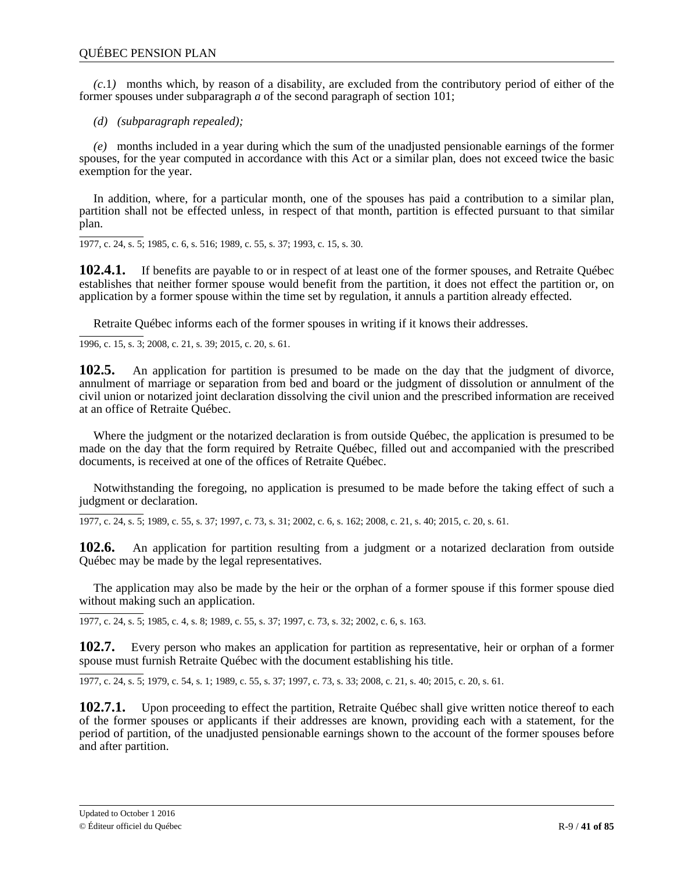*(c*.1*)* months which, by reason of a disability, are excluded from the contributory period of either of the former spouses under subparagraph *a* of the second paragraph of section 101;

*(d) (subparagraph repealed);*

*(e)* months included in a year during which the sum of the unadjusted pensionable earnings of the former spouses, for the year computed in accordance with this Act or a similar plan, does not exceed twice the basic exemption for the year.

In addition, where, for a particular month, one of the spouses has paid a contribution to a similar plan, partition shall not be effected unless, in respect of that month, partition is effected pursuant to that similar plan.

1977, c. 24, s. 5; 1985, c. 6, s. 516; 1989, c. 55, s. 37; 1993, c. 15, s. 30.

**102.4.1.** If benefits are payable to or in respect of at least one of the former spouses, and Retraite Québec establishes that neither former spouse would benefit from the partition, it does not effect the partition or, on application by a former spouse within the time set by regulation, it annuls a partition already effected.

Retraite Québec informs each of the former spouses in writing if it knows their addresses.

1996, c. 15, s. 3; 2008, c. 21, s. 39; 2015, c. 20, s. 61.

**102.5.** An application for partition is presumed to be made on the day that the judgment of divorce, annulment of marriage or separation from bed and board or the judgment of dissolution or annulment of the civil union or notarized joint declaration dissolving the civil union and the prescribed information are received at an office of Retraite Québec.

Where the judgment or the notarized declaration is from outside Québec, the application is presumed to be made on the day that the form required by Retraite Québec, filled out and accompanied with the prescribed documents, is received at one of the offices of Retraite Québec.

Notwithstanding the foregoing, no application is presumed to be made before the taking effect of such a judgment or declaration.

1977, c. 24, s. 5; 1989, c. 55, s. 37; 1997, c. 73, s. 31; 2002, c. 6, s. 162; 2008, c. 21, s. 40; 2015, c. 20, s. 61.

**102.6.** An application for partition resulting from a judgment or a notarized declaration from outside Québec may be made by the legal representatives.

The application may also be made by the heir or the orphan of a former spouse if this former spouse died without making such an application.

1977, c. 24, s. 5; 1985, c. 4, s. 8; 1989, c. 55, s. 37; 1997, c. 73, s. 32; 2002, c. 6, s. 163.

**102.7.** Every person who makes an application for partition as representative, heir or orphan of a former spouse must furnish Retraite Québec with the document establishing his title.

1977, c. 24, s. 5; 1979, c. 54, s. 1; 1989, c. 55, s. 37; 1997, c. 73, s. 33; 2008, c. 21, s. 40; 2015, c. 20, s. 61.

**102.7.1.** Upon proceeding to effect the partition, Retraite Québec shall give written notice thereof to each of the former spouses or applicants if their addresses are known, providing each with a statement, for the period of partition, of the unadjusted pensionable earnings shown to the account of the former spouses before and after partition.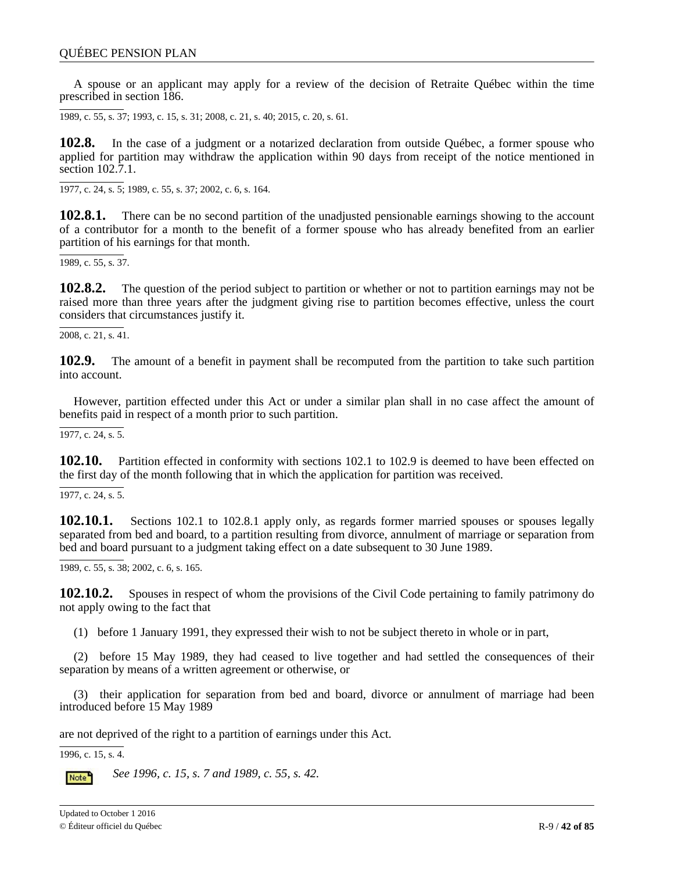A spouse or an applicant may apply for a review of the decision of Retraite Québec within the time prescribed in section 186.

1989, c. 55, s. 37; 1993, c. 15, s. 31; 2008, c. 21, s. 40; 2015, c. 20, s. 61.

**102.8.** In the case of a judgment or a notarized declaration from outside Québec, a former spouse who applied for partition may withdraw the application within 90 days from receipt of the notice mentioned in section 102.7.1.

1977, c. 24, s. 5; 1989, c. 55, s. 37; 2002, c. 6, s. 164.

**102.8.1.** There can be no second partition of the unadjusted pensionable earnings showing to the account of a contributor for a month to the benefit of a former spouse who has already benefited from an earlier partition of his earnings for that month.

1989, c. 55, s. 37.

**102.8.2.** The question of the period subject to partition or whether or not to partition earnings may not be raised more than three years after the judgment giving rise to partition becomes effective, unless the court considers that circumstances justify it.

2008, c. 21, s. 41.

**102.9.** The amount of a benefit in payment shall be recomputed from the partition to take such partition into account.

However, partition effected under this Act or under a similar plan shall in no case affect the amount of benefits paid in respect of a month prior to such partition.

1977, c. 24, s. 5.

**102.10.** Partition effected in conformity with sections 102.1 to 102.9 is deemed to have been effected on the first day of the month following that in which the application for partition was received.

 $\overline{1977, c. 24, s. 5}$ .

**102.10.1.** Sections 102.1 to 102.8.1 apply only, as regards former married spouses or spouses legally separated from bed and board, to a partition resulting from divorce, annulment of marriage or separation from bed and board pursuant to a judgment taking effect on a date subsequent to 30 June 1989.

1989, c. 55, s. 38; 2002, c. 6, s. 165.

**102.10.2.** Spouses in respect of whom the provisions of the Civil Code pertaining to family patrimony do not apply owing to the fact that

(1) before 1 January 1991, they expressed their wish to not be subject thereto in whole or in part,

(2) before 15 May 1989, they had ceased to live together and had settled the consequences of their separation by means of a written agreement or otherwise, or

(3) their application for separation from bed and board, divorce or annulment of marriage had been introduced before 15 May 1989

are not deprived of the right to a partition of earnings under this Act.

1996, c. 15, s. 4.

*See 1996, c. 15, s. 7 and 1989, c. 55, s. 42.* Note<sup>1</sup>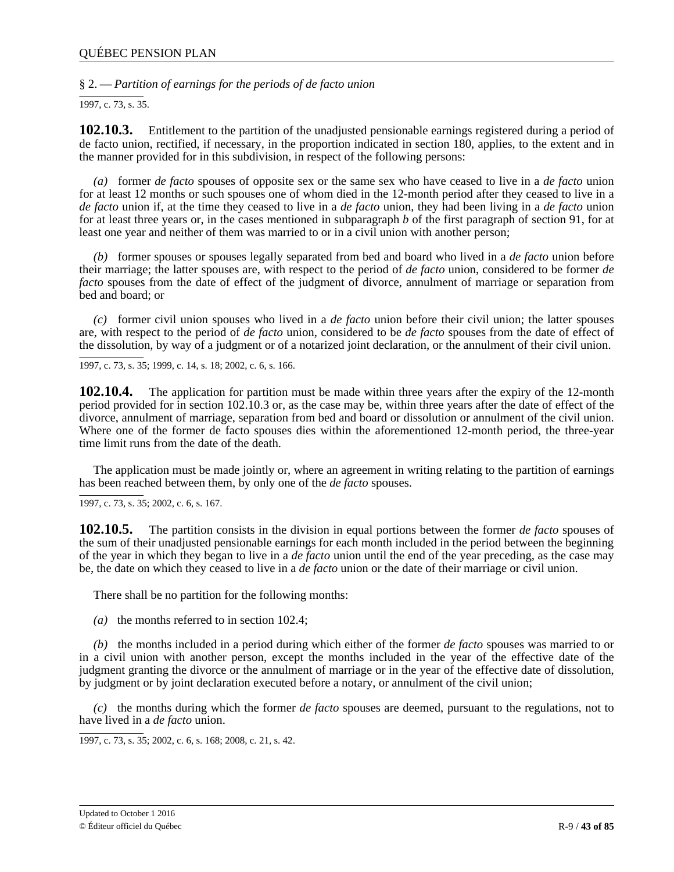§ 2. — *Partition of earnings for the periods of de facto union*

 $\overline{1997, c. 73, s. 35}.$ 

**102.10.3.** Entitlement to the partition of the unadjusted pensionable earnings registered during a period of de facto union, rectified, if necessary, in the proportion indicated in section 180, applies, to the extent and in the manner provided for in this subdivision, in respect of the following persons:

*(a)* former *de facto* spouses of opposite sex or the same sex who have ceased to live in a *de facto* union for at least 12 months or such spouses one of whom died in the 12-month period after they ceased to live in a *de facto* union if, at the time they ceased to live in a *de facto* union, they had been living in a *de facto* union for at least three years or, in the cases mentioned in subparagraph *b* of the first paragraph of section 91, for at least one year and neither of them was married to or in a civil union with another person;

*(b)* former spouses or spouses legally separated from bed and board who lived in a *de facto* union before their marriage; the latter spouses are, with respect to the period of *de facto* union, considered to be former *de facto* spouses from the date of effect of the judgment of divorce, annulment of marriage or separation from bed and board; or

*(c)* former civil union spouses who lived in a *de facto* union before their civil union; the latter spouses are, with respect to the period of *de facto* union, considered to be *de facto* spouses from the date of effect of the dissolution, by way of a judgment or of a notarized joint declaration, or the annulment of their civil union.

1997, c. 73, s. 35; 1999, c. 14, s. 18; 2002, c. 6, s. 166.

**102.10.4.** The application for partition must be made within three years after the expiry of the 12-month period provided for in section 102.10.3 or, as the case may be, within three years after the date of effect of the divorce, annulment of marriage, separation from bed and board or dissolution or annulment of the civil union. Where one of the former de facto spouses dies within the aforementioned 12-month period, the three-year time limit runs from the date of the death.

The application must be made jointly or, where an agreement in writing relating to the partition of earnings has been reached between them, by only one of the *de facto* spouses.

1997, c. 73, s. 35; 2002, c. 6, s. 167.

**102.10.5.** The partition consists in the division in equal portions between the former *de facto* spouses of the sum of their unadjusted pensionable earnings for each month included in the period between the beginning of the year in which they began to live in a *de facto* union until the end of the year preceding, as the case may be, the date on which they ceased to live in a *de facto* union or the date of their marriage or civil union.

There shall be no partition for the following months:

*(a)* the months referred to in section 102.4;

*(b)* the months included in a period during which either of the former *de facto* spouses was married to or in a civil union with another person, except the months included in the year of the effective date of the judgment granting the divorce or the annulment of marriage or in the year of the effective date of dissolution, by judgment or by joint declaration executed before a notary, or annulment of the civil union;

*(c)* the months during which the former *de facto* spouses are deemed, pursuant to the regulations, not to have lived in a *de facto* union.

1997, c. 73, s. 35; 2002, c. 6, s. 168; 2008, c. 21, s. 42.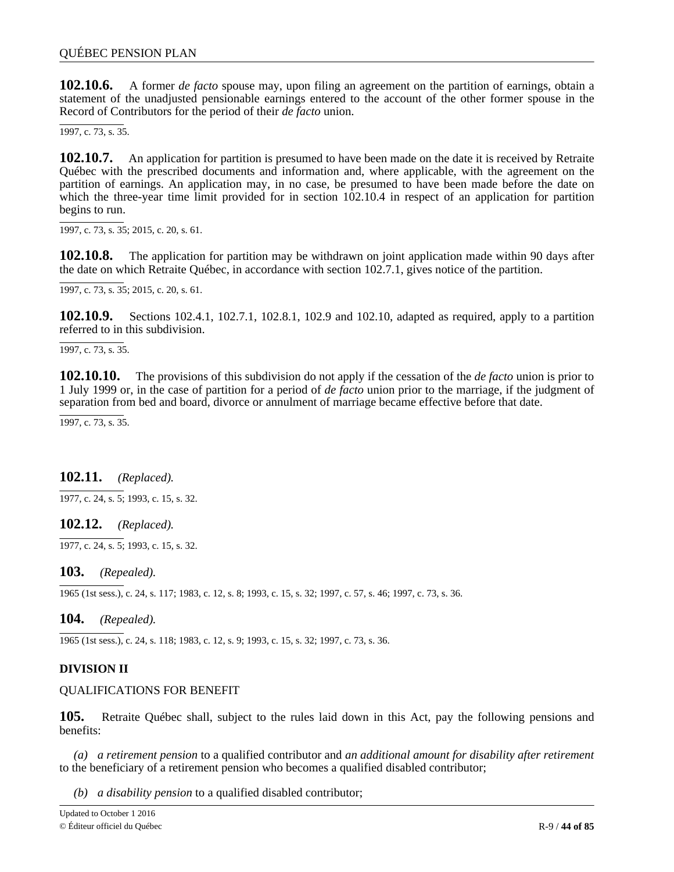**102.10.6.** A former *de facto* spouse may, upon filing an agreement on the partition of earnings, obtain a statement of the unadjusted pensionable earnings entered to the account of the other former spouse in the Record of Contributors for the period of their *de facto* union.

1997, c. 73, s. 35.

**102.10.7.** An application for partition is presumed to have been made on the date it is received by Retraite Québec with the prescribed documents and information and, where applicable, with the agreement on the partition of earnings. An application may, in no case, be presumed to have been made before the date on which the three-year time limit provided for in section  $102.10.4$  in respect of an application for partition begins to run.

1997, c. 73, s. 35; 2015, c. 20, s. 61.

**102.10.8.** The application for partition may be withdrawn on joint application made within 90 days after the date on which Retraite Québec, in accordance with section 102.7.1, gives notice of the partition.

1997, c. 73, s. 35; 2015, c. 20, s. 61.

**102.10.9.** Sections 102.4.1, 102.7.1, 102.8.1, 102.9 and 102.10, adapted as required, apply to a partition referred to in this subdivision.

1997, c. 73, s. 35.

**102.10.10.** The provisions of this subdivision do not apply if the cessation of the *de facto* union is prior to 1 July 1999 or, in the case of partition for a period of *de facto* union prior to the marriage, if the judgment of separation from bed and board, divorce or annulment of marriage became effective before that date.

1997, c. 73, s. 35.

# 7 **102.11.** *(Replaced).*

 $\frac{1}{2}$ , 1977, c. 24, s. 5; 1993, c. 15, s. 32.

#### c . **102.12.** *(Replaced).*

 $\frac{1}{1}$ 4 1977, c. 24, s. 5; 1993, c. 15, s. 32.

#### , s **103.** *(Repealed).*

. 1965 (1st sess.), c. 24, s. 117; 1983, c. 12, s. 8; 1993, c. 15, s. 32; 1997, c. 57, s. 46; 1997, c. 73, s. 36.

104. **104.** *(Repealed).*

1965 (1st sess.), c. 24, s. 118; 1983, c. 12, s. 9; 1993, c. 15, s. 32; 1997, c. 73, s. 36.

# **DIVISION II**

### QUALIFICATIONS FOR BENEFIT

**105.** Retraite Québec shall, subject to the rules laid down in this Act, pay the following pensions and benefits:

*(a) a retirement pension* to a qualified contributor and *an additional amount for disability after retirement* to the beneficiary of a retirement pension who becomes a qualified disabled contributor;

*(b) a disability pension* to a qualified disabled contributor;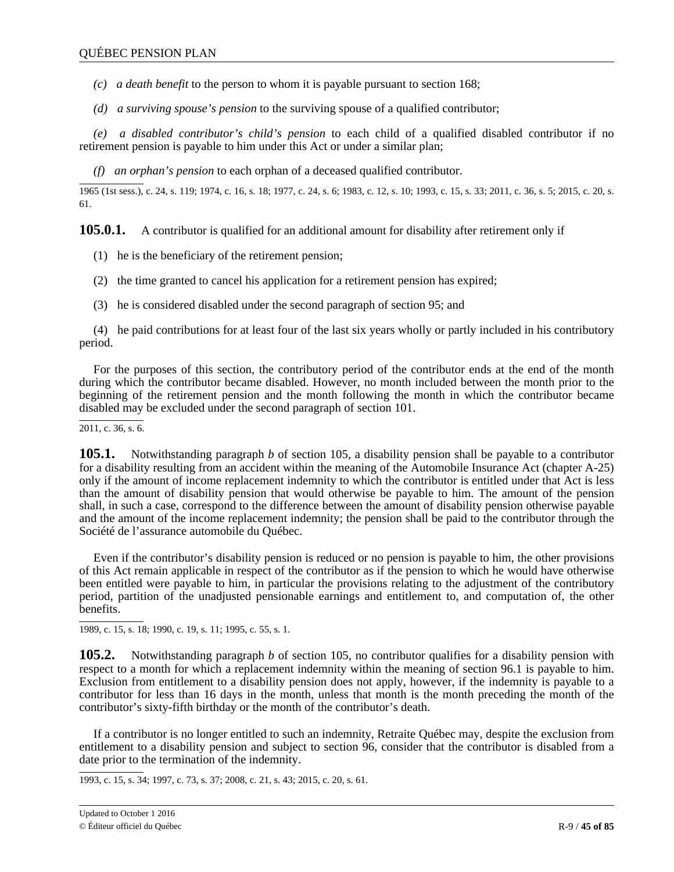- *(c) a death benefit* to the person to whom it is payable pursuant to section 168;
- *(d) a surviving spouse's pension* to the surviving spouse of a qualified contributor;

*(e) a disabled contributor's child's pension* to each child of a qualified disabled contributor if no retirement pension is payable to him under this Act or under a similar plan;

*(f) an orphan's pension* to each orphan of a deceased qualified contributor.

1965 (1st sess.), c. 24, s. 119; 1974, c. 16, s. 18; 1977, c. 24, s. 6; 1983, c. 12, s. 10; 1993, c. 15, s. 33; 2011, c. 36, s. 5; 2015, c. 20, s. 61.

**105.0.1.** A contributor is qualified for an additional amount for disability after retirement only if

- (1) he is the beneficiary of the retirement pension;
- (2) the time granted to cancel his application for a retirement pension has expired;
- (3) he is considered disabled under the second paragraph of section 95; and

(4) he paid contributions for at least four of the last six years wholly or partly included in his contributory period.

For the purposes of this section, the contributory period of the contributor ends at the end of the month during which the contributor became disabled. However, no month included between the month prior to the beginning of the retirement pension and the month following the month in which the contributor became disabled may be excluded under the second paragraph of section 101.

 $2011, c. 36, s. 6.$ 

**105.1.** Notwithstanding paragraph *b* of section 105, a disability pension shall be payable to a contributor for a disability resulting from an accident within the meaning of the Automobile Insurance Act (chapter A-25) only if the amount of income replacement indemnity to which the contributor is entitled under that Act is less than the amount of disability pension that would otherwise be payable to him. The amount of the pension shall, in such a case, correspond to the difference between the amount of disability pension otherwise payable and the amount of the income replacement indemnity; the pension shall be paid to the contributor through the Société de l'assurance automobile du Québec.

Even if the contributor's disability pension is reduced or no pension is payable to him, the other provisions of this Act remain applicable in respect of the contributor as if the pension to which he would have otherwise been entitled were payable to him, in particular the provisions relating to the adjustment of the contributory period, partition of the unadjusted pensionable earnings and entitlement to, and computation of, the other benefits.

1989, c. 15, s. 18; 1990, c. 19, s. 11; 1995, c. 55, s. 1.

**105.2.** Notwithstanding paragraph *b* of section 105, no contributor qualifies for a disability pension with respect to a month for which a replacement indemnity within the meaning of section 96.1 is payable to him. Exclusion from entitlement to a disability pension does not apply, however, if the indemnity is payable to a contributor for less than 16 days in the month, unless that month is the month preceding the month of the contributor's sixty-fifth birthday or the month of the contributor's death.

If a contributor is no longer entitled to such an indemnity, Retraite Québec may, despite the exclusion from entitlement to a disability pension and subject to section 96, consider that the contributor is disabled from a date prior to the termination of the indemnity.

1993, c. 15, s. 34; 1997, c. 73, s. 37; 2008, c. 21, s. 43; 2015, c. 20, s. 61.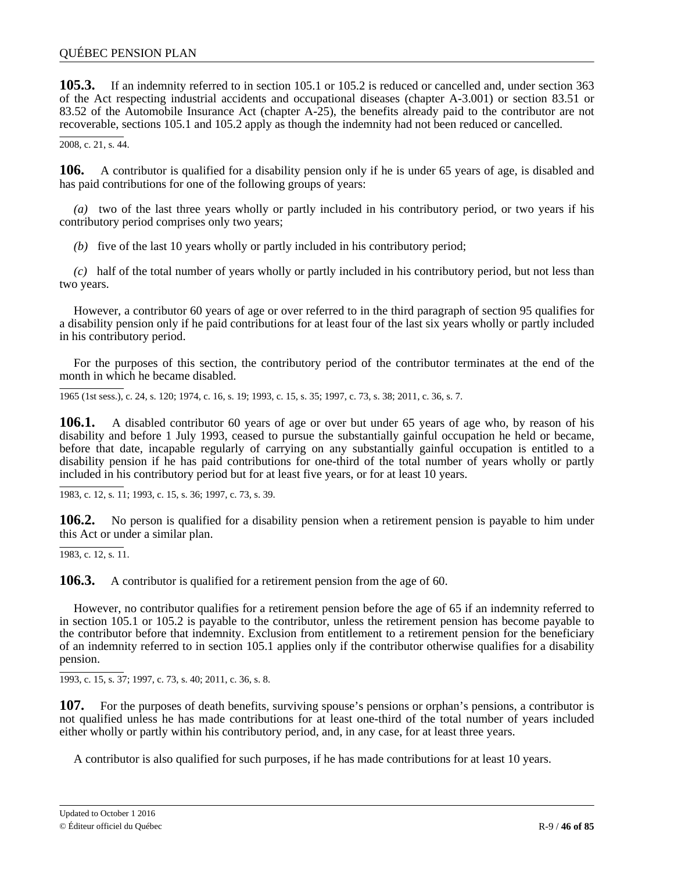**105.3.** If an indemnity referred to in section 105.1 or 105.2 is reduced or cancelled and, under section 363 of the Act respecting industrial accidents and occupational diseases (chapter A-3.001) or section 83.51 or 83.52 of the Automobile Insurance Act (chapter A-25), the benefits already paid to the contributor are not recoverable, sections 105.1 and 105.2 apply as though the indemnity had not been reduced or cancelled.

2008, c. 21, s. 44.

**106.** A contributor is qualified for a disability pension only if he is under 65 years of age, is disabled and has paid contributions for one of the following groups of years:

*(a)* two of the last three years wholly or partly included in his contributory period, or two years if his contributory period comprises only two years;

*(b)* five of the last 10 years wholly or partly included in his contributory period;

*(c)* half of the total number of years wholly or partly included in his contributory period, but not less than two years.

However, a contributor 60 years of age or over referred to in the third paragraph of section 95 qualifies for a disability pension only if he paid contributions for at least four of the last six years wholly or partly included in his contributory period.

For the purposes of this section, the contributory period of the contributor terminates at the end of the month in which he became disabled.

1965 (1st sess.), c. 24, s. 120; 1974, c. 16, s. 19; 1993, c. 15, s. 35; 1997, c. 73, s. 38; 2011, c. 36, s. 7.

**106.1.** A disabled contributor 60 years of age or over but under 65 years of age who, by reason of his disability and before 1 July 1993, ceased to pursue the substantially gainful occupation he held or became, before that date, incapable regularly of carrying on any substantially gainful occupation is entitled to a disability pension if he has paid contributions for one-third of the total number of years wholly or partly included in his contributory period but for at least five years, or for at least 10 years.

1983, c. 12, s. 11; 1993, c. 15, s. 36; 1997, c. 73, s. 39.

**106.2.** No person is qualified for a disability pension when a retirement pension is payable to him under this Act or under a similar plan.

1983, c. 12, s. 11.

**106.3.** A contributor is qualified for a retirement pension from the age of 60.

However, no contributor qualifies for a retirement pension before the age of 65 if an indemnity referred to in section 105.1 or 105.2 is payable to the contributor, unless the retirement pension has become payable to the contributor before that indemnity. Exclusion from entitlement to a retirement pension for the beneficiary of an indemnity referred to in section 105.1 applies only if the contributor otherwise qualifies for a disability pension.

1993, c. 15, s. 37; 1997, c. 73, s. 40; 2011, c. 36, s. 8.

**107.** For the purposes of death benefits, surviving spouse's pensions or orphan's pensions, a contributor is not qualified unless he has made contributions for at least one-third of the total number of years included either wholly or partly within his contributory period, and, in any case, for at least three years.

A contributor is also qualified for such purposes, if he has made contributions for at least 10 years.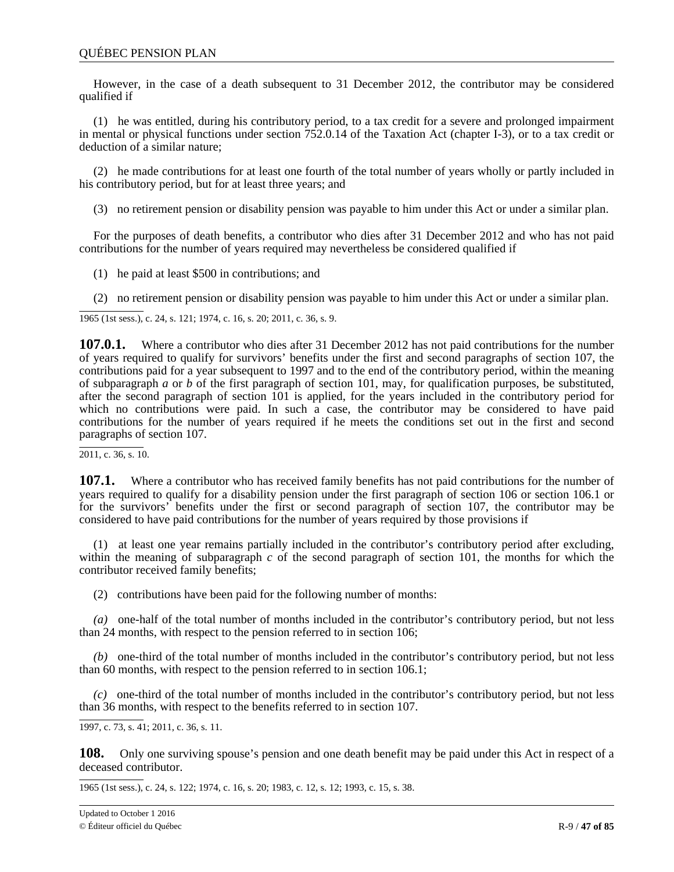However, in the case of a death subsequent to 31 December 2012, the contributor may be considered qualified if

(1) he was entitled, during his contributory period, to a tax credit for a severe and prolonged impairment in mental or physical functions under section 752.0.14 of the Taxation Act (chapter I-3), or to a tax credit or deduction of a similar nature;

(2) he made contributions for at least one fourth of the total number of years wholly or partly included in his contributory period, but for at least three years; and

(3) no retirement pension or disability pension was payable to him under this Act or under a similar plan.

For the purposes of death benefits, a contributor who dies after 31 December 2012 and who has not paid contributions for the number of years required may nevertheless be considered qualified if

- (1) he paid at least \$500 in contributions; and
- (2) no retirement pension or disability pension was payable to him under this Act or under a similar plan.

1965 (1st sess.), c. 24, s. 121; 1974, c. 16, s. 20; 2011, c. 36, s. 9.

**107.0.1.** Where a contributor who dies after 31 December 2012 has not paid contributions for the number of years required to qualify for survivors' benefits under the first and second paragraphs of section 107, the contributions paid for a year subsequent to 1997 and to the end of the contributory period, within the meaning of subparagraph *a* or *b* of the first paragraph of section 101, may, for qualification purposes, be substituted, after the second paragraph of section 101 is applied, for the years included in the contributory period for which no contributions were paid. In such a case, the contributor may be considered to have paid contributions for the number of years required if he meets the conditions set out in the first and second paragraphs of section 107.

2011, c. 36, s. 10.

**107.1.** Where a contributor who has received family benefits has not paid contributions for the number of years required to qualify for a disability pension under the first paragraph of section 106 or section 106.1 or for the survivors' benefits under the first or second paragraph of section 107, the contributor may be considered to have paid contributions for the number of years required by those provisions if

(1) at least one year remains partially included in the contributor's contributory period after excluding, within the meaning of subparagraph *c* of the second paragraph of section 101, the months for which the contributor received family benefits;

(2) contributions have been paid for the following number of months:

*(a)* one-half of the total number of months included in the contributor's contributory period, but not less than 24 months, with respect to the pension referred to in section 106;

*(b)* one-third of the total number of months included in the contributor's contributory period, but not less than 60 months, with respect to the pension referred to in section 106.1;

*(c)* one-third of the total number of months included in the contributor's contributory period, but not less than 36 months, with respect to the benefits referred to in section 107.

1997, c. 73, s. 41; 2011, c. 36, s. 11.

**108.** Only one surviving spouse's pension and one death benefit may be paid under this Act in respect of a deceased contributor.

1965 (1st sess.), c. 24, s. 122; 1974, c. 16, s. 20; 1983, c. 12, s. 12; 1993, c. 15, s. 38.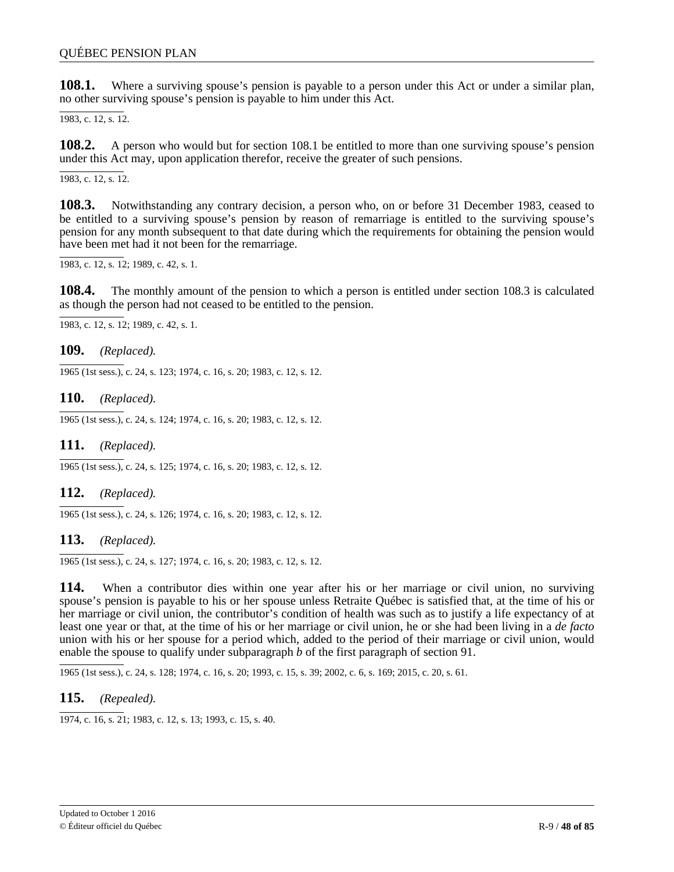**108.1.** Where a surviving spouse's pension is payable to a person under this Act or under a similar plan, no other surviving spouse's pension is payable to him under this Act.

1983, c. 12, s. 12.

**108.2.** A person who would but for section 108.1 be entitled to more than one surviving spouse's pension under this Act may, upon application therefor, receive the greater of such pensions.

1983, c. 12, s. 12.

**108.3.** Notwithstanding any contrary decision, a person who, on or before 31 December 1983, ceased to be entitled to a surviving spouse's pension by reason of remarriage is entitled to the surviving spouse's pension for any month subsequent to that date during which the requirements for obtaining the pension would have been met had it not been for the remarriage.

1983, c. 12, s. 12; 1989, c. 42, s. 1.

**108.4.** The monthly amount of the pension to which a person is entitled under section 108.3 is calculated as though the person had not ceased to be entitled to the pension.

1983, c. 12, s. 12; 1989, c. 42, s. 1.

**109.** *(Replaced).*

1965 (1st sess.), c. 24, s. 123; 1974, c. 16, s. 20; 1983, c. 12, s. 12.

**110.** *(Replaced).*

1965 (1st sess.), c. 24, s. 124; 1974, c. 16, s. 20; 1983, c. 12, s. 12.

**111.** *(Replaced).*

1965 (1st sess.), c. 24, s. 125; 1974, c. 16, s. 20; 1983, c. 12, s. 12.

**112.** *(Replaced).*

1965 (1st sess.), c. 24, s. 126; 1974, c. 16, s. 20; 1983, c. 12, s. 12.

**113.** *(Replaced).*

1965 (1st sess.), c. 24, s. 127; 1974, c. 16, s. 20; 1983, c. 12, s. 12.

**114.** When a contributor dies within one year after his or her marriage or civil union, no surviving spouse's pension is payable to his or her spouse unless Retraite Québec is satisfied that, at the time of his or her marriage or civil union, the contributor's condition of health was such as to justify a life expectancy of at least one year or that, at the time of his or her marriage or civil union, he or she had been living in a *de facto* union with his or her spouse for a period which, added to the period of their marriage or civil union, would enable the spouse to qualify under subparagraph *b* of the first paragraph of section 91.

1965 (1st sess.), c. 24, s. 128; 1974, c. 16, s. 20; 1993, c. 15, s. 39; 2002, c. 6, s. 169; 2015, c. 20, s. 61.

**115.** *(Repealed).*

1974, c. 16, s. 21; 1983, c. 12, s. 13; 1993, c. 15, s. 40.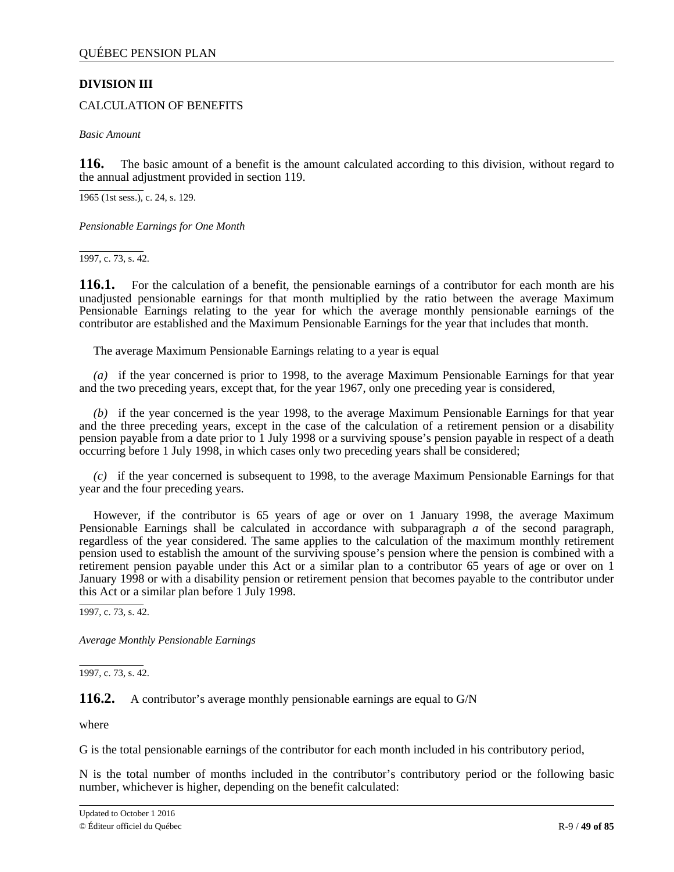# **DIVISION III**

### CALCULATION OF BENEFITS

*Basic Amount*

**116.** The basic amount of a benefit is the amount calculated according to this division, without regard to the annual adjustment provided in section 119.

1965 (1st sess.), c. 24, s. 129.

*Pensionable Earnings for One Month*

1997, c. 73, s. 42.

**116.1.** For the calculation of a benefit, the pensionable earnings of a contributor for each month are his unadjusted pensionable earnings for that month multiplied by the ratio between the average Maximum Pensionable Earnings relating to the year for which the average monthly pensionable earnings of the contributor are established and the Maximum Pensionable Earnings for the year that includes that month.

The average Maximum Pensionable Earnings relating to a year is equal

*(a)* if the year concerned is prior to 1998, to the average Maximum Pensionable Earnings for that year and the two preceding years, except that, for the year 1967, only one preceding year is considered,

*(b)* if the year concerned is the year 1998, to the average Maximum Pensionable Earnings for that year and the three preceding years, except in the case of the calculation of a retirement pension or a disability pension payable from a date prior to 1 July 1998 or a surviving spouse's pension payable in respect of a death occurring before 1 July 1998, in which cases only two preceding years shall be considered;

*(c)* if the year concerned is subsequent to 1998, to the average Maximum Pensionable Earnings for that year and the four preceding years.

However, if the contributor is 65 years of age or over on 1 January 1998, the average Maximum Pensionable Earnings shall be calculated in accordance with subparagraph *a* of the second paragraph, regardless of the year considered. The same applies to the calculation of the maximum monthly retirement pension used to establish the amount of the surviving spouse's pension where the pension is combined with a retirement pension payable under this Act or a similar plan to a contributor 65 years of age or over on 1 January 1998 or with a disability pension or retirement pension that becomes payable to the contributor under this Act or a similar plan before 1 July 1998.

 $\overline{1997, c. 73, s. 42}.$ 

*Average Monthly Pensionable Earnings*

 $\overline{1997, c. 73, s. 42}$ .

### **116.2.** A contributor's average monthly pensionable earnings are equal to G/N

where

G is the total pensionable earnings of the contributor for each month included in his contributory period,

N is the total number of months included in the contributor's contributory period or the following basic number, whichever is higher, depending on the benefit calculated: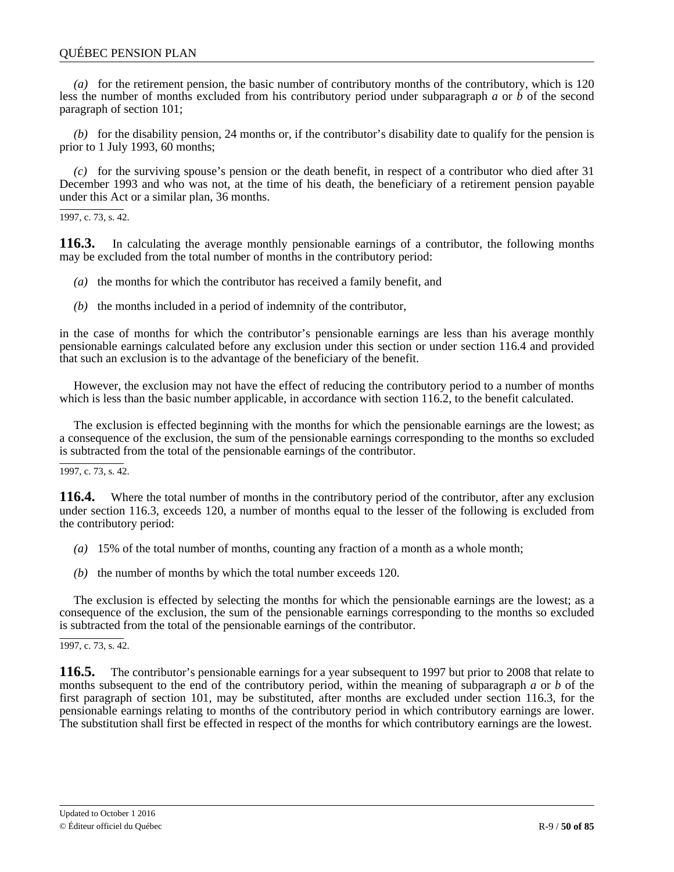*(a)* for the retirement pension, the basic number of contributory months of the contributory, which is 120 less the number of months excluded from his contributory period under subparagraph *a* or *b* of the second paragraph of section 101;

*(b)* for the disability pension, 24 months or, if the contributor's disability date to qualify for the pension is prior to 1 July 1993, 60 months;

*(c)* for the surviving spouse's pension or the death benefit, in respect of a contributor who died after 31 December 1993 and who was not, at the time of his death, the beneficiary of a retirement pension payable under this Act or a similar plan, 36 months.

1997, c. 73, s. 42.

**116.3.** In calculating the average monthly pensionable earnings of a contributor, the following months may be excluded from the total number of months in the contributory period:

- *(a)* the months for which the contributor has received a family benefit, and
- *(b)* the months included in a period of indemnity of the contributor,

in the case of months for which the contributor's pensionable earnings are less than his average monthly pensionable earnings calculated before any exclusion under this section or under section 116.4 and provided that such an exclusion is to the advantage of the beneficiary of the benefit.

However, the exclusion may not have the effect of reducing the contributory period to a number of months which is less than the basic number applicable, in accordance with section 116.2, to the benefit calculated.

The exclusion is effected beginning with the months for which the pensionable earnings are the lowest; as a consequence of the exclusion, the sum of the pensionable earnings corresponding to the months so excluded is subtracted from the total of the pensionable earnings of the contributor.

1997, c. 73, s. 42.

**116.4.** Where the total number of months in the contributory period of the contributor, after any exclusion under section 116.3, exceeds 120, a number of months equal to the lesser of the following is excluded from the contributory period:

- *(a)* 15% of the total number of months, counting any fraction of a month as a whole month;
- *(b)* the number of months by which the total number exceeds 120.

The exclusion is effected by selecting the months for which the pensionable earnings are the lowest; as a consequence of the exclusion, the sum of the pensionable earnings corresponding to the months so excluded is subtracted from the total of the pensionable earnings of the contributor.

### 1997, c. 73, s. 42.

**116.5.** The contributor's pensionable earnings for a year subsequent to 1997 but prior to 2008 that relate to months subsequent to the end of the contributory period, within the meaning of subparagraph *a* or *b* of the first paragraph of section 101, may be substituted, after months are excluded under section 116.3, for the pensionable earnings relating to months of the contributory period in which contributory earnings are lower. The substitution shall first be effected in respect of the months for which contributory earnings are the lowest.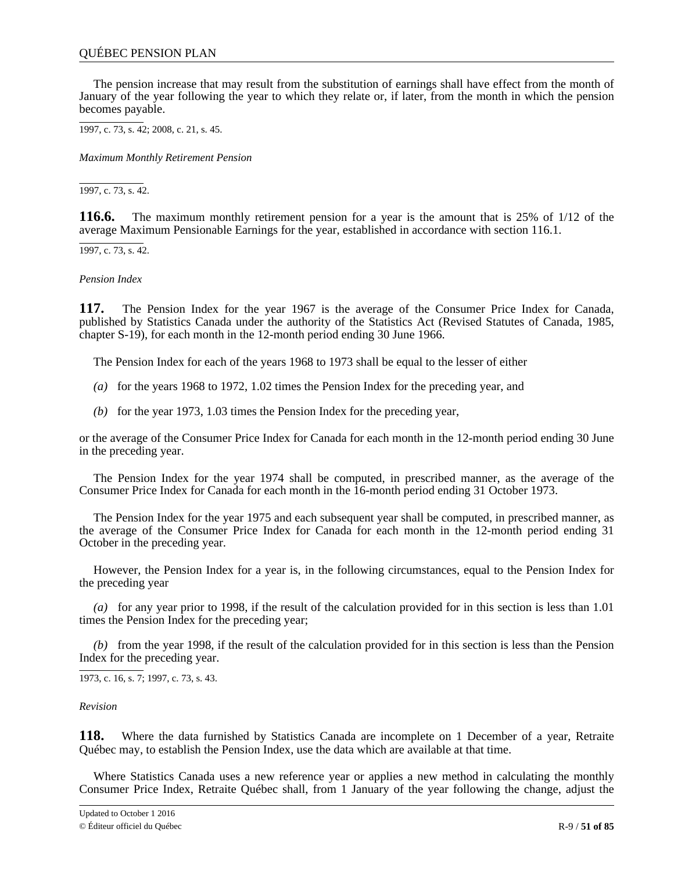The pension increase that may result from the substitution of earnings shall have effect from the month of January of the year following the year to which they relate or, if later, from the month in which the pension becomes payable.

1997, c. 73, s. 42; 2008, c. 21, s. 45.

*Maximum Monthly Retirement Pension*

1997, c. 73, s. 42.

**116.6.** The maximum monthly retirement pension for a year is the amount that is 25% of 1/12 of the average Maximum Pensionable Earnings for the year, established in accordance with section 116.1.

1997, c. 73, s. 42.

*Pension Index*

**117.** The Pension Index for the year 1967 is the average of the Consumer Price Index for Canada, published by Statistics Canada under the authority of the Statistics Act (Revised Statutes of Canada, 1985, chapter S-19), for each month in the 12-month period ending 30 June 1966.

The Pension Index for each of the years 1968 to 1973 shall be equal to the lesser of either

- *(a)* for the years 1968 to 1972, 1.02 times the Pension Index for the preceding year, and
- *(b)* for the year 1973, 1.03 times the Pension Index for the preceding year,

or the average of the Consumer Price Index for Canada for each month in the 12-month period ending 30 June in the preceding year.

The Pension Index for the year 1974 shall be computed, in prescribed manner, as the average of the Consumer Price Index for Canada for each month in the 16-month period ending 31 October 1973.

The Pension Index for the year 1975 and each subsequent year shall be computed, in prescribed manner, as the average of the Consumer Price Index for Canada for each month in the 12-month period ending 31 October in the preceding year.

However, the Pension Index for a year is, in the following circumstances, equal to the Pension Index for the preceding year

*(a)* for any year prior to 1998, if the result of the calculation provided for in this section is less than 1.01 times the Pension Index for the preceding year;

*(b)* from the year 1998, if the result of the calculation provided for in this section is less than the Pension Index for the preceding year.

1973, c. 16, s. 7; 1997, c. 73, s. 43.

*Revision*

**118.** Where the data furnished by Statistics Canada are incomplete on 1 December of a year, Retraite Québec may, to establish the Pension Index, use the data which are available at that time.

Where Statistics Canada uses a new reference year or applies a new method in calculating the monthly Consumer Price Index, Retraite Québec shall, from 1 January of the year following the change, adjust the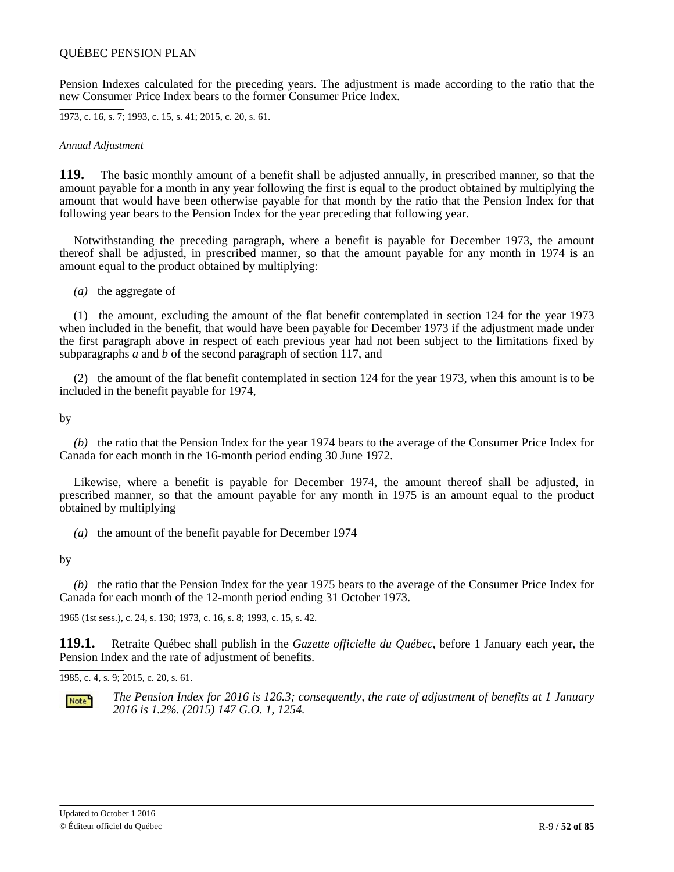Pension Indexes calculated for the preceding years. The adjustment is made according to the ratio that the new Consumer Price Index bears to the former Consumer Price Index.

1973, c. 16, s. 7; 1993, c. 15, s. 41; 2015, c. 20, s. 61.

*Annual Adjustment*

**119.** The basic monthly amount of a benefit shall be adjusted annually, in prescribed manner, so that the amount payable for a month in any year following the first is equal to the product obtained by multiplying the amount that would have been otherwise payable for that month by the ratio that the Pension Index for that following year bears to the Pension Index for the year preceding that following year.

Notwithstanding the preceding paragraph, where a benefit is payable for December 1973, the amount thereof shall be adjusted, in prescribed manner, so that the amount payable for any month in 1974 is an amount equal to the product obtained by multiplying:

*(a)* the aggregate of

(1) the amount, excluding the amount of the flat benefit contemplated in section 124 for the year 1973 when included in the benefit, that would have been payable for December 1973 if the adjustment made under the first paragraph above in respect of each previous year had not been subject to the limitations fixed by subparagraphs *a* and *b* of the second paragraph of section 117, and

(2) the amount of the flat benefit contemplated in section 124 for the year 1973, when this amount is to be included in the benefit payable for 1974,

by

*(b)* the ratio that the Pension Index for the year 1974 bears to the average of the Consumer Price Index for Canada for each month in the 16-month period ending 30 June 1972.

Likewise, where a benefit is payable for December 1974, the amount thereof shall be adjusted, in prescribed manner, so that the amount payable for any month in 1975 is an amount equal to the product obtained by multiplying

*(a)* the amount of the benefit payable for December 1974

by

*(b)* the ratio that the Pension Index for the year 1975 bears to the average of the Consumer Price Index for Canada for each month of the 12-month period ending 31 October 1973.

1965 (1st sess.), c. 24, s. 130; 1973, c. 16, s. 8; 1993, c. 15, s. 42.

**119.1.** Retraite Québec shall publish in the *Gazette officielle du Québec*, before 1 January each year, the Pension Index and the rate of adjustment of benefits.

1985, c. 4, s. 9; 2015, c. 20, s. 61.



*The Pension Index for 2016 is 126.3; consequently, the rate of adjustment of benefits at 1 January 2016 is 1.2%. (2015) 147 G.O. 1, 1254.*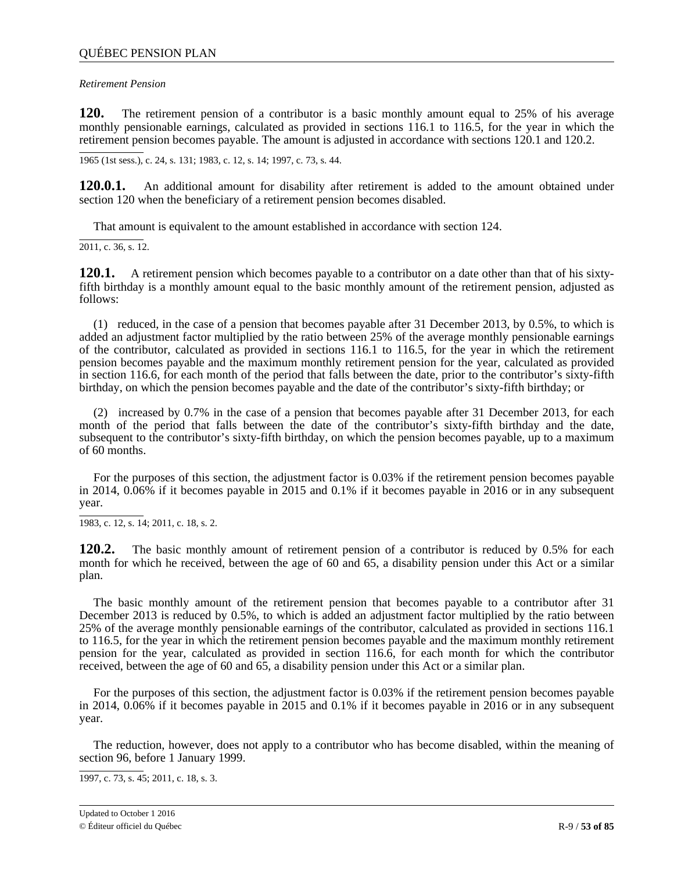### *Retirement Pension*

**120.** The retirement pension of a contributor is a basic monthly amount equal to 25% of his average monthly pensionable earnings, calculated as provided in sections 116.1 to 116.5, for the year in which the retirement pension becomes payable. The amount is adjusted in accordance with sections 120.1 and 120.2.

1965 (1st sess.), c. 24, s. 131; 1983, c. 12, s. 14; 1997, c. 73, s. 44.

**120.0.1.** An additional amount for disability after retirement is added to the amount obtained under section 120 when the beneficiary of a retirement pension becomes disabled.

That amount is equivalent to the amount established in accordance with section 124.

2011, c. 36, s. 12.

**120.1.** A retirement pension which becomes payable to a contributor on a date other than that of his sixtyfifth birthday is a monthly amount equal to the basic monthly amount of the retirement pension, adjusted as follows:

(1) reduced, in the case of a pension that becomes payable after 31 December 2013, by 0.5%, to which is added an adjustment factor multiplied by the ratio between 25% of the average monthly pensionable earnings of the contributor, calculated as provided in sections 116.1 to 116.5, for the year in which the retirement pension becomes payable and the maximum monthly retirement pension for the year, calculated as provided in section 116.6, for each month of the period that falls between the date, prior to the contributor's sixty-fifth birthday, on which the pension becomes payable and the date of the contributor's sixty-fifth birthday; or

(2) increased by 0.7% in the case of a pension that becomes payable after 31 December 2013, for each month of the period that falls between the date of the contributor's sixty-fifth birthday and the date, subsequent to the contributor's sixty-fifth birthday, on which the pension becomes payable, up to a maximum of 60 months.

For the purposes of this section, the adjustment factor is 0.03% if the retirement pension becomes payable in 2014, 0.06% if it becomes payable in 2015 and 0.1% if it becomes payable in 2016 or in any subsequent year.

1983, c. 12, s. 14; 2011, c. 18, s. 2.

**120.2.** The basic monthly amount of retirement pension of a contributor is reduced by 0.5% for each month for which he received, between the age of 60 and 65, a disability pension under this Act or a similar plan.

The basic monthly amount of the retirement pension that becomes payable to a contributor after 31 December 2013 is reduced by 0.5%, to which is added an adjustment factor multiplied by the ratio between 25% of the average monthly pensionable earnings of the contributor, calculated as provided in sections 116.1 to 116.5, for the year in which the retirement pension becomes payable and the maximum monthly retirement pension for the year, calculated as provided in section 116.6, for each month for which the contributor received, between the age of 60 and 65, a disability pension under this Act or a similar plan.

For the purposes of this section, the adjustment factor is 0.03% if the retirement pension becomes payable in 2014, 0.06% if it becomes payable in 2015 and 0.1% if it becomes payable in 2016 or in any subsequent year.

The reduction, however, does not apply to a contributor who has become disabled, within the meaning of section 96, before 1 January 1999.

1997, c. 73, s. 45; 2011, c. 18, s. 3.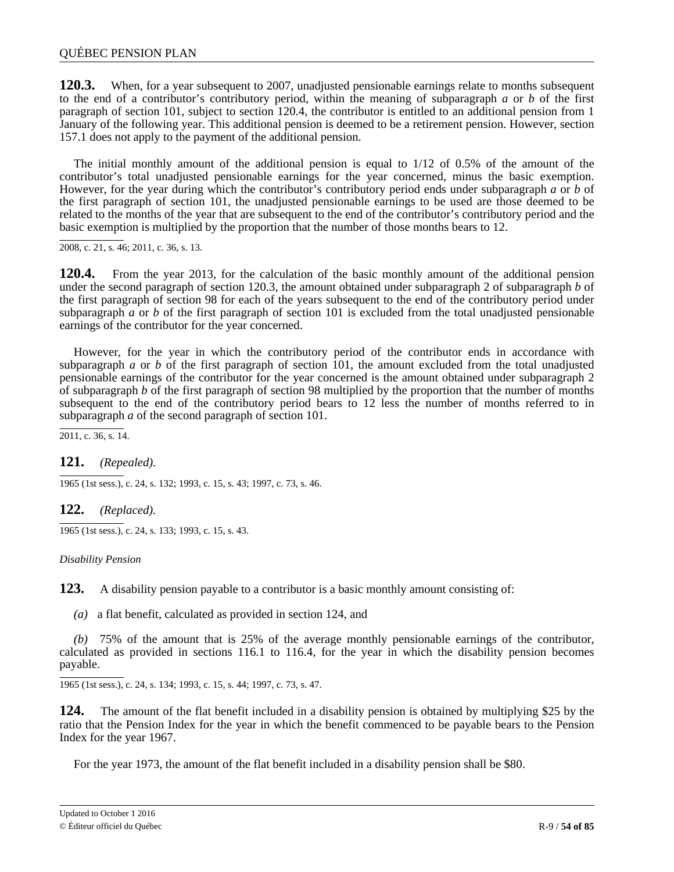**120.3.** When, for a year subsequent to 2007, unadjusted pensionable earnings relate to months subsequent to the end of a contributor's contributory period, within the meaning of subparagraph *a* or *b* of the first paragraph of section 101, subject to section 120.4, the contributor is entitled to an additional pension from 1 January of the following year. This additional pension is deemed to be a retirement pension. However, section 157.1 does not apply to the payment of the additional pension.

The initial monthly amount of the additional pension is equal to 1/12 of 0.5% of the amount of the contributor's total unadjusted pensionable earnings for the year concerned, minus the basic exemption. However, for the year during which the contributor's contributory period ends under subparagraph *a* or *b* of the first paragraph of section 101, the unadjusted pensionable earnings to be used are those deemed to be related to the months of the year that are subsequent to the end of the contributor's contributory period and the basic exemption is multiplied by the proportion that the number of those months bears to 12.

2008, c. 21, s. 46; 2011, c. 36, s. 13.

**120.4.** From the year 2013, for the calculation of the basic monthly amount of the additional pension under the second paragraph of section 120.3, the amount obtained under subparagraph 2 of subparagraph *b* of the first paragraph of section 98 for each of the years subsequent to the end of the contributory period under subparagraph  $\alpha$  or  $\beta$  of the first paragraph of section 101 is excluded from the total unadjusted pensionable earnings of the contributor for the year concerned.

However, for the year in which the contributory period of the contributor ends in accordance with subparagraph *a* or *b* of the first paragraph of section 101, the amount excluded from the total unadjusted pensionable earnings of the contributor for the year concerned is the amount obtained under subparagraph 2 of subparagraph *b* of the first paragraph of section 98 multiplied by the proportion that the number of months subsequent to the end of the contributory period bears to 12 less the number of months referred to in subparagraph *a* of the second paragraph of section 101.

 $\overline{2011, c. 36, s. 14}.$ 

# **121.** *(Repealed).*

1965 (1st sess.), c. 24, s. 132; 1993, c. 15, s. 43; 1997, c. 73, s. 46.

### **122.** *(Replaced).*

1965 (1st sess.), c. 24, s. 133; 1993, c. 15, s. 43.

### *Disability Pension*

**123.** A disability pension payable to a contributor is a basic monthly amount consisting of:

*(a)* a flat benefit, calculated as provided in section 124, and

*(b)* 75% of the amount that is 25% of the average monthly pensionable earnings of the contributor, calculated as provided in sections 116.1 to 116.4, for the year in which the disability pension becomes payable.

1965 (1st sess.), c. 24, s. 134; 1993, c. 15, s. 44; 1997, c. 73, s. 47.

**124.** The amount of the flat benefit included in a disability pension is obtained by multiplying \$25 by the ratio that the Pension Index for the year in which the benefit commenced to be payable bears to the Pension Index for the year 1967.

For the year 1973, the amount of the flat benefit included in a disability pension shall be \$80.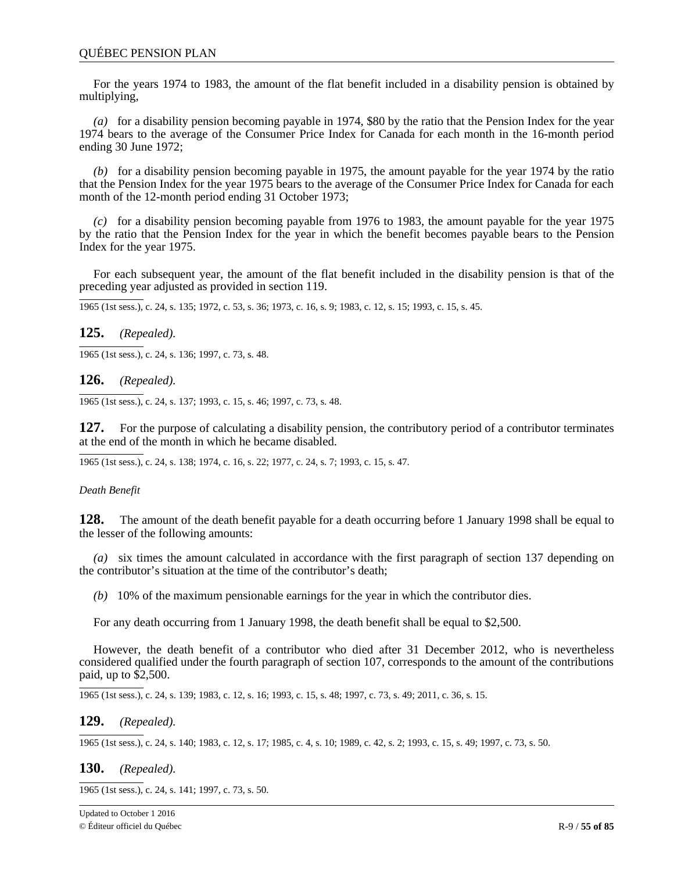For the years 1974 to 1983, the amount of the flat benefit included in a disability pension is obtained by multiplying,

*(a)* for a disability pension becoming payable in 1974, \$80 by the ratio that the Pension Index for the year 1974 bears to the average of the Consumer Price Index for Canada for each month in the 16-month period ending 30 June 1972;

*(b)* for a disability pension becoming payable in 1975, the amount payable for the year 1974 by the ratio that the Pension Index for the year 1975 bears to the average of the Consumer Price Index for Canada for each month of the 12-month period ending 31 October 1973;

*(c)* for a disability pension becoming payable from 1976 to 1983, the amount payable for the year 1975 by the ratio that the Pension Index for the year in which the benefit becomes payable bears to the Pension Index for the year 1975.

For each subsequent year, the amount of the flat benefit included in the disability pension is that of the preceding year adjusted as provided in section 119.

1965 (1st sess.), c. 24, s. 135; 1972, c. 53, s. 36; 1973, c. 16, s. 9; 1983, c. 12, s. 15; 1993, c. 15, s. 45.

# **125.** *(Repealed).*

1965 (1st sess.), c. 24, s. 136; 1997, c. 73, s. 48.

### **126.** *(Repealed).*

1965 (1st sess.), c. 24, s. 137; 1993, c. 15, s. 46; 1997, c. 73, s. 48.

**127.** For the purpose of calculating a disability pension, the contributory period of a contributor terminates at the end of the month in which he became disabled.

1965 (1st sess.), c. 24, s. 138; 1974, c. 16, s. 22; 1977, c. 24, s. 7; 1993, c. 15, s. 47.

### *Death Benefit*

**128.** The amount of the death benefit payable for a death occurring before 1 January 1998 shall be equal to the lesser of the following amounts:

*(a)* six times the amount calculated in accordance with the first paragraph of section 137 depending on the contributor's situation at the time of the contributor's death;

*(b)* 10% of the maximum pensionable earnings for the year in which the contributor dies.

For any death occurring from 1 January 1998, the death benefit shall be equal to \$2,500.

However, the death benefit of a contributor who died after 31 December 2012, who is nevertheless considered qualified under the fourth paragraph of section 107, corresponds to the amount of the contributions paid, up to \$2,500.

1965 (1st sess.), c. 24, s. 139; 1983, c. 12, s. 16; 1993, c. 15, s. 48; 1997, c. 73, s. 49; 2011, c. 36, s. 15.

# **129.** *(Repealed).*

1965 (1st sess.), c. 24, s. 140; 1983, c. 12, s. 17; 1985, c. 4, s. 10; 1989, c. 42, s. 2; 1993, c. 15, s. 49; 1997, c. 73, s. 50.

# **130.** *(Repealed).*

1965 (1st sess.), c. 24, s. 141; 1997, c. 73, s. 50.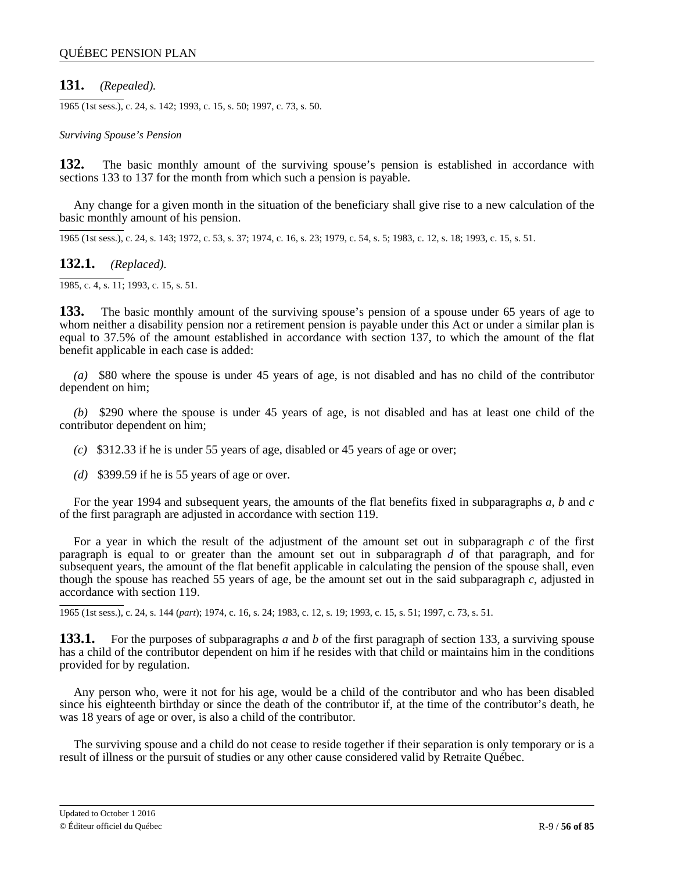# **131.** *(Repealed).*

1965 (1st sess.), c. 24, s. 142; 1993, c. 15, s. 50; 1997, c. 73, s. 50.

#### *Surviving Spouse's Pension*

**132.** The basic monthly amount of the surviving spouse's pension is established in accordance with sections 133 to 137 for the month from which such a pension is payable.

Any change for a given month in the situation of the beneficiary shall give rise to a new calculation of the basic monthly amount of his pension.

1965 (1st sess.), c. 24, s. 143; 1972, c. 53, s. 37; 1974, c. 16, s. 23; 1979, c. 54, s. 5; 1983, c. 12, s. 18; 1993, c. 15, s. 51.

**132.1.** *(Replaced).*

1985, c. 4, s. 11; 1993, c. 15, s. 51.

**133.** The basic monthly amount of the surviving spouse's pension of a spouse under 65 years of age to whom neither a disability pension nor a retirement pension is payable under this Act or under a similar plan is equal to 37.5% of the amount established in accordance with section 137, to which the amount of the flat benefit applicable in each case is added:

*(a)* \$80 where the spouse is under 45 years of age, is not disabled and has no child of the contributor dependent on him;

*(b)* \$290 where the spouse is under 45 years of age, is not disabled and has at least one child of the contributor dependent on him;

*(c)* \$312.33 if he is under 55 years of age, disabled or 45 years of age or over;

*(d)* \$399.59 if he is 55 years of age or over.

For the year 1994 and subsequent years, the amounts of the flat benefits fixed in subparagraphs *a*, *b* and *c* of the first paragraph are adjusted in accordance with section 119.

For a year in which the result of the adjustment of the amount set out in subparagraph *c* of the first paragraph is equal to or greater than the amount set out in subparagraph *d* of that paragraph, and for subsequent years, the amount of the flat benefit applicable in calculating the pension of the spouse shall, even though the spouse has reached 55 years of age, be the amount set out in the said subparagraph *c*, adjusted in accordance with section 119.

1965 (1st sess.), c. 24, s. 144 (*part*); 1974, c. 16, s. 24; 1983, c. 12, s. 19; 1993, c. 15, s. 51; 1997, c. 73, s. 51.

**133.1.** For the purposes of subparagraphs *a* and *b* of the first paragraph of section 133, a surviving spouse has a child of the contributor dependent on him if he resides with that child or maintains him in the conditions provided for by regulation.

Any person who, were it not for his age, would be a child of the contributor and who has been disabled since his eighteenth birthday or since the death of the contributor if, at the time of the contributor's death, he was 18 years of age or over, is also a child of the contributor.

The surviving spouse and a child do not cease to reside together if their separation is only temporary or is a result of illness or the pursuit of studies or any other cause considered valid by Retraite Québec.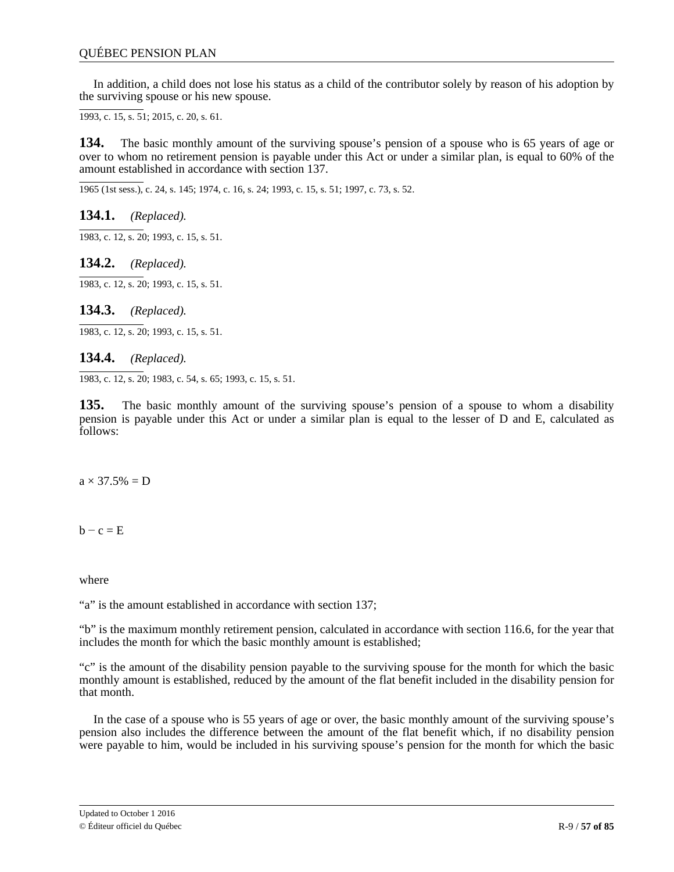In addition, a child does not lose his status as a child of the contributor solely by reason of his adoption by the surviving spouse or his new spouse.

1993, c. 15, s. 51; 2015, c. 20, s. 61.

**134.** The basic monthly amount of the surviving spouse's pension of a spouse who is 65 years of age or over to whom no retirement pension is payable under this Act or under a similar plan, is equal to 60% of the amount established in accordance with section 137.

1965 (1st sess.), c. 24, s. 145; 1974, c. 16, s. 24; 1993, c. 15, s. 51; 1997, c. 73, s. 52.

**134.1.** *(Replaced).*

1983, c. 12, s. 20; 1993, c. 15, s. 51.

**134.2.** *(Replaced).*

1983, c. 12, s. 20; 1993, c. 15, s. 51.

**134.3.** *(Replaced).*

1983, c. 12, s. 20; 1993, c. 15, s. 51.

### **134.4.** *(Replaced).*

1983, c. 12, s. 20; 1983, c. 54, s. 65; 1993, c. 15, s. 51.

**135.** The basic monthly amount of the surviving spouse's pension of a spouse to whom a disability pension is payable under this Act or under a similar plan is equal to the lesser of D and E, calculated as follows:

 $a \times 37.5\% = D$ 

 $b - c = E$ 

where

"a" is the amount established in accordance with section 137;

"b" is the maximum monthly retirement pension, calculated in accordance with section 116.6, for the year that includes the month for which the basic monthly amount is established;

"c" is the amount of the disability pension payable to the surviving spouse for the month for which the basic monthly amount is established, reduced by the amount of the flat benefit included in the disability pension for that month.

In the case of a spouse who is 55 years of age or over, the basic monthly amount of the surviving spouse's pension also includes the difference between the amount of the flat benefit which, if no disability pension were payable to him, would be included in his surviving spouse's pension for the month for which the basic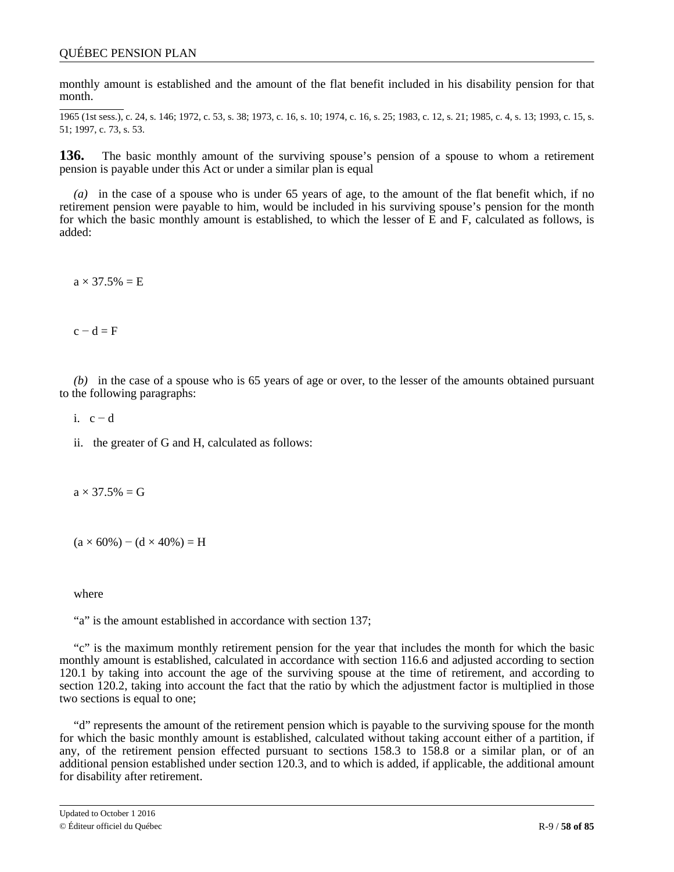monthly amount is established and the amount of the flat benefit included in his disability pension for that month.

1965 (1st sess.), c. 24, s. 146; 1972, c. 53, s. 38; 1973, c. 16, s. 10; 1974, c. 16, s. 25; 1983, c. 12, s. 21; 1985, c. 4, s. 13; 1993, c. 15, s. 51; 1997, c. 73, s. 53.

**136.** The basic monthly amount of the surviving spouse's pension of a spouse to whom a retirement pension is payable under this Act or under a similar plan is equal

*(a)* in the case of a spouse who is under 65 years of age, to the amount of the flat benefit which, if no retirement pension were payable to him, would be included in his surviving spouse's pension for the month for which the basic monthly amount is established, to which the lesser of E and F, calculated as follows, is added:

 $a \times 37.5\% = E$ 

 $c - d = F$ 

*(b)* in the case of a spouse who is 65 years of age or over, to the lesser of the amounts obtained pursuant to the following paragraphs:

i.  $c - d$ 

ii. the greater of G and H, calculated as follows:

 $a \times 37.5\% = G$ 

 $(a \times 60\%)$  –  $(d \times 40\%)$  = H

where

"a" is the amount established in accordance with section 137;

"c" is the maximum monthly retirement pension for the year that includes the month for which the basic monthly amount is established, calculated in accordance with section 116.6 and adjusted according to section 120.1 by taking into account the age of the surviving spouse at the time of retirement, and according to section 120.2, taking into account the fact that the ratio by which the adjustment factor is multiplied in those two sections is equal to one;

"d" represents the amount of the retirement pension which is payable to the surviving spouse for the month for which the basic monthly amount is established, calculated without taking account either of a partition, if any, of the retirement pension effected pursuant to sections 158.3 to 158.8 or a similar plan, or of an additional pension established under section 120.3, and to which is added, if applicable, the additional amount for disability after retirement.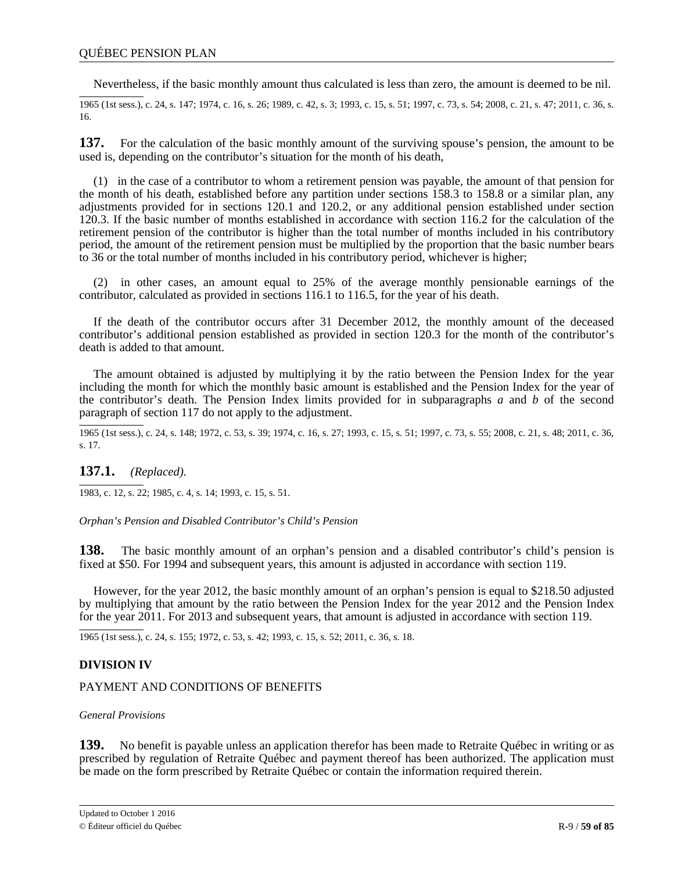Nevertheless, if the basic monthly amount thus calculated is less than zero, the amount is deemed to be nil.

1965 (1st sess.), c. 24, s. 147; 1974, c. 16, s. 26; 1989, c. 42, s. 3; 1993, c. 15, s. 51; 1997, c. 73, s. 54; 2008, c. 21, s. 47; 2011, c. 36, s. 16.

**137.** For the calculation of the basic monthly amount of the surviving spouse's pension, the amount to be used is, depending on the contributor's situation for the month of his death,

(1) in the case of a contributor to whom a retirement pension was payable, the amount of that pension for the month of his death, established before any partition under sections 158.3 to 158.8 or a similar plan, any adjustments provided for in sections 120.1 and 120.2, or any additional pension established under section 120.3. If the basic number of months established in accordance with section 116.2 for the calculation of the retirement pension of the contributor is higher than the total number of months included in his contributory period, the amount of the retirement pension must be multiplied by the proportion that the basic number bears to 36 or the total number of months included in his contributory period, whichever is higher;

(2) in other cases, an amount equal to 25% of the average monthly pensionable earnings of the contributor, calculated as provided in sections 116.1 to 116.5, for the year of his death.

If the death of the contributor occurs after 31 December 2012, the monthly amount of the deceased contributor's additional pension established as provided in section 120.3 for the month of the contributor's death is added to that amount.

The amount obtained is adjusted by multiplying it by the ratio between the Pension Index for the year including the month for which the monthly basic amount is established and the Pension Index for the year of the contributor's death. The Pension Index limits provided for in subparagraphs *a* and *b* of the second paragraph of section 117 do not apply to the adjustment.

1965 (1st sess.), c. 24, s. 148; 1972, c. 53, s. 39; 1974, c. 16, s. 27; 1993, c. 15, s. 51; 1997, c. 73, s. 55; 2008, c. 21, s. 48; 2011, c. 36, s. 17.

**137.1.** *(Replaced).*

1983, c. 12, s. 22; 1985, c. 4, s. 14; 1993, c. 15, s. 51.

*Orphan's Pension and Disabled Contributor's Child's Pension*

**138.** The basic monthly amount of an orphan's pension and a disabled contributor's child's pension is fixed at \$50. For 1994 and subsequent years, this amount is adjusted in accordance with section 119.

However, for the year 2012, the basic monthly amount of an orphan's pension is equal to \$218.50 adjusted by multiplying that amount by the ratio between the Pension Index for the year 2012 and the Pension Index for the year 2011. For 2013 and subsequent years, that amount is adjusted in accordance with section 119.

1965 (1st sess.), c. 24, s. 155; 1972, c. 53, s. 42; 1993, c. 15, s. 52; 2011, c. 36, s. 18.

# **DIVISION IV**

### PAYMENT AND CONDITIONS OF BENEFITS

#### *General Provisions*

**139.** No benefit is payable unless an application therefor has been made to Retraite Québec in writing or as prescribed by regulation of Retraite Québec and payment thereof has been authorized. The application must be made on the form prescribed by Retraite Québec or contain the information required therein.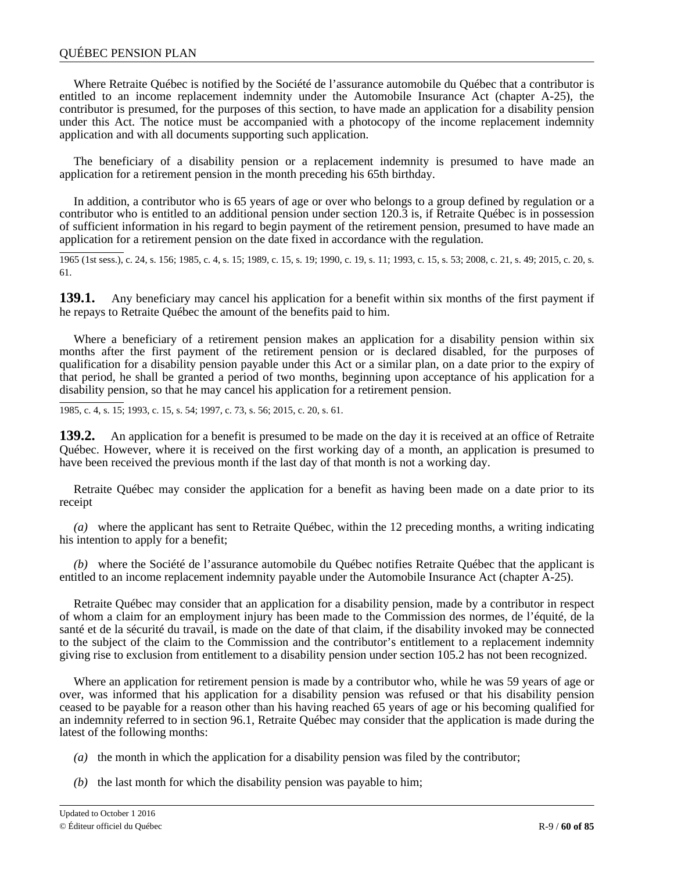### QUÉBEC PENSION PLAN

Where Retraite Québec is notified by the Société de l'assurance automobile du Québec that a contributor is entitled to an income replacement indemnity under the Automobile Insurance Act (chapter A-25), the contributor is presumed, for the purposes of this section, to have made an application for a disability pension under this Act. The notice must be accompanied with a photocopy of the income replacement indemnity application and with all documents supporting such application.

The beneficiary of a disability pension or a replacement indemnity is presumed to have made an application for a retirement pension in the month preceding his 65th birthday.

In addition, a contributor who is 65 years of age or over who belongs to a group defined by regulation or a contributor who is entitled to an additional pension under section 120.3 is, if Retraite Québec is in possession of sufficient information in his regard to begin payment of the retirement pension, presumed to have made an application for a retirement pension on the date fixed in accordance with the regulation.

1965 (1st sess.), c. 24, s. 156; 1985, c. 4, s. 15; 1989, c. 15, s. 19; 1990, c. 19, s. 11; 1993, c. 15, s. 53; 2008, c. 21, s. 49; 2015, c. 20, s. 61.

**139.1.** Any beneficiary may cancel his application for a benefit within six months of the first payment if he repays to Retraite Québec the amount of the benefits paid to him.

Where a beneficiary of a retirement pension makes an application for a disability pension within six months after the first payment of the retirement pension or is declared disabled, for the purposes of qualification for a disability pension payable under this Act or a similar plan, on a date prior to the expiry of that period, he shall be granted a period of two months, beginning upon acceptance of his application for a disability pension, so that he may cancel his application for a retirement pension.

1985, c. 4, s. 15; 1993, c. 15, s. 54; 1997, c. 73, s. 56; 2015, c. 20, s. 61.

**139.2.** An application for a benefit is presumed to be made on the day it is received at an office of Retraite Québec. However, where it is received on the first working day of a month, an application is presumed to have been received the previous month if the last day of that month is not a working day.

Retraite Québec may consider the application for a benefit as having been made on a date prior to its receipt

*(a)* where the applicant has sent to Retraite Québec, within the 12 preceding months, a writing indicating his intention to apply for a benefit;

*(b)* where the Société de l'assurance automobile du Québec notifies Retraite Québec that the applicant is entitled to an income replacement indemnity payable under the Automobile Insurance Act (chapter A-25).

Retraite Québec may consider that an application for a disability pension, made by a contributor in respect of whom a claim for an employment injury has been made to the Commission des normes, de l'équité, de la santé et de la sécurité du travail, is made on the date of that claim, if the disability invoked may be connected to the subject of the claim to the Commission and the contributor's entitlement to a replacement indemnity giving rise to exclusion from entitlement to a disability pension under section 105.2 has not been recognized.

Where an application for retirement pension is made by a contributor who, while he was 59 years of age or over, was informed that his application for a disability pension was refused or that his disability pension ceased to be payable for a reason other than his having reached 65 years of age or his becoming qualified for an indemnity referred to in section 96.1, Retraite Québec may consider that the application is made during the latest of the following months:

- *(a)* the month in which the application for a disability pension was filed by the contributor;
- *(b)* the last month for which the disability pension was payable to him;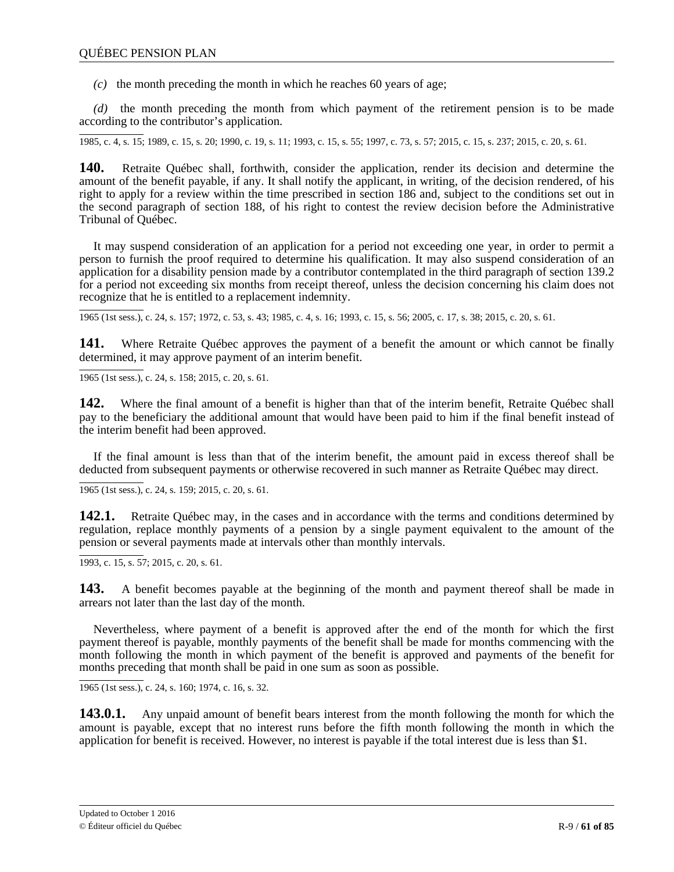*(c)* the month preceding the month in which he reaches 60 years of age;

*(d)* the month preceding the month from which payment of the retirement pension is to be made according to the contributor's application.

1985, c. 4, s. 15; 1989, c. 15, s. 20; 1990, c. 19, s. 11; 1993, c. 15, s. 55; 1997, c. 73, s. 57; 2015, c. 15, s. 237; 2015, c. 20, s. 61.

**140.** Retraite Québec shall, forthwith, consider the application, render its decision and determine the amount of the benefit payable, if any. It shall notify the applicant, in writing, of the decision rendered, of his right to apply for a review within the time prescribed in section 186 and, subject to the conditions set out in the second paragraph of section 188, of his right to contest the review decision before the Administrative Tribunal of Québec.

It may suspend consideration of an application for a period not exceeding one year, in order to permit a person to furnish the proof required to determine his qualification. It may also suspend consideration of an application for a disability pension made by a contributor contemplated in the third paragraph of section 139.2 for a period not exceeding six months from receipt thereof, unless the decision concerning his claim does not recognize that he is entitled to a replacement indemnity.

1965 (1st sess.), c. 24, s. 157; 1972, c. 53, s. 43; 1985, c. 4, s. 16; 1993, c. 15, s. 56; 2005, c. 17, s. 38; 2015, c. 20, s. 61.

**141.** Where Retraite Québec approves the payment of a benefit the amount or which cannot be finally determined, it may approve payment of an interim benefit.

1965 (1st sess.), c. 24, s. 158; 2015, c. 20, s. 61.

**142.** Where the final amount of a benefit is higher than that of the interim benefit, Retraite Québec shall pay to the beneficiary the additional amount that would have been paid to him if the final benefit instead of the interim benefit had been approved.

If the final amount is less than that of the interim benefit, the amount paid in excess thereof shall be deducted from subsequent payments or otherwise recovered in such manner as Retraite Québec may direct.

1965 (1st sess.), c. 24, s. 159; 2015, c. 20, s. 61.

**142.1.** Retraite Ouébec may, in the cases and in accordance with the terms and conditions determined by regulation, replace monthly payments of a pension by a single payment equivalent to the amount of the pension or several payments made at intervals other than monthly intervals.

1993, c. 15, s. 57; 2015, c. 20, s. 61.

**143.** A benefit becomes payable at the beginning of the month and payment thereof shall be made in arrears not later than the last day of the month.

Nevertheless, where payment of a benefit is approved after the end of the month for which the first payment thereof is payable, monthly payments of the benefit shall be made for months commencing with the month following the month in which payment of the benefit is approved and payments of the benefit for months preceding that month shall be paid in one sum as soon as possible.

1965 (1st sess.), c. 24, s. 160; 1974, c. 16, s. 32.

**143.0.1.** Any unpaid amount of benefit bears interest from the month following the month for which the amount is payable, except that no interest runs before the fifth month following the month in which the application for benefit is received. However, no interest is payable if the total interest due is less than \$1.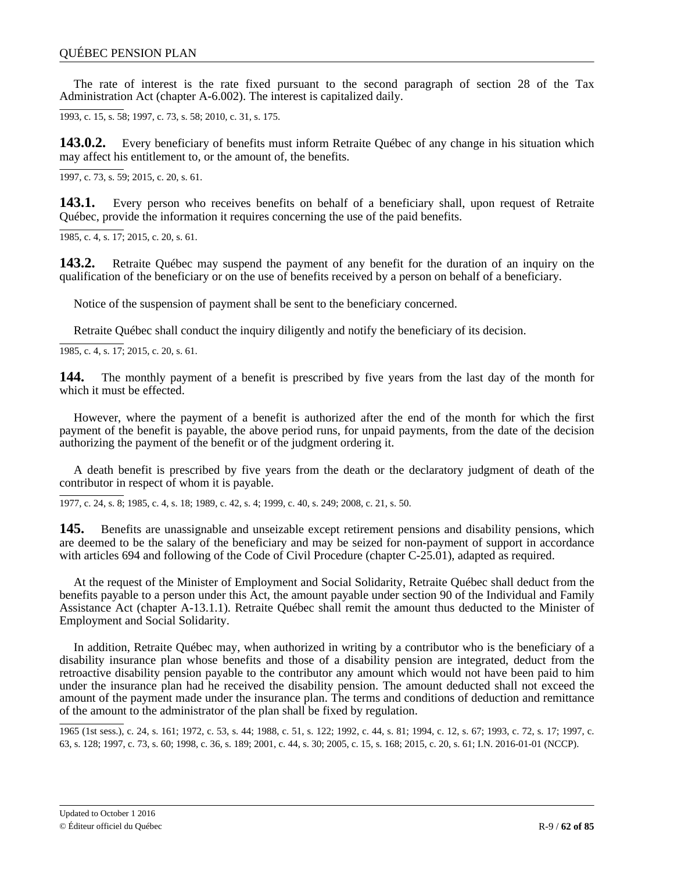The rate of interest is the rate fixed pursuant to the second paragraph of section 28 of the Tax Administration Act (chapter A-6.002). The interest is capitalized daily.

1993, c. 15, s. 58; 1997, c. 73, s. 58; 2010, c. 31, s. 175.

**143.0.2.** Every beneficiary of benefits must inform Retraite Québec of any change in his situation which may affect his entitlement to, or the amount of, the benefits.

 $\overline{1997, c. 73, s. 59}$ ; 2015, c. 20, s. 61.

**143.1.** Every person who receives benefits on behalf of a beneficiary shall, upon request of Retraite Québec, provide the information it requires concerning the use of the paid benefits.

1985, c. 4, s. 17; 2015, c. 20, s. 61.

**143.2.** Retraite Québec may suspend the payment of any benefit for the duration of an inquiry on the qualification of the beneficiary or on the use of benefits received by a person on behalf of a beneficiary.

Notice of the suspension of payment shall be sent to the beneficiary concerned.

Retraite Québec shall conduct the inquiry diligently and notify the beneficiary of its decision.

1985, c. 4, s. 17; 2015, c. 20, s. 61.

**144.** The monthly payment of a benefit is prescribed by five years from the last day of the month for which it must be effected.

However, where the payment of a benefit is authorized after the end of the month for which the first payment of the benefit is payable, the above period runs, for unpaid payments, from the date of the decision authorizing the payment of the benefit or of the judgment ordering it.

A death benefit is prescribed by five years from the death or the declaratory judgment of death of the contributor in respect of whom it is payable.

1977, c. 24, s. 8; 1985, c. 4, s. 18; 1989, c. 42, s. 4; 1999, c. 40, s. 249; 2008, c. 21, s. 50.

**145.** Benefits are unassignable and unseizable except retirement pensions and disability pensions, which are deemed to be the salary of the beneficiary and may be seized for non-payment of support in accordance with articles 694 and following of the Code of Civil Procedure (chapter C-25.01), adapted as required.

At the request of the Minister of Employment and Social Solidarity, Retraite Québec shall deduct from the benefits payable to a person under this Act, the amount payable under section 90 of the Individual and Family Assistance Act (chapter A-13.1.1). Retraite Québec shall remit the amount thus deducted to the Minister of Employment and Social Solidarity.

In addition, Retraite Québec may, when authorized in writing by a contributor who is the beneficiary of a disability insurance plan whose benefits and those of a disability pension are integrated, deduct from the retroactive disability pension payable to the contributor any amount which would not have been paid to him under the insurance plan had he received the disability pension. The amount deducted shall not exceed the amount of the payment made under the insurance plan. The terms and conditions of deduction and remittance of the amount to the administrator of the plan shall be fixed by regulation.

1965 (1st sess.), c. 24, s. 161; 1972, c. 53, s. 44; 1988, c. 51, s. 122; 1992, c. 44, s. 81; 1994, c. 12, s. 67; 1993, c. 72, s. 17; 1997, c. 63, s. 128; 1997, c. 73, s. 60; 1998, c. 36, s. 189; 2001, c. 44, s. 30; 2005, c. 15, s. 168; 2015, c. 20, s. 61; I.N. 2016-01-01 (NCCP).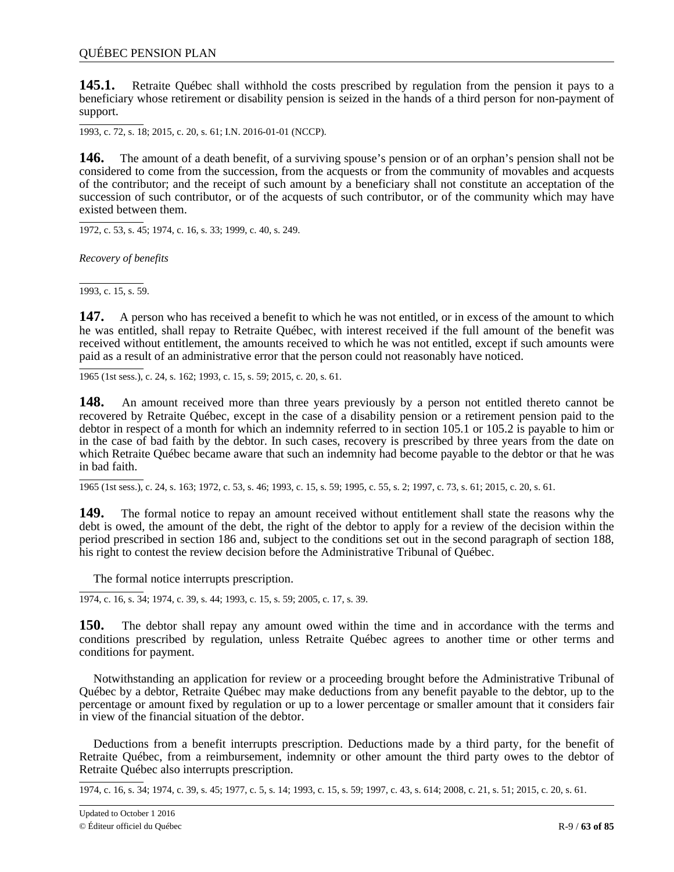**145.1.** Retraite Québec shall withhold the costs prescribed by regulation from the pension it pays to a beneficiary whose retirement or disability pension is seized in the hands of a third person for non-payment of support.

1993, c. 72, s. 18; 2015, c. 20, s. 61; I.N. 2016-01-01 (NCCP).

**146.** The amount of a death benefit, of a surviving spouse's pension or of an orphan's pension shall not be considered to come from the succession, from the acquests or from the community of movables and acquests of the contributor; and the receipt of such amount by a beneficiary shall not constitute an acceptation of the succession of such contributor, or of the acquests of such contributor, or of the community which may have existed between them.

1972, c. 53, s. 45; 1974, c. 16, s. 33; 1999, c. 40, s. 249.

*Recovery of benefits*

 $\overline{1993, c. 15, s. 59}.$ 

**147.** A person who has received a benefit to which he was not entitled, or in excess of the amount to which he was entitled, shall repay to Retraite Québec, with interest received if the full amount of the benefit was received without entitlement, the amounts received to which he was not entitled, except if such amounts were paid as a result of an administrative error that the person could not reasonably have noticed.

1965 (1st sess.), c. 24, s. 162; 1993, c. 15, s. 59; 2015, c. 20, s. 61.

**148.** An amount received more than three years previously by a person not entitled thereto cannot be recovered by Retraite Québec, except in the case of a disability pension or a retirement pension paid to the debtor in respect of a month for which an indemnity referred to in section 105.1 or 105.2 is payable to him or in the case of bad faith by the debtor. In such cases, recovery is prescribed by three years from the date on which Retraite Québec became aware that such an indemnity had become payable to the debtor or that he was in bad faith.

1965 (1st sess.), c. 24, s. 163; 1972, c. 53, s. 46; 1993, c. 15, s. 59; 1995, c. 55, s. 2; 1997, c. 73, s. 61; 2015, c. 20, s. 61.

**149.** The formal notice to repay an amount received without entitlement shall state the reasons why the debt is owed, the amount of the debt, the right of the debtor to apply for a review of the decision within the period prescribed in section 186 and, subject to the conditions set out in the second paragraph of section 188, his right to contest the review decision before the Administrative Tribunal of Québec.

The formal notice interrupts prescription.

1974, c. 16, s. 34; 1974, c. 39, s. 44; 1993, c. 15, s. 59; 2005, c. 17, s. 39.

**150.** The debtor shall repay any amount owed within the time and in accordance with the terms and conditions prescribed by regulation, unless Retraite Québec agrees to another time or other terms and conditions for payment.

Notwithstanding an application for review or a proceeding brought before the Administrative Tribunal of Québec by a debtor, Retraite Québec may make deductions from any benefit payable to the debtor, up to the percentage or amount fixed by regulation or up to a lower percentage or smaller amount that it considers fair in view of the financial situation of the debtor.

Deductions from a benefit interrupts prescription. Deductions made by a third party, for the benefit of Retraite Québec, from a reimbursement, indemnity or other amount the third party owes to the debtor of Retraite Québec also interrupts prescription.

1974, c. 16, s. 34; 1974, c. 39, s. 45; 1977, c. 5, s. 14; 1993, c. 15, s. 59; 1997, c. 43, s. 614; 2008, c. 21, s. 51; 2015, c. 20, s. 61.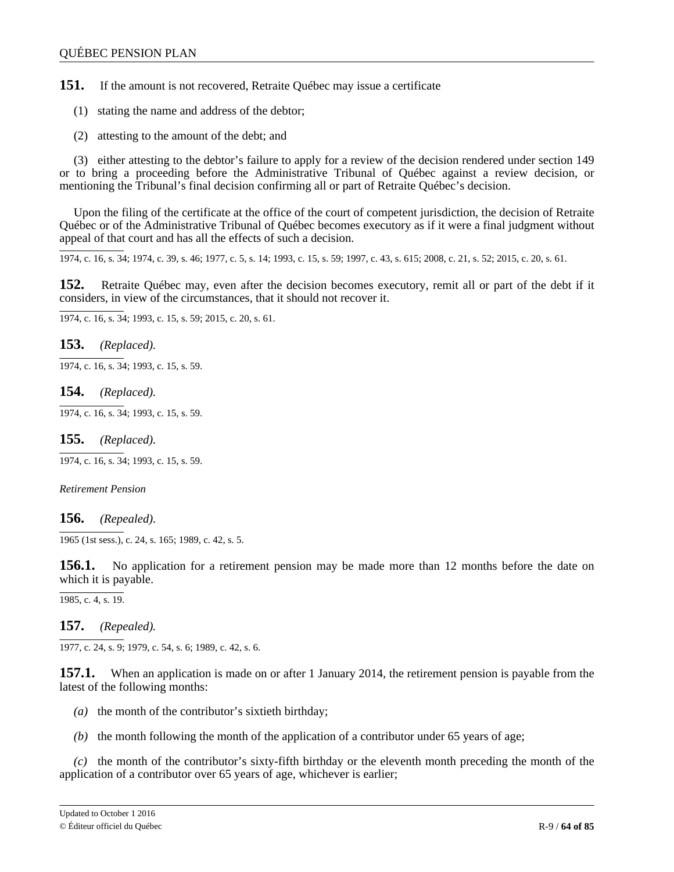**151.** If the amount is not recovered, Retraite Québec may issue a certificate

- (1) stating the name and address of the debtor;
- (2) attesting to the amount of the debt; and

(3) either attesting to the debtor's failure to apply for a review of the decision rendered under section 149 or to bring a proceeding before the Administrative Tribunal of Québec against a review decision, or mentioning the Tribunal's final decision confirming all or part of Retraite Québec's decision.

Upon the filing of the certificate at the office of the court of competent jurisdiction, the decision of Retraite Québec or of the Administrative Tribunal of Québec becomes executory as if it were a final judgment without appeal of that court and has all the effects of such a decision.

1974, c. 16, s. 34; 1974, c. 39, s. 46; 1977, c. 5, s. 14; 1993, c. 15, s. 59; 1997, c. 43, s. 615; 2008, c. 21, s. 52; 2015, c. 20, s. 61.

**152.** Retraite Québec may, even after the decision becomes executory, remit all or part of the debt if it considers, in view of the circumstances, that it should not recover it.

1974, c. 16, s. 34; 1993, c. 15, s. 59; 2015, c. 20, s. 61.

**153.** *(Replaced).*

1974, c. 16, s. 34; 1993, c. 15, s. 59.

**154.** *(Replaced).*

1974, c. 16, s. 34; 1993, c. 15, s. 59.

**155.** *(Replaced).*

1974, c. 16, s. 34; 1993, c. 15, s. 59.

*Retirement Pension*

**156.** *(Repealed).*

1965 (1st sess.), c. 24, s. 165; 1989, c. 42, s. 5.

**156.1.** No application for a retirement pension may be made more than 12 months before the date on which it is payable.

 $\overline{1985, c. 4, s. 19}.$ 

**157.** *(Repealed).*

1977, c. 24, s. 9; 1979, c. 54, s. 6; 1989, c. 42, s. 6.

**157.1.** When an application is made on or after 1 January 2014, the retirement pension is payable from the latest of the following months:

- *(a)* the month of the contributor's sixtieth birthday;
- *(b)* the month following the month of the application of a contributor under 65 years of age;

*(c)* the month of the contributor's sixty-fifth birthday or the eleventh month preceding the month of the application of a contributor over 65 years of age, whichever is earlier;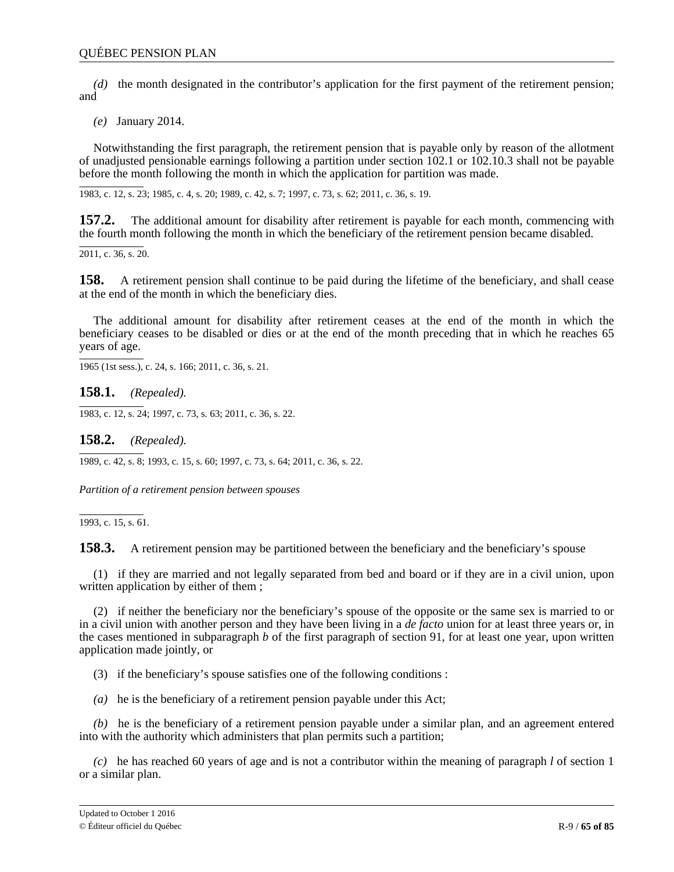*(d)* the month designated in the contributor's application for the first payment of the retirement pension; and

*(e)* January 2014.

Notwithstanding the first paragraph, the retirement pension that is payable only by reason of the allotment of unadjusted pensionable earnings following a partition under section 102.1 or 102.10.3 shall not be payable before the month following the month in which the application for partition was made.

1983, c. 12, s. 23; 1985, c. 4, s. 20; 1989, c. 42, s. 7; 1997, c. 73, s. 62; 2011, c. 36, s. 19.

**157.2.** The additional amount for disability after retirement is payable for each month, commencing with the fourth month following the month in which the beneficiary of the retirement pension became disabled.

2011, c. 36, s. 20.

**158.** A retirement pension shall continue to be paid during the lifetime of the beneficiary, and shall cease at the end of the month in which the beneficiary dies.

The additional amount for disability after retirement ceases at the end of the month in which the beneficiary ceases to be disabled or dies or at the end of the month preceding that in which he reaches 65 years of age.

1965 (1st sess.), c. 24, s. 166; 2011, c. 36, s. 21.

**158.1.** *(Repealed).*

1983, c. 12, s. 24; 1997, c. 73, s. 63; 2011, c. 36, s. 22.

**158.2.** *(Repealed).*

1989, c. 42, s. 8; 1993, c. 15, s. 60; 1997, c. 73, s. 64; 2011, c. 36, s. 22.

*Partition of a retirement pension between spouses*

 $\overline{1993, c. 15, s. 61}$ .

**158.3.** A retirement pension may be partitioned between the beneficiary and the beneficiary's spouse

(1) if they are married and not legally separated from bed and board or if they are in a civil union, upon written application by either of them ;

(2) if neither the beneficiary nor the beneficiary's spouse of the opposite or the same sex is married to or in a civil union with another person and they have been living in a *de facto* union for at least three years or, in the cases mentioned in subparagraph *b* of the first paragraph of section 91, for at least one year, upon written application made jointly, or

(3) if the beneficiary's spouse satisfies one of the following conditions :

*(a)* he is the beneficiary of a retirement pension payable under this Act;

*(b)* he is the beneficiary of a retirement pension payable under a similar plan, and an agreement entered into with the authority which administers that plan permits such a partition;

*(c)* he has reached 60 years of age and is not a contributor within the meaning of paragraph *l* of section 1 or a similar plan.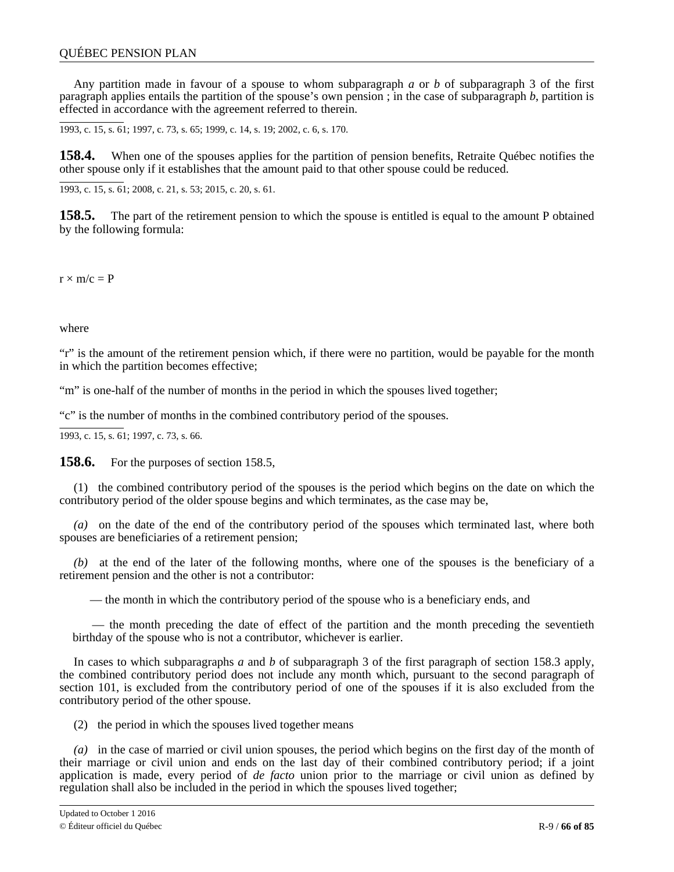Any partition made in favour of a spouse to whom subparagraph *a* or *b* of subparagraph 3 of the first paragraph applies entails the partition of the spouse's own pension ; in the case of subparagraph *b*, partition is effected in accordance with the agreement referred to therein.

1993, c. 15, s. 61; 1997, c. 73, s. 65; 1999, c. 14, s. 19; 2002, c. 6, s. 170.

**158.4.** When one of the spouses applies for the partition of pension benefits, Retraite Québec notifies the other spouse only if it establishes that the amount paid to that other spouse could be reduced.

1993, c. 15, s. 61; 2008, c. 21, s. 53; 2015, c. 20, s. 61.

**158.5.** The part of the retirement pension to which the spouse is entitled is equal to the amount P obtained by the following formula:

 $r \times m/c = P$ 

where

"r" is the amount of the retirement pension which, if there were no partition, would be payable for the month in which the partition becomes effective;

"m" is one-half of the number of months in the period in which the spouses lived together;

"c" is the number of months in the combined contributory period of the spouses.

1993, c. 15, s. 61; 1997, c. 73, s. 66.

**158.6.** For the purposes of section 158.5,

(1) the combined contributory period of the spouses is the period which begins on the date on which the contributory period of the older spouse begins and which terminates, as the case may be,

*(a)* on the date of the end of the contributory period of the spouses which terminated last, where both spouses are beneficiaries of a retirement pension;

*(b)* at the end of the later of the following months, where one of the spouses is the beneficiary of a retirement pension and the other is not a contributor:

— the month in which the contributory period of the spouse who is a beneficiary ends, and

 — the month preceding the date of effect of the partition and the month preceding the seventieth birthday of the spouse who is not a contributor, whichever is earlier.

In cases to which subparagraphs *a* and *b* of subparagraph 3 of the first paragraph of section 158.3 apply, the combined contributory period does not include any month which, pursuant to the second paragraph of section 101, is excluded from the contributory period of one of the spouses if it is also excluded from the contributory period of the other spouse.

(2) the period in which the spouses lived together means

*(a)* in the case of married or civil union spouses, the period which begins on the first day of the month of their marriage or civil union and ends on the last day of their combined contributory period; if a joint application is made, every period of *de facto* union prior to the marriage or civil union as defined by regulation shall also be included in the period in which the spouses lived together;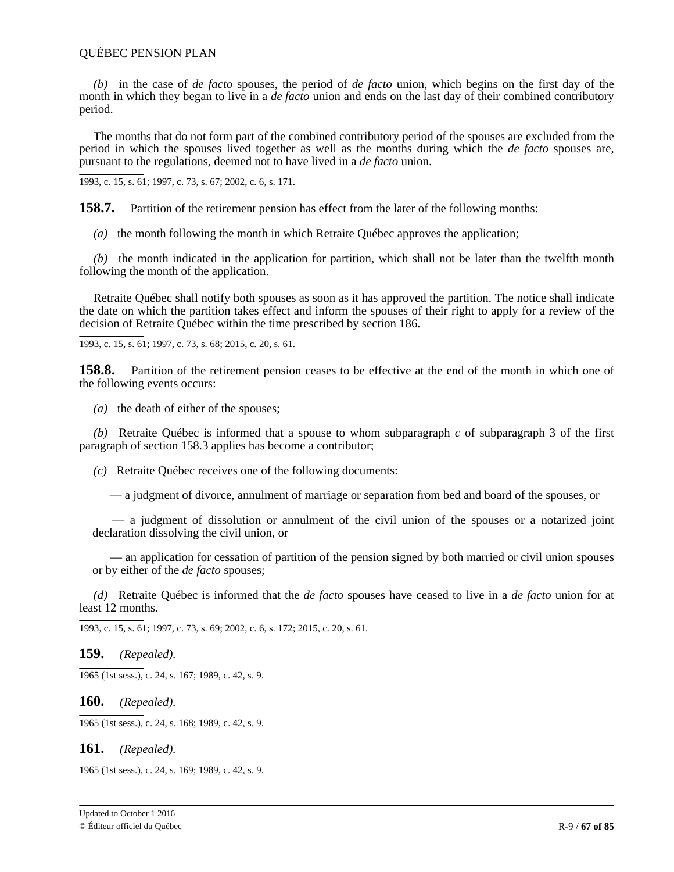*(b)* in the case of *de facto* spouses, the period of *de facto* union, which begins on the first day of the month in which they began to live in a *de facto* union and ends on the last day of their combined contributory period.

The months that do not form part of the combined contributory period of the spouses are excluded from the period in which the spouses lived together as well as the months during which the *de facto* spouses are, pursuant to the regulations, deemed not to have lived in a *de facto* union.

1993, c. 15, s. 61; 1997, c. 73, s. 67; 2002, c. 6, s. 171.

**158.7.** Partition of the retirement pension has effect from the later of the following months:

*(a)* the month following the month in which Retraite Québec approves the application;

*(b)* the month indicated in the application for partition, which shall not be later than the twelfth month following the month of the application.

Retraite Québec shall notify both spouses as soon as it has approved the partition. The notice shall indicate the date on which the partition takes effect and inform the spouses of their right to apply for a review of the decision of Retraite Québec within the time prescribed by section 186.

1993, c. 15, s. 61; 1997, c. 73, s. 68; 2015, c. 20, s. 61.

**158.8.** Partition of the retirement pension ceases to be effective at the end of the month in which one of the following events occurs:

*(a)* the death of either of the spouses;

*(b)* Retraite Québec is informed that a spouse to whom subparagraph *c* of subparagraph 3 of the first paragraph of section 158.3 applies has become a contributor;

*(c)* Retraite Québec receives one of the following documents:

— a judgment of divorce, annulment of marriage or separation from bed and board of the spouses, or

 — a judgment of dissolution or annulment of the civil union of the spouses or a notarized joint declaration dissolving the civil union, or

 — an application for cessation of partition of the pension signed by both married or civil union spouses or by either of the *de facto* spouses;

*(d)* Retraite Québec is informed that the *de facto* spouses have ceased to live in a *de facto* union for at least 12 months.

1993, c. 15, s. 61; 1997, c. 73, s. 69; 2002, c. 6, s. 172; 2015, c. 20, s. 61.

**159.** *(Repealed).*

1965 (1st sess.), c. 24, s. 167; 1989, c. 42, s. 9.

**160.** *(Repealed).*

1965 (1st sess.), c. 24, s. 168; 1989, c. 42, s. 9.

**161.** *(Repealed).*

1965 (1st sess.), c. 24, s. 169; 1989, c. 42, s. 9.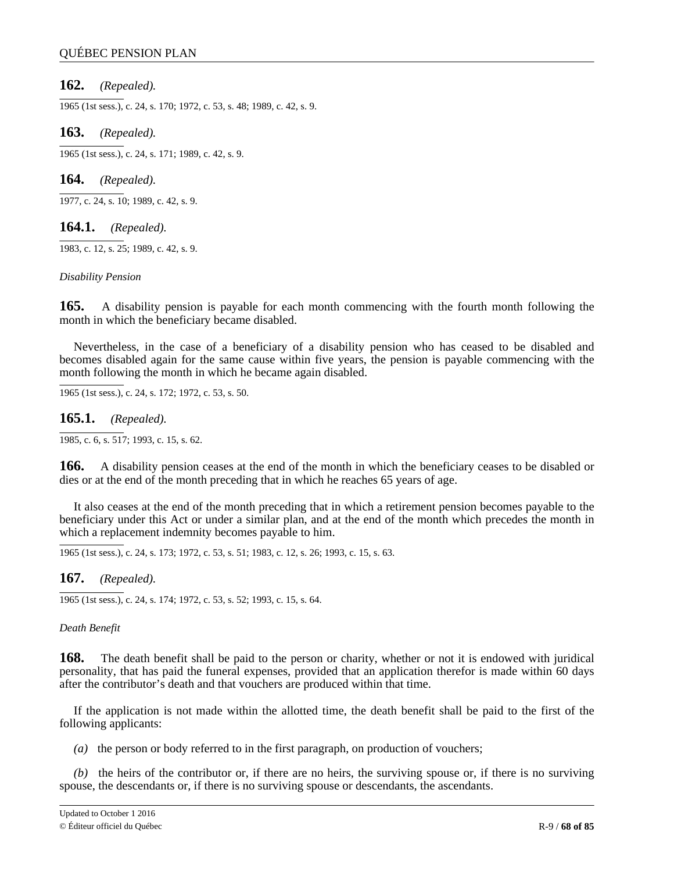# **162.** *(Repealed).*

1965 (1st sess.), c. 24, s. 170; 1972, c. 53, s. 48; 1989, c. 42, s. 9.

### **163.** *(Repealed).*

1965 (1st sess.), c. 24, s. 171; 1989, c. 42, s. 9.

**164.** *(Repealed).*

1977, c. 24, s. 10; 1989, c. 42, s. 9.

**164.1.** *(Repealed).*

1983, c. 12, s. 25; 1989, c. 42, s. 9.

#### *Disability Pension*

**165.** A disability pension is payable for each month commencing with the fourth month following the month in which the beneficiary became disabled.

Nevertheless, in the case of a beneficiary of a disability pension who has ceased to be disabled and becomes disabled again for the same cause within five years, the pension is payable commencing with the month following the month in which he became again disabled.

1965 (1st sess.), c. 24, s. 172; 1972, c. 53, s. 50.

**165.1.** *(Repealed).*

1985, c. 6, s. 517; 1993, c. 15, s. 62.

**166.** A disability pension ceases at the end of the month in which the beneficiary ceases to be disabled or dies or at the end of the month preceding that in which he reaches 65 years of age.

It also ceases at the end of the month preceding that in which a retirement pension becomes payable to the beneficiary under this Act or under a similar plan, and at the end of the month which precedes the month in which a replacement indemnity becomes payable to him.

1965 (1st sess.), c. 24, s. 173; 1972, c. 53, s. 51; 1983, c. 12, s. 26; 1993, c. 15, s. 63.

**167.** *(Repealed).*

1965 (1st sess.), c. 24, s. 174; 1972, c. 53, s. 52; 1993, c. 15, s. 64.

### *Death Benefit*

**168.** The death benefit shall be paid to the person or charity, whether or not it is endowed with juridical personality, that has paid the funeral expenses, provided that an application therefor is made within 60 days after the contributor's death and that vouchers are produced within that time.

If the application is not made within the allotted time, the death benefit shall be paid to the first of the following applicants:

*(a)* the person or body referred to in the first paragraph, on production of vouchers;

*(b)* the heirs of the contributor or, if there are no heirs, the surviving spouse or, if there is no surviving spouse, the descendants or, if there is no surviving spouse or descendants, the ascendants.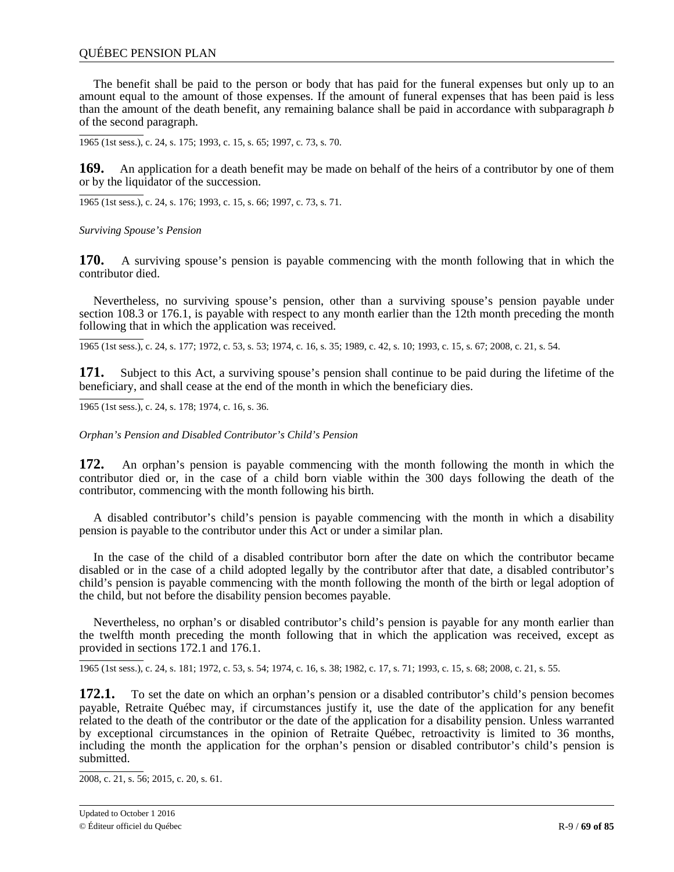### QUÉBEC PENSION PLAN

The benefit shall be paid to the person or body that has paid for the funeral expenses but only up to an amount equal to the amount of those expenses. If the amount of funeral expenses that has been paid is less than the amount of the death benefit, any remaining balance shall be paid in accordance with subparagraph *b* of the second paragraph.

1965 (1st sess.), c. 24, s. 175; 1993, c. 15, s. 65; 1997, c. 73, s. 70.

**169.** An application for a death benefit may be made on behalf of the heirs of a contributor by one of them or by the liquidator of the succession.

1965 (1st sess.), c. 24, s. 176; 1993, c. 15, s. 66; 1997, c. 73, s. 71.

*Surviving Spouse's Pension*

**170.** A surviving spouse's pension is payable commencing with the month following that in which the contributor died.

Nevertheless, no surviving spouse's pension, other than a surviving spouse's pension payable under section 108.3 or 176.1, is payable with respect to any month earlier than the 12th month preceding the month following that in which the application was received.

1965 (1st sess.), c. 24, s. 177; 1972, c. 53, s. 53; 1974, c. 16, s. 35; 1989, c. 42, s. 10; 1993, c. 15, s. 67; 2008, c. 21, s. 54.

**171.** Subject to this Act, a surviving spouse's pension shall continue to be paid during the lifetime of the beneficiary, and shall cease at the end of the month in which the beneficiary dies.

1965 (1st sess.), c. 24, s. 178; 1974, c. 16, s. 36.

*Orphan's Pension and Disabled Contributor's Child's Pension*

**172.** An orphan's pension is payable commencing with the month following the month in which the contributor died or, in the case of a child born viable within the 300 days following the death of the contributor, commencing with the month following his birth.

A disabled contributor's child's pension is payable commencing with the month in which a disability pension is payable to the contributor under this Act or under a similar plan.

In the case of the child of a disabled contributor born after the date on which the contributor became disabled or in the case of a child adopted legally by the contributor after that date, a disabled contributor's child's pension is payable commencing with the month following the month of the birth or legal adoption of the child, but not before the disability pension becomes payable.

Nevertheless, no orphan's or disabled contributor's child's pension is payable for any month earlier than the twelfth month preceding the month following that in which the application was received, except as provided in sections 172.1 and 176.1.

1965 (1st sess.), c. 24, s. 181; 1972, c. 53, s. 54; 1974, c. 16, s. 38; 1982, c. 17, s. 71; 1993, c. 15, s. 68; 2008, c. 21, s. 55.

**172.1.** To set the date on which an orphan's pension or a disabled contributor's child's pension becomes payable, Retraite Québec may, if circumstances justify it, use the date of the application for any benefit related to the death of the contributor or the date of the application for a disability pension. Unless warranted by exceptional circumstances in the opinion of Retraite Québec, retroactivity is limited to 36 months, including the month the application for the orphan's pension or disabled contributor's child's pension is submitted.

2008, c. 21, s. 56; 2015, c. 20, s. 61.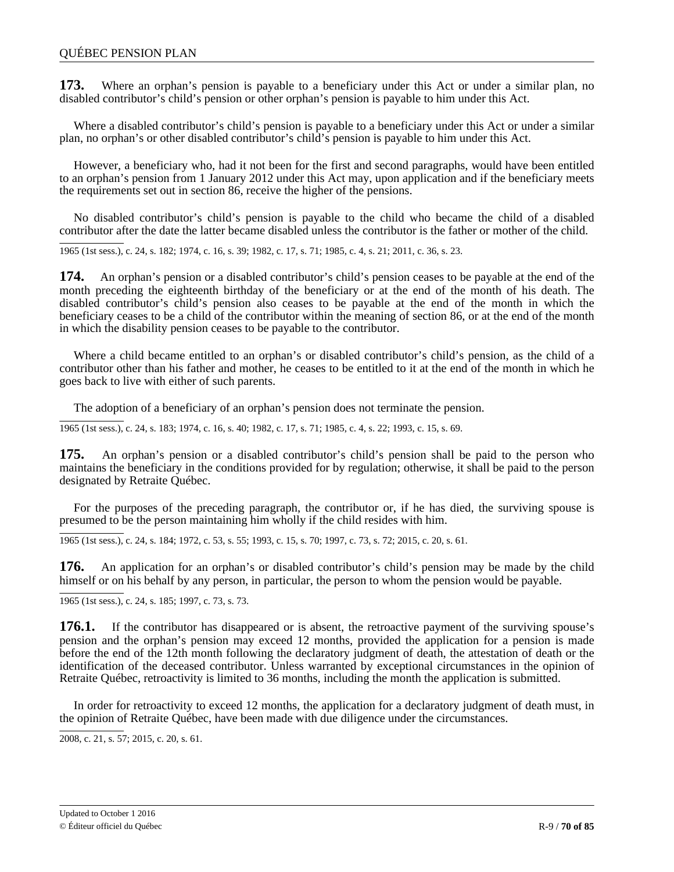**173.** Where an orphan's pension is payable to a beneficiary under this Act or under a similar plan, no disabled contributor's child's pension or other orphan's pension is payable to him under this Act.

Where a disabled contributor's child's pension is payable to a beneficiary under this Act or under a similar plan, no orphan's or other disabled contributor's child's pension is payable to him under this Act.

However, a beneficiary who, had it not been for the first and second paragraphs, would have been entitled to an orphan's pension from 1 January 2012 under this Act may, upon application and if the beneficiary meets the requirements set out in section 86, receive the higher of the pensions.

No disabled contributor's child's pension is payable to the child who became the child of a disabled contributor after the date the latter became disabled unless the contributor is the father or mother of the child.

1965 (1st sess.), c. 24, s. 182; 1974, c. 16, s. 39; 1982, c. 17, s. 71; 1985, c. 4, s. 21; 2011, c. 36, s. 23.

**174.** An orphan's pension or a disabled contributor's child's pension ceases to be payable at the end of the month preceding the eighteenth birthday of the beneficiary or at the end of the month of his death. The disabled contributor's child's pension also ceases to be payable at the end of the month in which the beneficiary ceases to be a child of the contributor within the meaning of section 86, or at the end of the month in which the disability pension ceases to be payable to the contributor.

Where a child became entitled to an orphan's or disabled contributor's child's pension, as the child of a contributor other than his father and mother, he ceases to be entitled to it at the end of the month in which he goes back to live with either of such parents.

The adoption of a beneficiary of an orphan's pension does not terminate the pension.

1965 (1st sess.), c. 24, s. 183; 1974, c. 16, s. 40; 1982, c. 17, s. 71; 1985, c. 4, s. 22; 1993, c. 15, s. 69.

**175.** An orphan's pension or a disabled contributor's child's pension shall be paid to the person who maintains the beneficiary in the conditions provided for by regulation; otherwise, it shall be paid to the person designated by Retraite Québec.

For the purposes of the preceding paragraph, the contributor or, if he has died, the surviving spouse is presumed to be the person maintaining him wholly if the child resides with him.

1965 (1st sess.), c. 24, s. 184; 1972, c. 53, s. 55; 1993, c. 15, s. 70; 1997, c. 73, s. 72; 2015, c. 20, s. 61.

**176.** An application for an orphan's or disabled contributor's child's pension may be made by the child himself or on his behalf by any person, in particular, the person to whom the pension would be payable.

1965 (1st sess.), c. 24, s. 185; 1997, c. 73, s. 73.

**176.1.** If the contributor has disappeared or is absent, the retroactive payment of the surviving spouse's pension and the orphan's pension may exceed 12 months, provided the application for a pension is made before the end of the 12th month following the declaratory judgment of death, the attestation of death or the identification of the deceased contributor. Unless warranted by exceptional circumstances in the opinion of Retraite Québec, retroactivity is limited to 36 months, including the month the application is submitted.

In order for retroactivity to exceed 12 months, the application for a declaratory judgment of death must, in the opinion of Retraite Québec, have been made with due diligence under the circumstances.

2008, c. 21, s. 57; 2015, c. 20, s. 61.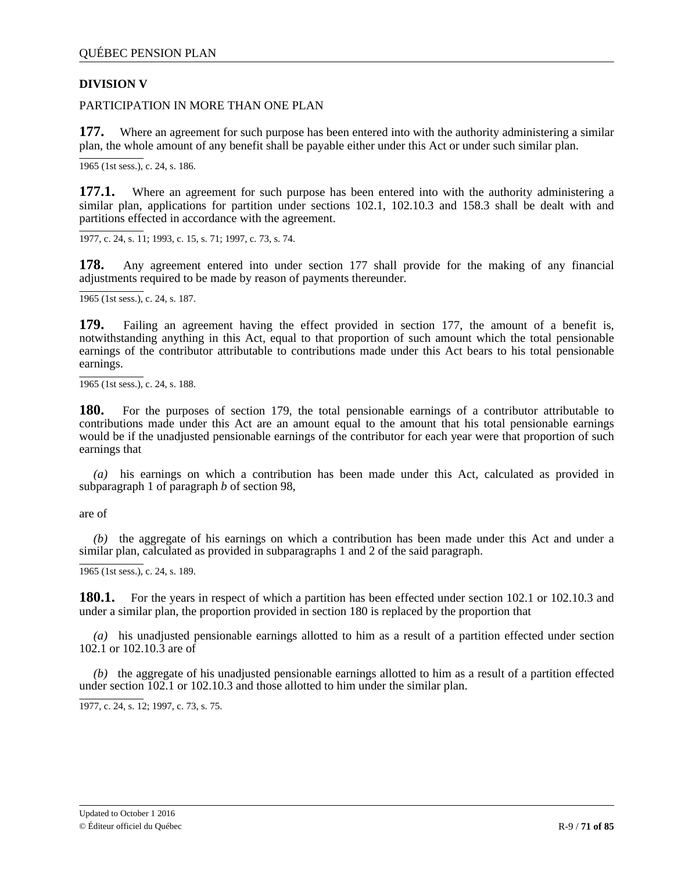# **DIVISION V**

PARTICIPATION IN MORE THAN ONE PLAN

**177.** Where an agreement for such purpose has been entered into with the authority administering a similar plan, the whole amount of any benefit shall be payable either under this Act or under such similar plan.

1965 (1st sess.), c. 24, s. 186.

**177.1.** Where an agreement for such purpose has been entered into with the authority administering a similar plan, applications for partition under sections 102.1, 102.10.3 and 158.3 shall be dealt with and partitions effected in accordance with the agreement.

1977, c. 24, s. 11; 1993, c. 15, s. 71; 1997, c. 73, s. 74.

**178.** Any agreement entered into under section 177 shall provide for the making of any financial adjustments required to be made by reason of payments thereunder.

1965 (1st sess.), c. 24, s. 187.

**179.** Failing an agreement having the effect provided in section 177, the amount of a benefit is, notwithstanding anything in this Act, equal to that proportion of such amount which the total pensionable earnings of the contributor attributable to contributions made under this Act bears to his total pensionable earnings.

1965 (1st sess.), c. 24, s. 188.

**180.** For the purposes of section 179, the total pensionable earnings of a contributor attributable to contributions made under this Act are an amount equal to the amount that his total pensionable earnings would be if the unadjusted pensionable earnings of the contributor for each year were that proportion of such earnings that

*(a)* his earnings on which a contribution has been made under this Act, calculated as provided in subparagraph 1 of paragraph *b* of section 98,

are of

*(b)* the aggregate of his earnings on which a contribution has been made under this Act and under a similar plan, calculated as provided in subparagraphs 1 and 2 of the said paragraph.

1965 (1st sess.), c. 24, s. 189.

**180.1.** For the years in respect of which a partition has been effected under section 102.1 or 102.10.3 and under a similar plan, the proportion provided in section 180 is replaced by the proportion that

*(a)* his unadjusted pensionable earnings allotted to him as a result of a partition effected under section 102.1 or 102.10.3 are of

*(b)* the aggregate of his unadjusted pensionable earnings allotted to him as a result of a partition effected under section 102.1 or 102.10.3 and those allotted to him under the similar plan.

1977, c. 24, s. 12; 1997, c. 73, s. 75.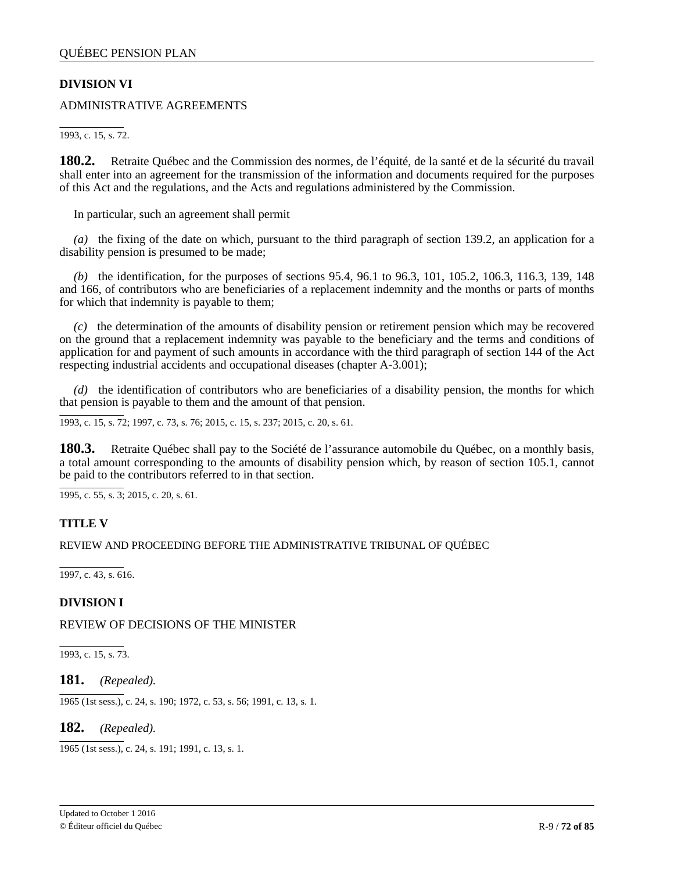# **DIVISION VI**

ADMINISTRATIVE AGREEMENTS

1993, c. 15, s. 72.

**180.2.** Retraite Québec and the Commission des normes, de l'équité, de la santé et de la sécurité du travail shall enter into an agreement for the transmission of the information and documents required for the purposes of this Act and the regulations, and the Acts and regulations administered by the Commission.

In particular, such an agreement shall permit

*(a)* the fixing of the date on which, pursuant to the third paragraph of section 139.2, an application for a disability pension is presumed to be made;

*(b)* the identification, for the purposes of sections 95.4, 96.1 to 96.3, 101, 105.2, 106.3, 116.3, 139, 148 and 166, of contributors who are beneficiaries of a replacement indemnity and the months or parts of months for which that indemnity is payable to them;

*(c)* the determination of the amounts of disability pension or retirement pension which may be recovered on the ground that a replacement indemnity was payable to the beneficiary and the terms and conditions of application for and payment of such amounts in accordance with the third paragraph of section 144 of the Act respecting industrial accidents and occupational diseases (chapter A-3.001);

*(d)* the identification of contributors who are beneficiaries of a disability pension, the months for which that pension is payable to them and the amount of that pension.

1993, c. 15, s. 72; 1997, c. 73, s. 76; 2015, c. 15, s. 237; 2015, c. 20, s. 61.

**180.3.** Retraite Québec shall pay to the Société de l'assurance automobile du Québec, on a monthly basis, a total amount corresponding to the amounts of disability pension which, by reason of section 105.1, cannot be paid to the contributors referred to in that section.

1995, c. 55, s. 3; 2015, c. 20, s. 61.

# **TITLE V**

REVIEW AND PROCEEDING BEFORE THE ADMINISTRATIVE TRIBUNAL OF QUÉBEC

1997, c. 43, s. 616.

# **DIVISION I**

REVIEW OF DECISIONS OF THE MINISTER

1993, c. 15, s. 73.

**181.** *(Repealed).*

1965 (1st sess.), c. 24, s. 190; 1972, c. 53, s. 56; 1991, c. 13, s. 1.

# **182.** *(Repealed).*

1965 (1st sess.), c. 24, s. 191; 1991, c. 13, s. 1.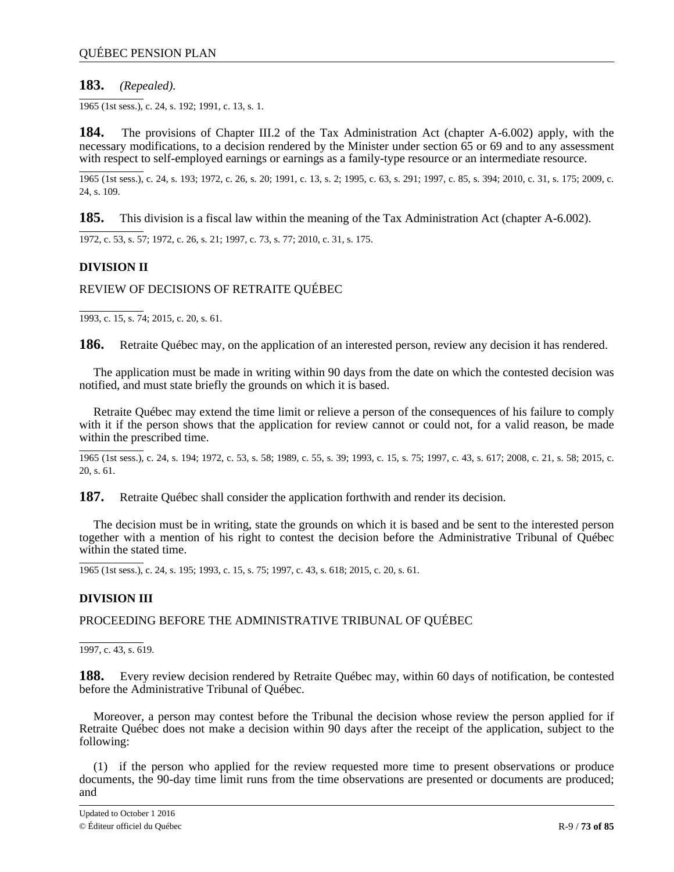# **183.** *(Repealed).*

1965 (1st sess.), c. 24, s. 192; 1991, c. 13, s. 1.

**184.** The provisions of Chapter III.2 of the Tax Administration Act (chapter A-6.002) apply, with the necessary modifications, to a decision rendered by the Minister under section 65 or 69 and to any assessment with respect to self-employed earnings or earnings as a family-type resource or an intermediate resource.

1965 (1st sess.), c. 24, s. 193; 1972, c. 26, s. 20; 1991, c. 13, s. 2; 1995, c. 63, s. 291; 1997, c. 85, s. 394; 2010, c. 31, s. 175; 2009, c. 24, s. 109.

**185.** This division is a fiscal law within the meaning of the Tax Administration Act (chapter A-6.002).

1972, c. 53, s. 57; 1972, c. 26, s. 21; 1997, c. 73, s. 77; 2010, c. 31, s. 175.

# **DIVISION II**

## REVIEW OF DECISIONS OF RETRAITE QUÉBEC

1993, c. 15, s. 74; 2015, c. 20, s. 61.

**186.** Retraite Québec may, on the application of an interested person, review any decision it has rendered.

The application must be made in writing within 90 days from the date on which the contested decision was notified, and must state briefly the grounds on which it is based.

Retraite Québec may extend the time limit or relieve a person of the consequences of his failure to comply with it if the person shows that the application for review cannot or could not, for a valid reason, be made within the prescribed time.

1965 (1st sess.), c. 24, s. 194; 1972, c. 53, s. 58; 1989, c. 55, s. 39; 1993, c. 15, s. 75; 1997, c. 43, s. 617; 2008, c. 21, s. 58; 2015, c. 20, s. 61.

**187.** Retraite Québec shall consider the application forthwith and render its decision.

The decision must be in writing, state the grounds on which it is based and be sent to the interested person together with a mention of his right to contest the decision before the Administrative Tribunal of Québec within the stated time.

1965 (1st sess.), c. 24, s. 195; 1993, c. 15, s. 75; 1997, c. 43, s. 618; 2015, c. 20, s. 61.

### **DIVISION III**

PROCEEDING BEFORE THE ADMINISTRATIVE TRIBUNAL OF QUÉBEC

1997, c. 43, s. 619.

**188.** Every review decision rendered by Retraite Québec may, within 60 days of notification, be contested before the Administrative Tribunal of Québec.

Moreover, a person may contest before the Tribunal the decision whose review the person applied for if Retraite Québec does not make a decision within 90 days after the receipt of the application, subject to the following:

(1) if the person who applied for the review requested more time to present observations or produce documents, the 90-day time limit runs from the time observations are presented or documents are produced; and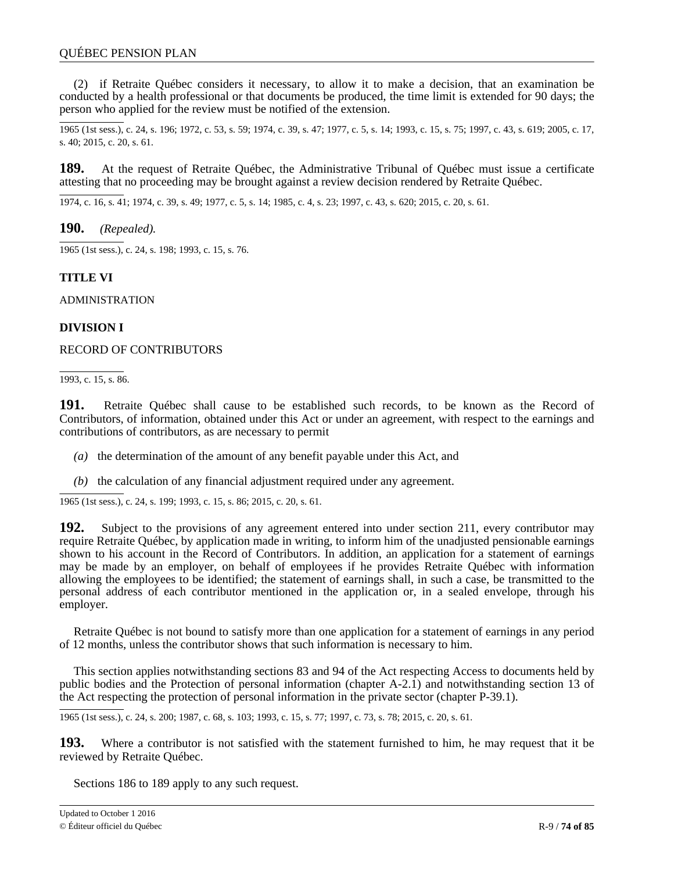(2) if Retraite Québec considers it necessary, to allow it to make a decision, that an examination be conducted by a health professional or that documents be produced, the time limit is extended for 90 days; the person who applied for the review must be notified of the extension.

1965 (1st sess.), c. 24, s. 196; 1972, c. 53, s. 59; 1974, c. 39, s. 47; 1977, c. 5, s. 14; 1993, c. 15, s. 75; 1997, c. 43, s. 619; 2005, c. 17, s. 40; 2015, c. 20, s. 61.

**189.** At the request of Retraite Québec, the Administrative Tribunal of Québec must issue a certificate attesting that no proceeding may be brought against a review decision rendered by Retraite Québec.

1974, c. 16, s. 41; 1974, c. 39, s. 49; 1977, c. 5, s. 14; 1985, c. 4, s. 23; 1997, c. 43, s. 620; 2015, c. 20, s. 61.

**190.** *(Repealed).*

1965 (1st sess.), c. 24, s. 198; 1993, c. 15, s. 76.

## **TITLE VI**

ADMINISTRATION

## **DIVISION I**

RECORD OF CONTRIBUTORS

1993, c. 15, s. 86.

**191.** Retraite Québec shall cause to be established such records, to be known as the Record of Contributors, of information, obtained under this Act or under an agreement, with respect to the earnings and contributions of contributors, as are necessary to permit

*(a)* the determination of the amount of any benefit payable under this Act, and

*(b)* the calculation of any financial adjustment required under any agreement.

1965 (1st sess.), c. 24, s. 199; 1993, c. 15, s. 86; 2015, c. 20, s. 61.

**192.** Subject to the provisions of any agreement entered into under section 211, every contributor may require Retraite Québec, by application made in writing, to inform him of the unadjusted pensionable earnings shown to his account in the Record of Contributors. In addition, an application for a statement of earnings may be made by an employer, on behalf of employees if he provides Retraite Québec with information allowing the employees to be identified; the statement of earnings shall, in such a case, be transmitted to the personal address of each contributor mentioned in the application or, in a sealed envelope, through his employer.

Retraite Québec is not bound to satisfy more than one application for a statement of earnings in any period of 12 months, unless the contributor shows that such information is necessary to him.

This section applies notwithstanding sections 83 and 94 of the Act respecting Access to documents held by public bodies and the Protection of personal information (chapter A-2.1) and notwithstanding section 13 of the Act respecting the protection of personal information in the private sector (chapter P-39.1).

1965 (1st sess.), c. 24, s. 200; 1987, c. 68, s. 103; 1993, c. 15, s. 77; 1997, c. 73, s. 78; 2015, c. 20, s. 61.

**193.** Where a contributor is not satisfied with the statement furnished to him, he may request that it be reviewed by Retraite Québec.

Sections 186 to 189 apply to any such request.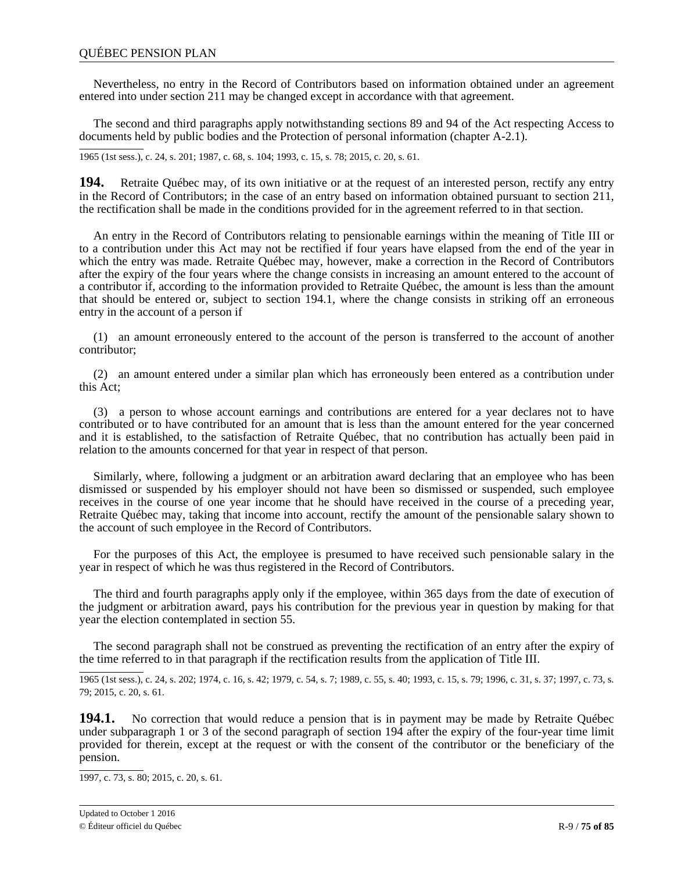Nevertheless, no entry in the Record of Contributors based on information obtained under an agreement entered into under section 211 may be changed except in accordance with that agreement.

The second and third paragraphs apply notwithstanding sections 89 and 94 of the Act respecting Access to documents held by public bodies and the Protection of personal information (chapter A-2.1).

1965 (1st sess.), c. 24, s. 201; 1987, c. 68, s. 104; 1993, c. 15, s. 78; 2015, c. 20, s. 61.

**194.** Retraite Québec may, of its own initiative or at the request of an interested person, rectify any entry in the Record of Contributors; in the case of an entry based on information obtained pursuant to section 211, the rectification shall be made in the conditions provided for in the agreement referred to in that section.

An entry in the Record of Contributors relating to pensionable earnings within the meaning of Title III or to a contribution under this Act may not be rectified if four years have elapsed from the end of the year in which the entry was made. Retraite Québec may, however, make a correction in the Record of Contributors after the expiry of the four years where the change consists in increasing an amount entered to the account of a contributor if, according to the information provided to Retraite Québec, the amount is less than the amount that should be entered or, subject to section 194.1, where the change consists in striking off an erroneous entry in the account of a person if

(1) an amount erroneously entered to the account of the person is transferred to the account of another contributor;

(2) an amount entered under a similar plan which has erroneously been entered as a contribution under this Act;

(3) a person to whose account earnings and contributions are entered for a year declares not to have contributed or to have contributed for an amount that is less than the amount entered for the year concerned and it is established, to the satisfaction of Retraite Québec, that no contribution has actually been paid in relation to the amounts concerned for that year in respect of that person.

Similarly, where, following a judgment or an arbitration award declaring that an employee who has been dismissed or suspended by his employer should not have been so dismissed or suspended, such employee receives in the course of one year income that he should have received in the course of a preceding year, Retraite Québec may, taking that income into account, rectify the amount of the pensionable salary shown to the account of such employee in the Record of Contributors.

For the purposes of this Act, the employee is presumed to have received such pensionable salary in the year in respect of which he was thus registered in the Record of Contributors.

The third and fourth paragraphs apply only if the employee, within 365 days from the date of execution of the judgment or arbitration award, pays his contribution for the previous year in question by making for that year the election contemplated in section 55.

The second paragraph shall not be construed as preventing the rectification of an entry after the expiry of the time referred to in that paragraph if the rectification results from the application of Title III.

1965 (1st sess.), c. 24, s. 202; 1974, c. 16, s. 42; 1979, c. 54, s. 7; 1989, c. 55, s. 40; 1993, c. 15, s. 79; 1996, c. 31, s. 37; 1997, c. 73, s. 79; 2015, c. 20, s. 61.

**194.1.** No correction that would reduce a pension that is in payment may be made by Retraite Québec under subparagraph 1 or 3 of the second paragraph of section 194 after the expiry of the four-year time limit provided for therein, except at the request or with the consent of the contributor or the beneficiary of the pension.

1997, c. 73, s. 80; 2015, c. 20, s. 61.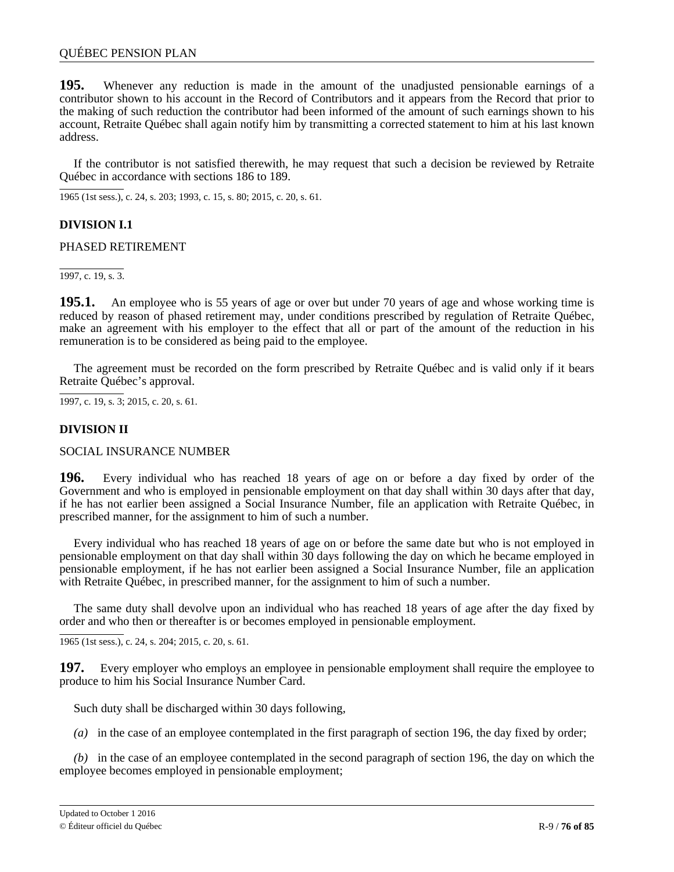**195.** Whenever any reduction is made in the amount of the unadjusted pensionable earnings of a contributor shown to his account in the Record of Contributors and it appears from the Record that prior to the making of such reduction the contributor had been informed of the amount of such earnings shown to his account, Retraite Québec shall again notify him by transmitting a corrected statement to him at his last known address.

If the contributor is not satisfied therewith, he may request that such a decision be reviewed by Retraite Québec in accordance with sections 186 to 189.

1965 (1st sess.), c. 24, s. 203; 1993, c. 15, s. 80; 2015, c. 20, s. 61.

# **DIVISION I.1**

## PHASED RETIREMENT

1997, c. 19, s. 3.

**195.1.** An employee who is 55 years of age or over but under 70 years of age and whose working time is reduced by reason of phased retirement may, under conditions prescribed by regulation of Retraite Québec, make an agreement with his employer to the effect that all or part of the amount of the reduction in his remuneration is to be considered as being paid to the employee.

The agreement must be recorded on the form prescribed by Retraite Québec and is valid only if it bears Retraite Québec's approval.

1997, c. 19, s. 3; 2015, c. 20, s. 61.

# **DIVISION II**

SOCIAL INSURANCE NUMBER

**196.** Every individual who has reached 18 years of age on or before a day fixed by order of the Government and who is employed in pensionable employment on that day shall within 30 days after that day, if he has not earlier been assigned a Social Insurance Number, file an application with Retraite Québec, in prescribed manner, for the assignment to him of such a number.

Every individual who has reached 18 years of age on or before the same date but who is not employed in pensionable employment on that day shall within 30 days following the day on which he became employed in pensionable employment, if he has not earlier been assigned a Social Insurance Number, file an application with Retraite Québec, in prescribed manner, for the assignment to him of such a number.

The same duty shall devolve upon an individual who has reached 18 years of age after the day fixed by order and who then or thereafter is or becomes employed in pensionable employment.

1965 (1st sess.), c. 24, s. 204; 2015, c. 20, s. 61.

**197.** Every employer who employs an employee in pensionable employment shall require the employee to produce to him his Social Insurance Number Card.

Such duty shall be discharged within 30 days following,

*(a)* in the case of an employee contemplated in the first paragraph of section 196, the day fixed by order;

*(b)* in the case of an employee contemplated in the second paragraph of section 196, the day on which the employee becomes employed in pensionable employment;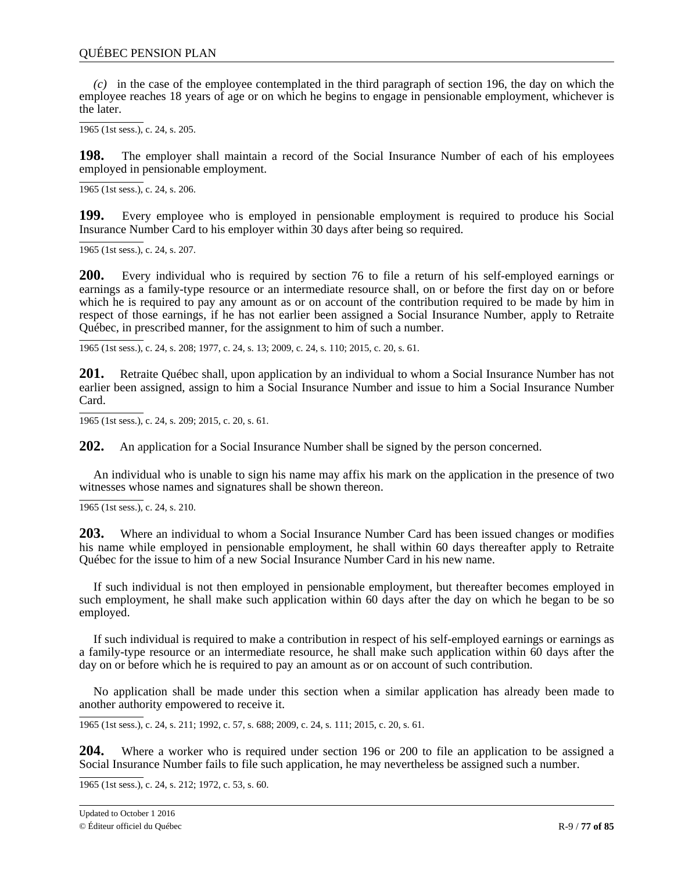*(c)* in the case of the employee contemplated in the third paragraph of section 196, the day on which the employee reaches 18 years of age or on which he begins to engage in pensionable employment, whichever is the later.

1965 (1st sess.), c. 24, s. 205.

**198.** The employer shall maintain a record of the Social Insurance Number of each of his employees employed in pensionable employment.

1965 (1st sess.), c. 24, s. 206.

**199.** Every employee who is employed in pensionable employment is required to produce his Social Insurance Number Card to his employer within 30 days after being so required.

1965 (1st sess.), c. 24, s. 207.

**200.** Every individual who is required by section 76 to file a return of his self-employed earnings or earnings as a family-type resource or an intermediate resource shall, on or before the first day on or before which he is required to pay any amount as or on account of the contribution required to be made by him in respect of those earnings, if he has not earlier been assigned a Social Insurance Number, apply to Retraite Québec, in prescribed manner, for the assignment to him of such a number.

1965 (1st sess.), c. 24, s. 208; 1977, c. 24, s. 13; 2009, c. 24, s. 110; 2015, c. 20, s. 61.

**201.** Retraite Québec shall, upon application by an individual to whom a Social Insurance Number has not earlier been assigned, assign to him a Social Insurance Number and issue to him a Social Insurance Number Card.

1965 (1st sess.), c. 24, s. 209; 2015, c. 20, s. 61.

**202.** An application for a Social Insurance Number shall be signed by the person concerned.

An individual who is unable to sign his name may affix his mark on the application in the presence of two witnesses whose names and signatures shall be shown thereon.

1965 (1st sess.), c. 24, s. 210.

**203.** Where an individual to whom a Social Insurance Number Card has been issued changes or modifies his name while employed in pensionable employment, he shall within 60 days thereafter apply to Retraite Québec for the issue to him of a new Social Insurance Number Card in his new name.

If such individual is not then employed in pensionable employment, but thereafter becomes employed in such employment, he shall make such application within 60 days after the day on which he began to be so employed.

If such individual is required to make a contribution in respect of his self-employed earnings or earnings as a family-type resource or an intermediate resource, he shall make such application within 60 days after the day on or before which he is required to pay an amount as or on account of such contribution.

No application shall be made under this section when a similar application has already been made to another authority empowered to receive it.

1965 (1st sess.), c. 24, s. 211; 1992, c. 57, s. 688; 2009, c. 24, s. 111; 2015, c. 20, s. 61.

**204.** Where a worker who is required under section 196 or 200 to file an application to be assigned a Social Insurance Number fails to file such application, he may nevertheless be assigned such a number.

1965 (1st sess.), c. 24, s. 212; 1972, c. 53, s. 60.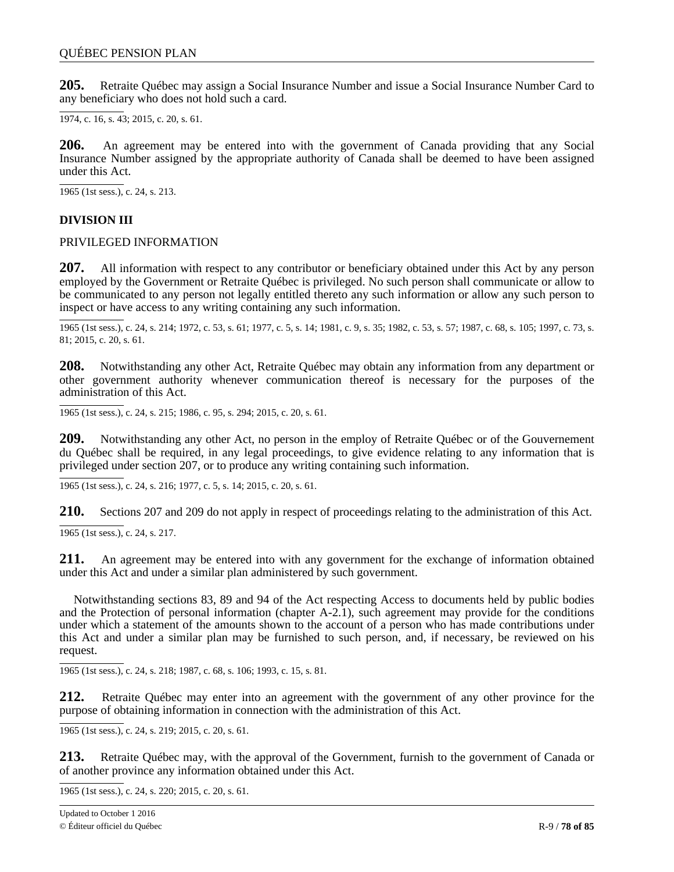**205.** Retraite Québec may assign a Social Insurance Number and issue a Social Insurance Number Card to any beneficiary who does not hold such a card.

1974, c. 16, s. 43; 2015, c. 20, s. 61.

**206.** An agreement may be entered into with the government of Canada providing that any Social Insurance Number assigned by the appropriate authority of Canada shall be deemed to have been assigned under this Act.

1965 (1st sess.), c. 24, s. 213.

# **DIVISION III**

### PRIVILEGED INFORMATION

**207.** All information with respect to any contributor or beneficiary obtained under this Act by any person employed by the Government or Retraite Québec is privileged. No such person shall communicate or allow to be communicated to any person not legally entitled thereto any such information or allow any such person to inspect or have access to any writing containing any such information.

1965 (1st sess.), c. 24, s. 214; 1972, c. 53, s. 61; 1977, c. 5, s. 14; 1981, c. 9, s. 35; 1982, c. 53, s. 57; 1987, c. 68, s. 105; 1997, c. 73, s. 81; 2015, c. 20, s. 61.

**208.** Notwithstanding any other Act, Retraite Québec may obtain any information from any department or other government authority whenever communication thereof is necessary for the purposes of the administration of this Act.

1965 (1st sess.), c. 24, s. 215; 1986, c. 95, s. 294; 2015, c. 20, s. 61.

**209.** Notwithstanding any other Act, no person in the employ of Retraite Québec or of the Gouvernement du Québec shall be required, in any legal proceedings, to give evidence relating to any information that is privileged under section 207, or to produce any writing containing such information.

1965 (1st sess.), c. 24, s. 216; 1977, c. 5, s. 14; 2015, c. 20, s. 61.

**210.** Sections 207 and 209 do not apply in respect of proceedings relating to the administration of this Act.

1965 (1st sess.), c. 24, s. 217.

**211.** An agreement may be entered into with any government for the exchange of information obtained under this Act and under a similar plan administered by such government.

Notwithstanding sections 83, 89 and 94 of the Act respecting Access to documents held by public bodies and the Protection of personal information (chapter A-2.1), such agreement may provide for the conditions under which a statement of the amounts shown to the account of a person who has made contributions under this Act and under a similar plan may be furnished to such person, and, if necessary, be reviewed on his request.

1965 (1st sess.), c. 24, s. 218; 1987, c. 68, s. 106; 1993, c. 15, s. 81.

**212.** Retraite Québec may enter into an agreement with the government of any other province for the purpose of obtaining information in connection with the administration of this Act.

1965 (1st sess.), c. 24, s. 219; 2015, c. 20, s. 61.

**213.** Retraite Québec may, with the approval of the Government, furnish to the government of Canada or of another province any information obtained under this Act.

1965 (1st sess.), c. 24, s. 220; 2015, c. 20, s. 61.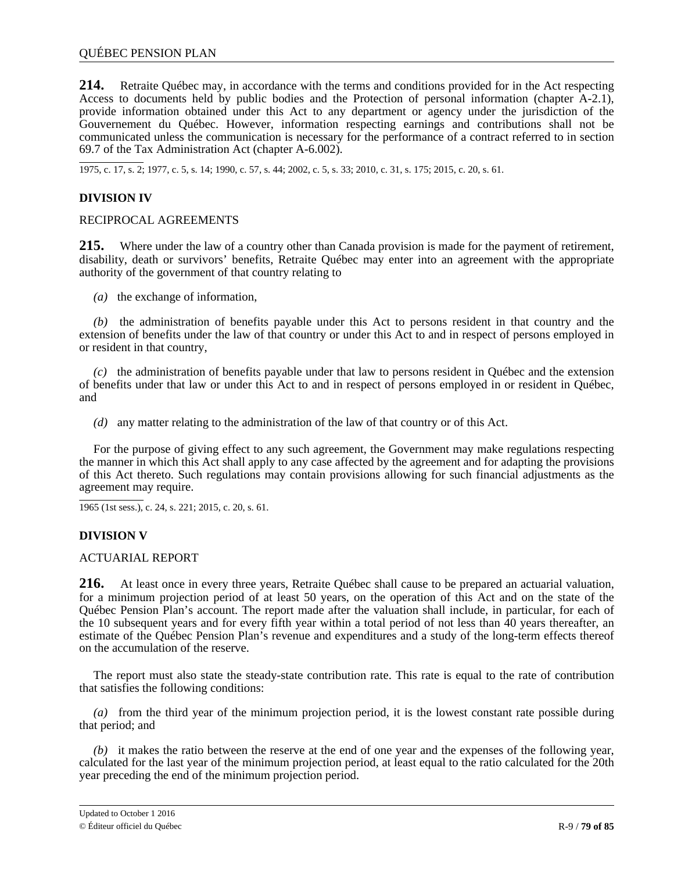**214.** Retraite Québec may, in accordance with the terms and conditions provided for in the Act respecting Access to documents held by public bodies and the Protection of personal information (chapter A-2.1), provide information obtained under this Act to any department or agency under the jurisdiction of the Gouvernement du Québec. However, information respecting earnings and contributions shall not be communicated unless the communication is necessary for the performance of a contract referred to in section 69.7 of the Tax Administration Act (chapter A-6.002).

1975, c. 17, s. 2; 1977, c. 5, s. 14; 1990, c. 57, s. 44; 2002, c. 5, s. 33; 2010, c. 31, s. 175; 2015, c. 20, s. 61.

## **DIVISION IV**

### RECIPROCAL AGREEMENTS

**215.** Where under the law of a country other than Canada provision is made for the payment of retirement, disability, death or survivors' benefits, Retraite Québec may enter into an agreement with the appropriate authority of the government of that country relating to

*(a)* the exchange of information,

*(b)* the administration of benefits payable under this Act to persons resident in that country and the extension of benefits under the law of that country or under this Act to and in respect of persons employed in or resident in that country,

*(c)* the administration of benefits payable under that law to persons resident in Québec and the extension of benefits under that law or under this Act to and in respect of persons employed in or resident in Québec, and

*(d)* any matter relating to the administration of the law of that country or of this Act.

For the purpose of giving effect to any such agreement, the Government may make regulations respecting the manner in which this Act shall apply to any case affected by the agreement and for adapting the provisions of this Act thereto. Such regulations may contain provisions allowing for such financial adjustments as the agreement may require.

1965 (1st sess.), c. 24, s. 221; 2015, c. 20, s. 61.

# **DIVISION V**

### ACTUARIAL REPORT

**216.** At least once in every three years, Retraite Québec shall cause to be prepared an actuarial valuation, for a minimum projection period of at least 50 years, on the operation of this Act and on the state of the Québec Pension Plan's account. The report made after the valuation shall include, in particular, for each of the 10 subsequent years and for every fifth year within a total period of not less than 40 years thereafter, an estimate of the Québec Pension Plan's revenue and expenditures and a study of the long-term effects thereof on the accumulation of the reserve.

The report must also state the steady-state contribution rate. This rate is equal to the rate of contribution that satisfies the following conditions:

*(a)* from the third year of the minimum projection period, it is the lowest constant rate possible during that period; and

*(b)* it makes the ratio between the reserve at the end of one year and the expenses of the following year, calculated for the last year of the minimum projection period, at least equal to the ratio calculated for the 20th year preceding the end of the minimum projection period.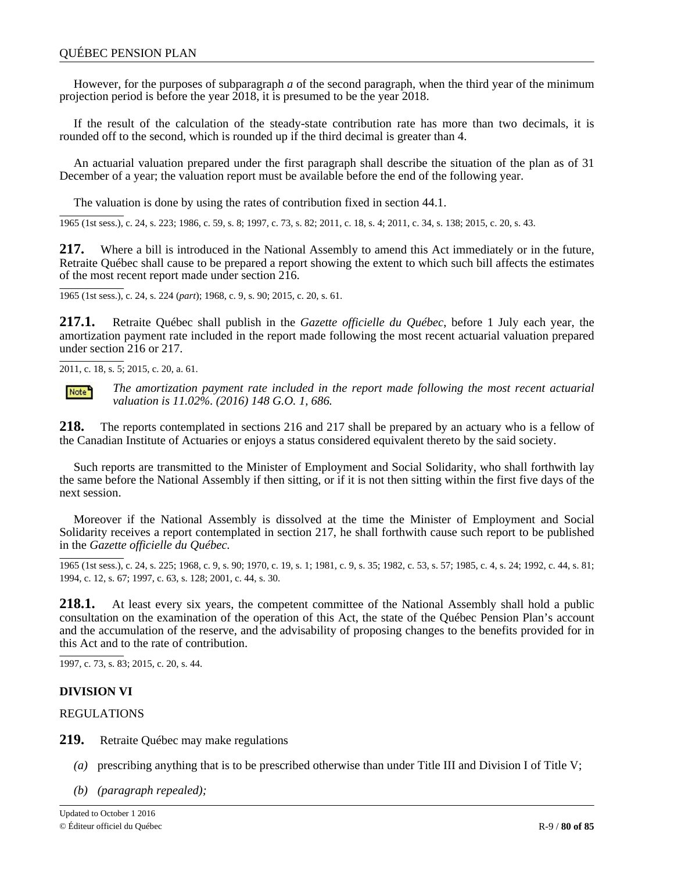However, for the purposes of subparagraph *a* of the second paragraph, when the third year of the minimum projection period is before the year 2018, it is presumed to be the year 2018.

If the result of the calculation of the steady-state contribution rate has more than two decimals, it is rounded off to the second, which is rounded up if the third decimal is greater than 4.

An actuarial valuation prepared under the first paragraph shall describe the situation of the plan as of 31 December of a year; the valuation report must be available before the end of the following year.

The valuation is done by using the rates of contribution fixed in section 44.1.

1965 (1st sess.), c. 24, s. 223; 1986, c. 59, s. 8; 1997, c. 73, s. 82; 2011, c. 18, s. 4; 2011, c. 34, s. 138; 2015, c. 20, s. 43.

**217.** Where a bill is introduced in the National Assembly to amend this Act immediately or in the future, Retraite Québec shall cause to be prepared a report showing the extent to which such bill affects the estimates of the most recent report made under section 216.

1965 (1st sess.), c. 24, s. 224 (*part*); 1968, c. 9, s. 90; 2015, c. 20, s. 61.

**217.1.** Retraite Québec shall publish in the *Gazette officielle du Québec*, before 1 July each year, the amortization payment rate included in the report made following the most recent actuarial valuation prepared under section 216 or 217.

2011, c. 18, s. 5; 2015, c. 20, a. 61.



*The amortization payment rate included in the report made following the most recent actuarial valuation is 11.02%. (2016) 148 G.O. 1, 686.*

**218.** The reports contemplated in sections 216 and 217 shall be prepared by an actuary who is a fellow of the Canadian Institute of Actuaries or enjoys a status considered equivalent thereto by the said society.

Such reports are transmitted to the Minister of Employment and Social Solidarity, who shall forthwith lay the same before the National Assembly if then sitting, or if it is not then sitting within the first five days of the next session.

Moreover if the National Assembly is dissolved at the time the Minister of Employment and Social Solidarity receives a report contemplated in section 217, he shall forthwith cause such report to be published in the *Gazette officielle du Québec.*

1965 (1st sess.), c. 24, s. 225; 1968, c. 9, s. 90; 1970, c. 19, s. 1; 1981, c. 9, s. 35; 1982, c. 53, s. 57; 1985, c. 4, s. 24; 1992, c. 44, s. 81; 1994, c. 12, s. 67; 1997, c. 63, s. 128; 2001, c. 44, s. 30.

**218.1.** At least every six years, the competent committee of the National Assembly shall hold a public consultation on the examination of the operation of this Act, the state of the Québec Pension Plan's account and the accumulation of the reserve, and the advisability of proposing changes to the benefits provided for in this Act and to the rate of contribution.

1997, c. 73, s. 83; 2015, c. 20, s. 44.

### **DIVISION VI**

REGULATIONS

**219.** Retraite Québec may make regulations

- *(a)* prescribing anything that is to be prescribed otherwise than under Title III and Division I of Title V;
- *(b) (paragraph repealed);*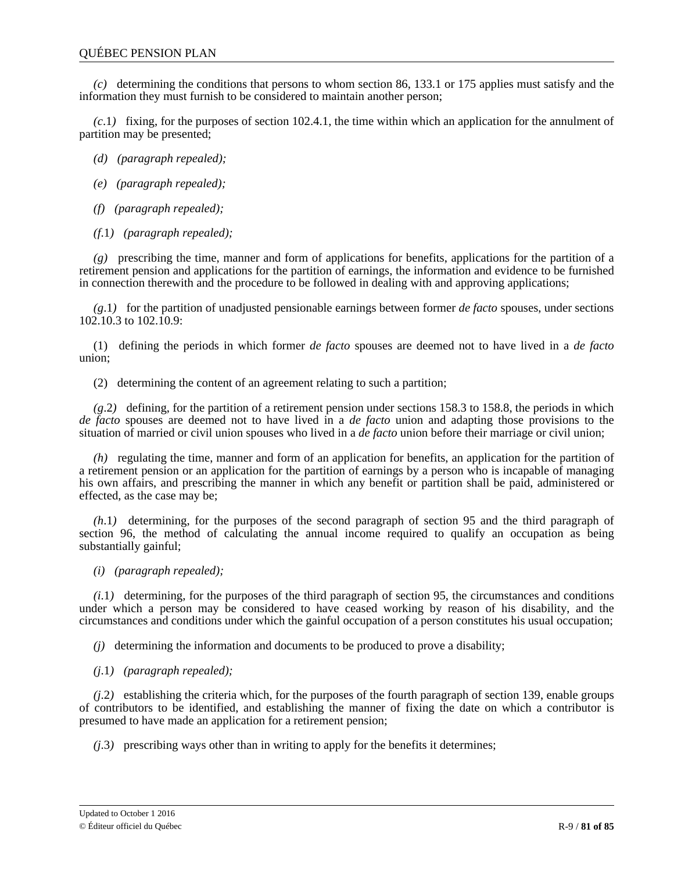*(c)* determining the conditions that persons to whom section 86, 133.1 or 175 applies must satisfy and the information they must furnish to be considered to maintain another person;

*(c*.1*)* fixing, for the purposes of section 102.4.1, the time within which an application for the annulment of partition may be presented;

*(d) (paragraph repealed);*

- *(e) (paragraph repealed);*
- *(f) (paragraph repealed);*
- *(f*.1*) (paragraph repealed);*

*(g)* prescribing the time, manner and form of applications for benefits, applications for the partition of a retirement pension and applications for the partition of earnings, the information and evidence to be furnished in connection therewith and the procedure to be followed in dealing with and approving applications;

*(g*.1*)* for the partition of unadjusted pensionable earnings between former *de facto* spouses, under sections 102.10.3 to 102.10.9:

(1) defining the periods in which former *de facto* spouses are deemed not to have lived in a *de facto* union;

(2) determining the content of an agreement relating to such a partition;

*(g*.2*)* defining, for the partition of a retirement pension under sections 158.3 to 158.8, the periods in which *de facto* spouses are deemed not to have lived in a *de facto* union and adapting those provisions to the situation of married or civil union spouses who lived in a *de facto* union before their marriage or civil union;

*(h)* regulating the time, manner and form of an application for benefits, an application for the partition of a retirement pension or an application for the partition of earnings by a person who is incapable of managing his own affairs, and prescribing the manner in which any benefit or partition shall be paid, administered or effected, as the case may be;

*(h*.1*)* determining, for the purposes of the second paragraph of section 95 and the third paragraph of section 96, the method of calculating the annual income required to qualify an occupation as being substantially gainful;

*(i) (paragraph repealed);*

*(i*.1*)* determining, for the purposes of the third paragraph of section 95, the circumstances and conditions under which a person may be considered to have ceased working by reason of his disability, and the circumstances and conditions under which the gainful occupation of a person constitutes his usual occupation;

*(j)* determining the information and documents to be produced to prove a disability;

*(j*.1*) (paragraph repealed);*

*(j*.2*)* establishing the criteria which, for the purposes of the fourth paragraph of section 139, enable groups of contributors to be identified, and establishing the manner of fixing the date on which a contributor is presumed to have made an application for a retirement pension;

*(j*.3*)* prescribing ways other than in writing to apply for the benefits it determines;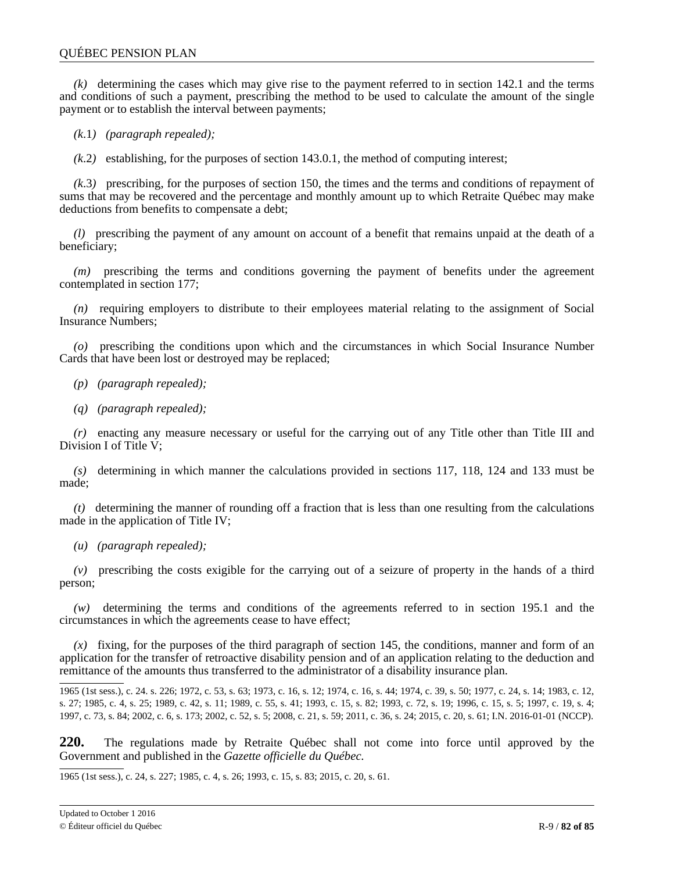*(k)* determining the cases which may give rise to the payment referred to in section 142.1 and the terms and conditions of such a payment, prescribing the method to be used to calculate the amount of the single payment or to establish the interval between payments;

*(k*.1*) (paragraph repealed);*

*(k*.2*)* establishing, for the purposes of section 143.0.1, the method of computing interest;

*(k*.3*)* prescribing, for the purposes of section 150, the times and the terms and conditions of repayment of sums that may be recovered and the percentage and monthly amount up to which Retraite Québec may make deductions from benefits to compensate a debt;

*(l)* prescribing the payment of any amount on account of a benefit that remains unpaid at the death of a beneficiary;

*(m)* prescribing the terms and conditions governing the payment of benefits under the agreement contemplated in section 177;

*(n)* requiring employers to distribute to their employees material relating to the assignment of Social Insurance Numbers;

*(o)* prescribing the conditions upon which and the circumstances in which Social Insurance Number Cards that have been lost or destroyed may be replaced;

*(p) (paragraph repealed);*

*(q) (paragraph repealed);*

*(r)* enacting any measure necessary or useful for the carrying out of any Title other than Title III and Division I of Title V;

*(s)* determining in which manner the calculations provided in sections 117, 118, 124 and 133 must be made;

*(t)* determining the manner of rounding off a fraction that is less than one resulting from the calculations made in the application of Title IV;

*(u) (paragraph repealed);*

*(v)* prescribing the costs exigible for the carrying out of a seizure of property in the hands of a third person;

*(w)* determining the terms and conditions of the agreements referred to in section 195.1 and the circumstances in which the agreements cease to have effect;

*(x)* fixing, for the purposes of the third paragraph of section 145, the conditions, manner and form of an application for the transfer of retroactive disability pension and of an application relating to the deduction and remittance of the amounts thus transferred to the administrator of a disability insurance plan.

1965 (1st sess.), c. 24. s. 226; 1972, c. 53, s. 63; 1973, c. 16, s. 12; 1974, c. 16, s. 44; 1974, c. 39, s. 50; 1977, c. 24, s. 14; 1983, c. 12, s. 27; 1985, c. 4, s. 25; 1989, c. 42, s. 11; 1989, c. 55, s. 41; 1993, c. 15, s. 82; 1993, c. 72, s. 19; 1996, c. 15, s. 5; 1997, c. 19, s. 4; 1997, c. 73, s. 84; 2002, c. 6, s. 173; 2002, c. 52, s. 5; 2008, c. 21, s. 59; 2011, c. 36, s. 24; 2015, c. 20, s. 61; I.N. 2016-01-01 (NCCP).

**220.** The regulations made by Retraite Québec shall not come into force until approved by the Government and published in the *Gazette officielle du Québec.*

1965 (1st sess.), c. 24, s. 227; 1985, c. 4, s. 26; 1993, c. 15, s. 83; 2015, c. 20, s. 61.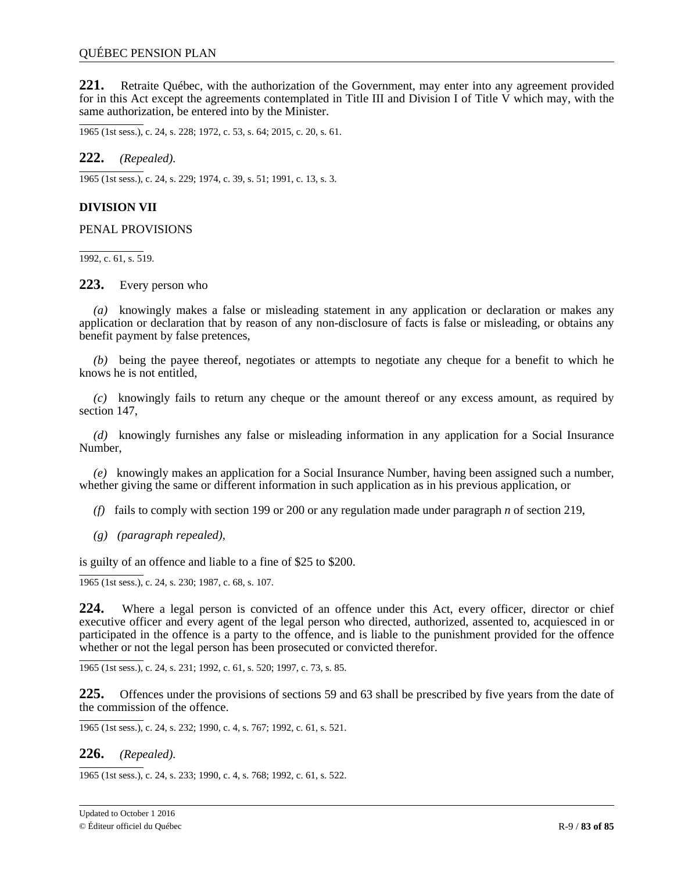**221.** Retraite Québec, with the authorization of the Government, may enter into any agreement provided for in this Act except the agreements contemplated in Title III and Division I of Title V which may, with the same authorization, be entered into by the Minister.

1965 (1st sess.), c. 24, s. 228; 1972, c. 53, s. 64; 2015, c. 20, s. 61.

**222.** *(Repealed).*

1965 (1st sess.), c. 24, s. 229; 1974, c. 39, s. 51; 1991, c. 13, s. 3.

## **DIVISION VII**

PENAL PROVISIONS

1992, c. 61, s. 519.

**223.** Every person who

*(a)* knowingly makes a false or misleading statement in any application or declaration or makes any application or declaration that by reason of any non-disclosure of facts is false or misleading, or obtains any benefit payment by false pretences,

*(b)* being the payee thereof, negotiates or attempts to negotiate any cheque for a benefit to which he knows he is not entitled,

*(c)* knowingly fails to return any cheque or the amount thereof or any excess amount, as required by section 147,

*(d)* knowingly furnishes any false or misleading information in any application for a Social Insurance Number,

*(e)* knowingly makes an application for a Social Insurance Number, having been assigned such a number, whether giving the same or different information in such application as in his previous application, or

*(f)* fails to comply with section 199 or 200 or any regulation made under paragraph *n* of section 219,

*(g) (paragraph repealed),*

is guilty of an offence and liable to a fine of \$25 to \$200.

 $\overline{1965}$  (1st sess.), c. 24, s. 230; 1987, c. 68, s. 107.

**224.** Where a legal person is convicted of an offence under this Act, every officer, director or chief executive officer and every agent of the legal person who directed, authorized, assented to, acquiesced in or participated in the offence is a party to the offence, and is liable to the punishment provided for the offence whether or not the legal person has been prosecuted or convicted therefor.

1965 (1st sess.), c. 24, s. 231; 1992, c. 61, s. 520; 1997, c. 73, s. 85.

**225.** Offences under the provisions of sections 59 and 63 shall be prescribed by five years from the date of the commission of the offence.

1965 (1st sess.), c. 24, s. 232; 1990, c. 4, s. 767; 1992, c. 61, s. 521.

### **226.** *(Repealed).*

1965 (1st sess.), c. 24, s. 233; 1990, c. 4, s. 768; 1992, c. 61, s. 522.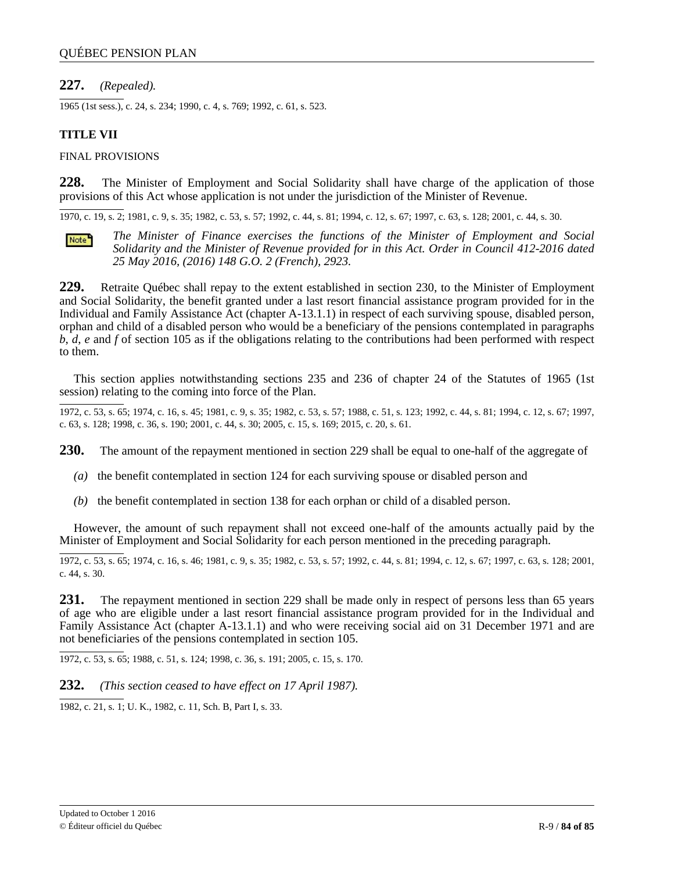# **227.** *(Repealed).*

1965 (1st sess.), c. 24, s. 234; 1990, c. 4, s. 769; 1992, c. 61, s. 523.

# **TITLE VII**

### FINAL PROVISIONS

**228.** The Minister of Employment and Social Solidarity shall have charge of the application of those provisions of this Act whose application is not under the jurisdiction of the Minister of Revenue.

1970, c. 19, s. 2; 1981, c. 9, s. 35; 1982, c. 53, s. 57; 1992, c. 44, s. 81; 1994, c. 12, s. 67; 1997, c. 63, s. 128; 2001, c. 44, s. 30.



*The Minister of Finance exercises the functions of the Minister of Employment and Social Solidarity and the Minister of Revenue provided for in this Act. Order in Council 412-2016 dated 25 May 2016, (2016) 148 G.O. 2 (French), 2923.*

**229.** Retraite Québec shall repay to the extent established in section 230, to the Minister of Employment and Social Solidarity, the benefit granted under a last resort financial assistance program provided for in the Individual and Family Assistance Act (chapter A-13.1.1) in respect of each surviving spouse, disabled person, orphan and child of a disabled person who would be a beneficiary of the pensions contemplated in paragraphs *b*, *d*, *e* and *f* of section 105 as if the obligations relating to the contributions had been performed with respect to them.

This section applies notwithstanding sections 235 and 236 of chapter 24 of the Statutes of 1965 (1st session) relating to the coming into force of the Plan.

1972, c. 53, s. 65; 1974, c. 16, s. 45; 1981, c. 9, s. 35; 1982, c. 53, s. 57; 1988, c. 51, s. 123; 1992, c. 44, s. 81; 1994, c. 12, s. 67; 1997, c. 63, s. 128; 1998, c. 36, s. 190; 2001, c. 44, s. 30; 2005, c. 15, s. 169; 2015, c. 20, s. 61.

**230.** The amount of the repayment mentioned in section 229 shall be equal to one-half of the aggregate of

- *(a)* the benefit contemplated in section 124 for each surviving spouse or disabled person and
- *(b)* the benefit contemplated in section 138 for each orphan or child of a disabled person.

However, the amount of such repayment shall not exceed one-half of the amounts actually paid by the Minister of Employment and Social Solidarity for each person mentioned in the preceding paragraph.

1972, c. 53, s. 65; 1974, c. 16, s. 46; 1981, c. 9, s. 35; 1982, c. 53, s. 57; 1992, c. 44, s. 81; 1994, c. 12, s. 67; 1997, c. 63, s. 128; 2001, c. 44, s. 30.

**231.** The repayment mentioned in section 229 shall be made only in respect of persons less than 65 years of age who are eligible under a last resort financial assistance program provided for in the Individual and Family Assistance Act (chapter A-13.1.1) and who were receiving social aid on 31 December 1971 and are not beneficiaries of the pensions contemplated in section 105.

1972, c. 53, s. 65; 1988, c. 51, s. 124; 1998, c. 36, s. 191; 2005, c. 15, s. 170.

**232.** *(This section ceased to have effect on 17 April 1987).*

1982, c. 21, s. 1; U. K., 1982, c. 11, Sch. B, Part I, s. 33.